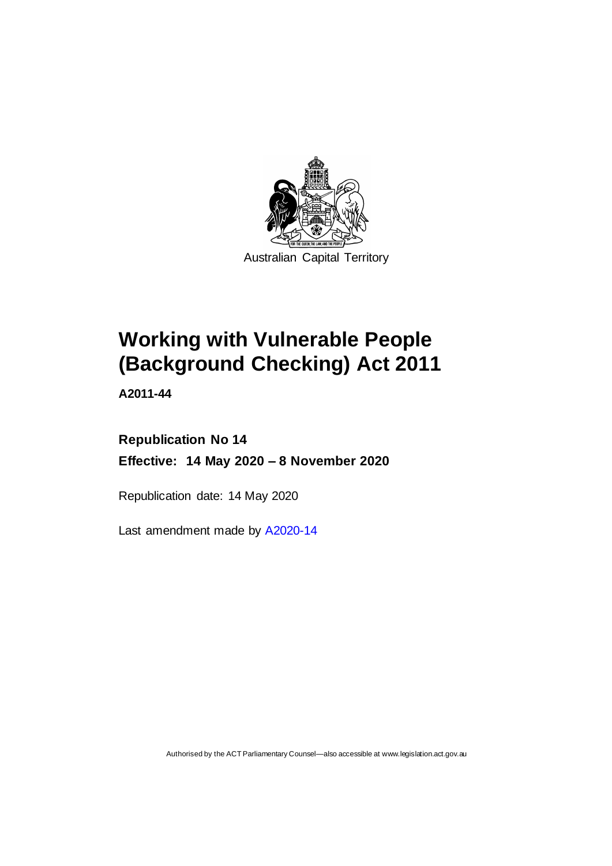

Australian Capital Territory

# **Working with Vulnerable People (Background Checking) Act 2011**

**A2011-44**

## **Republication No 14 Effective: 14 May 2020 – 8 November 2020**

Republication date: 14 May 2020

Last amendment made by [A2020-14](http://www.legislation.act.gov.au/a/2020-14/)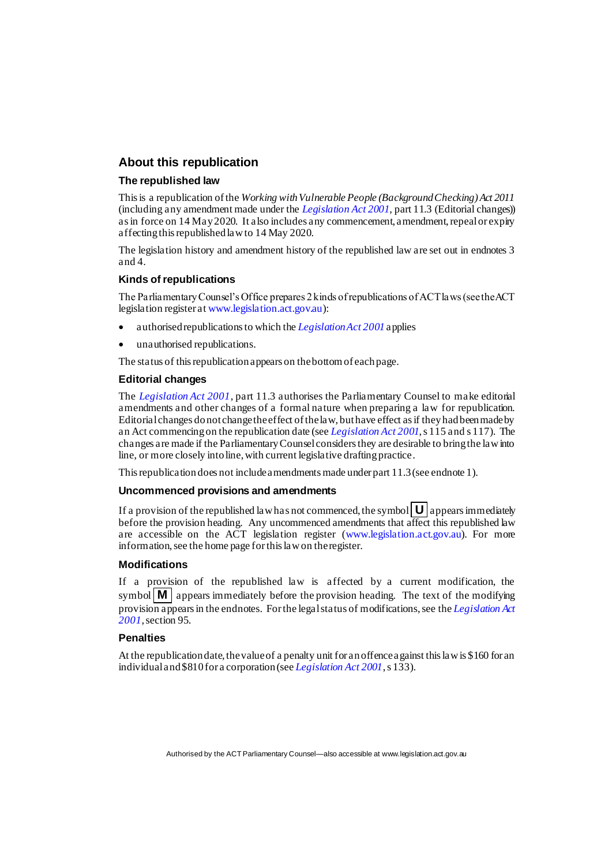## **About this republication**

#### **The republished law**

This is a republication of the *Working with Vulnerable People (Background Checking) Act 2011* (including any amendment made under the *[Legislation Act 2001](http://www.legislation.act.gov.au/a/2001-14)*, part 11.3 (Editorial changes)) as in force on 14 May2020*.* It also includes any commencement, amendment, repeal or expiry affecting this republished law to 14 May 2020.

The legislation history and amendment history of the republished law are set out in endnotes 3 and 4.

#### **Kinds of republications**

The Parliamentary Counsel's Office prepares 2 kinds of republications of ACT laws (see the ACT legislation register a[t www.legislation.act.gov.au](http://www.legislation.act.gov.au/)):

- authorised republications to which the *[Legislation Act 2001](http://www.legislation.act.gov.au/a/2001-14)* applies
- unauthorised republications.

The status of this republication appears on the bottom of each page.

#### **Editorial changes**

The *[Legislation Act 2001](http://www.legislation.act.gov.au/a/2001-14)*, part 11.3 authorises the Parliamentary Counsel to make editorial amendments and other changes of a formal nature when preparing a law for republication. Editorial changes do not change the effect of the law, but have effect as if they had been made by an Act commencing on the republication date (see *[Legislation Act 2001](http://www.legislation.act.gov.au/a/2001-14)*, s 115 and s 117). The changes are made if the Parliamentary Counsel considers they are desirable to bring the law into line, or more closely into line, with current legislative drafting practice.

This republication does not include amendments made under part 11.3 (see endnote 1).

#### **Uncommenced provisions and amendments**

If a provision of the republished law has not commenced, the symbol  $\mathbf{U}$  appears immediately before the provision heading. Any uncommenced amendments that affect this republished law are accessible on the ACT legislation register [\(www.legislation.act.gov.au](http://www.legislation.act.gov.au/)). For more information, see the home page for this law on the register.

#### **Modifications**

If a provision of the republished law is affected by a current modification, the symbol  $\mathbf{M}$  appears immediately before the provision heading. The text of the modifying provision appears in the endnotes. For the legal status of modifications, see the *[Legislation Act](http://www.legislation.act.gov.au/a/2001-14)  [2001](http://www.legislation.act.gov.au/a/2001-14)*, section 95.

#### **Penalties**

At the republication date, the value of a penalty unit for an offence against this law is \$160 for an individual and \$810 for a corporation (see *[Legislation Act 2001](http://www.legislation.act.gov.au/a/2001-14)*, s 133).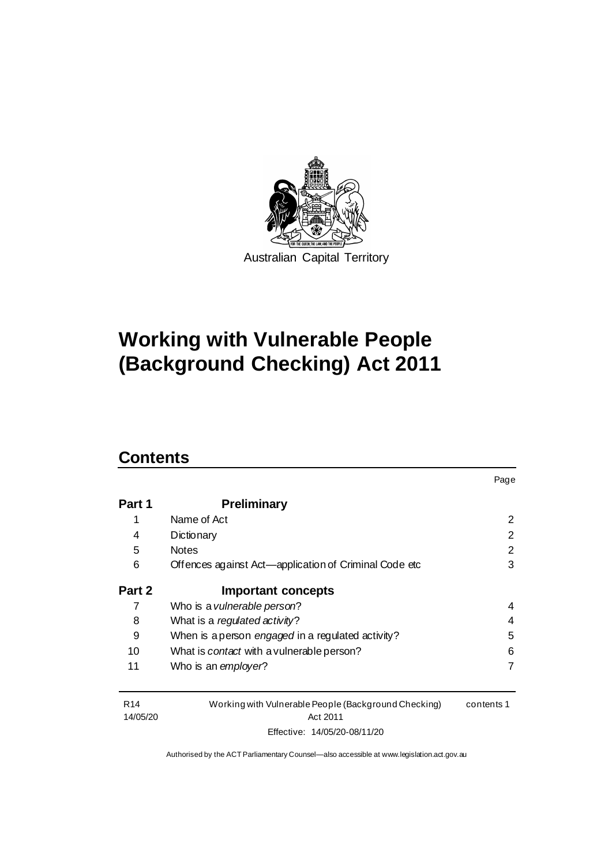

# **Working with Vulnerable People (Background Checking) Act 2011**

## **Contents**

| Part 1 | <b>Preliminary</b>                                    |                       |
|--------|-------------------------------------------------------|-----------------------|
| 1      | Name of Act                                           | $\mathbf{2}^{\prime}$ |
| 4      | Dictionary                                            | 2                     |
| 5      | <b>Notes</b>                                          | 2                     |
| 6      | Offences against Act—application of Criminal Code etc | 3                     |
| Part 2 | Important concepts                                    |                       |
|        | Who is a vulnerable person?                           | 4                     |
| 8      | What is a regulated activity?                         | 4                     |
| 9      | When is a person engaged in a regulated activity?     | 5                     |
| 10     | What is <i>contact</i> with a vulnerable person?      | 6                     |
| 11     | Who is an employer?                                   | 7                     |
|        |                                                       |                       |

Page

| R <sub>14</sub> | Working with Vulnerable People (Background Checking) | contents 1 |
|-----------------|------------------------------------------------------|------------|
| 14/05/20        | Act 2011                                             |            |
|                 | Effective: 14/05/20-08/11/20                         |            |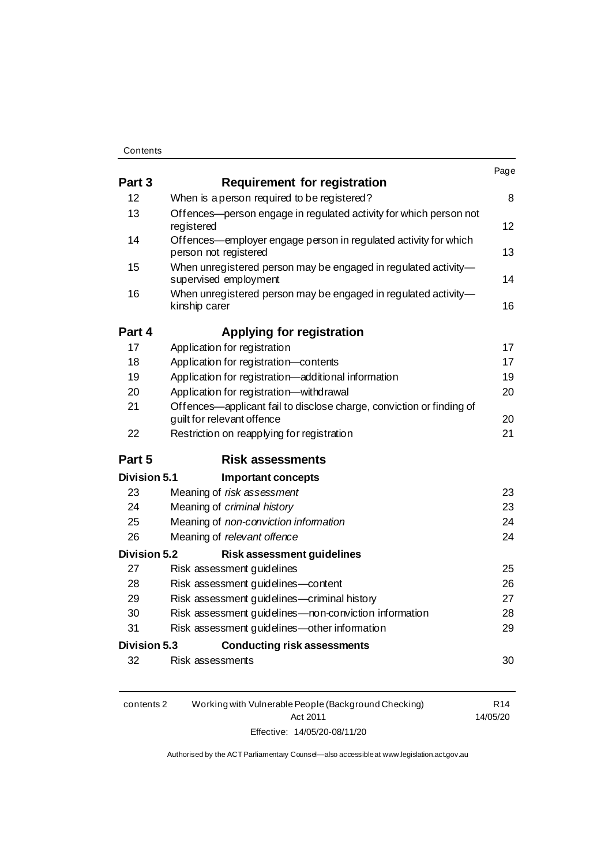|                     |                                                                                                    | Page |
|---------------------|----------------------------------------------------------------------------------------------------|------|
| Part 3              | <b>Requirement for registration</b>                                                                |      |
| 12                  | When is a person required to be registered?                                                        | 8    |
| 13                  | Offences—person engage in regulated activity for which person not<br>registered                    | 12   |
| 14                  | Offences—employer engage person in regulated activity for which<br>person not registered           | 13   |
| 15                  | When unregistered person may be engaged in regulated activity-<br>supervised employment            | 14   |
| 16                  | When unregistered person may be engaged in regulated activity-<br>kinship carer                    | 16   |
| Part 4              | <b>Applying for registration</b>                                                                   |      |
| 17                  | Application for registration                                                                       | 17   |
| 18                  | Application for registration-contents                                                              | 17   |
| 19                  | Application for registration-additional information                                                | 19   |
| 20                  | Application for registration-withdrawal                                                            | 20   |
| 21                  | Offences—applicant fail to disclose charge, conviction or finding of<br>guilt for relevant offence | 20   |
| 22                  | Restriction on reapplying for registration                                                         | 21   |
| Part 5              | <b>Risk assessments</b>                                                                            |      |
| Division 5.1        | <b>Important concepts</b>                                                                          |      |
| 23                  | Meaning of risk assessment                                                                         | 23   |
| 24                  | Meaning of criminal history                                                                        | 23   |
| 25                  | Meaning of non-conviction information                                                              | 24   |
| 26                  | Meaning of relevant offence                                                                        | 24   |
| <b>Division 5.2</b> | <b>Risk assessment guidelines</b>                                                                  |      |
| 27                  | Risk assessment guidelines                                                                         | 25   |
| 28                  | Risk assessment guidelines-content                                                                 | 26   |
| 29                  | Risk assessment guidelines-criminal history                                                        | 27   |
| 30                  | Risk assessment guidelines-non-conviction information                                              | 28   |
| 31                  | Risk assessment guidelines-other information                                                       | 29   |
| Division 5.3        | <b>Conducting risk assessments</b>                                                                 |      |
| 32                  | Risk assessments                                                                                   | 30   |

| contents 2 | Working with Vulnerable People (Background Checking) | R14      |
|------------|------------------------------------------------------|----------|
|            | Act 2011                                             | 14/05/20 |
|            | Effective: 14/05/20-08/11/20                         |          |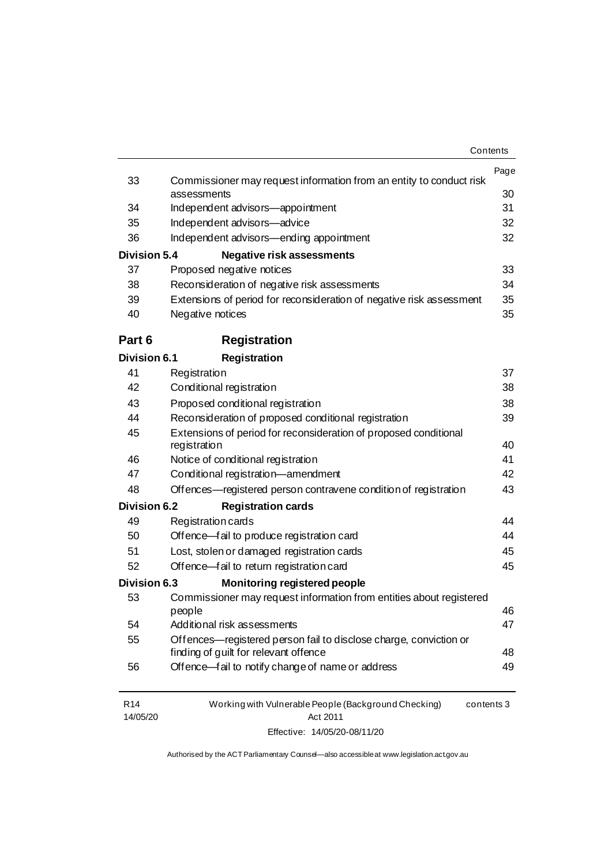|                             |                                                                                  | Contents   |
|-----------------------------|----------------------------------------------------------------------------------|------------|
| 33                          | Commissioner may request information from an entity to conduct risk              | Page       |
|                             | assessments                                                                      | 30         |
| 34                          | Independent advisors-appointment                                                 | 31         |
| 35                          | Independent advisors-advice                                                      | 32         |
| 36                          | Independent advisors—ending appointment                                          | 32         |
| <b>Division 5.4</b>         | <b>Negative risk assessments</b>                                                 |            |
| 37                          | Proposed negative notices                                                        | 33         |
| 38                          | Reconsideration of negative risk assessments                                     | 34         |
| 39                          | Extensions of period for reconsideration of negative risk assessment             | 35         |
| 40                          | Negative notices                                                                 | 35         |
| Part 6                      | <b>Registration</b>                                                              |            |
| <b>Division 6.1</b>         | <b>Registration</b>                                                              |            |
| 41                          | Registration                                                                     | 37         |
| 42                          | Conditional registration                                                         | 38         |
| 43                          | Proposed conditional registration                                                | 38         |
| 44                          | Reconsideration of proposed conditional registration                             | 39         |
| 45                          | Extensions of period for reconsideration of proposed conditional<br>registration | 40         |
| 46                          | Notice of conditional registration                                               | 41         |
| 47                          | Conditional registration-amendment                                               | 42         |
| 48                          | Offences—registered person contravene condition of registration                  | 43         |
| <b>Division 6.2</b>         | <b>Registration cards</b>                                                        |            |
| 49                          | Registration cards                                                               | 44         |
| 50                          | Offence-fail to produce registration card                                        | 44         |
| 51                          | Lost, stolen or damaged registration cards                                       | 45         |
| 52                          | Offence fail to return registration card                                         | 45         |
| <b>Division 6.3</b>         | <b>Monitoring registered people</b>                                              |            |
| 53                          | Commissioner may request information from entities about registered              |            |
|                             | people                                                                           | 46         |
| 54                          | Additional risk assessments                                                      | 47         |
| 55                          | Offences—registered person fail to disclose charge, conviction or                |            |
|                             | finding of guilt for relevant offence                                            | 48         |
| 56                          | Offence fail to notify change of name or address                                 | 49         |
| R <sub>14</sub><br>14/05/20 | Working with Vulnerable People (Background Checking)<br>Act 2011                 | contents 3 |

Effective: 14/05/20-08/11/20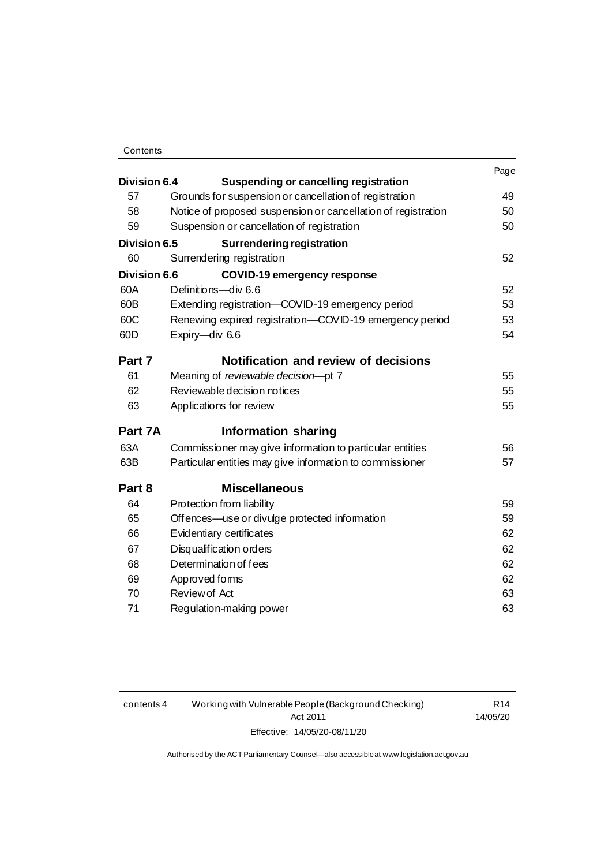| <b>Division 6.4</b> | <b>Suspending or cancelling registration</b>                  | Page |
|---------------------|---------------------------------------------------------------|------|
| 57                  | Grounds for suspension or cancellation of registration        | 49   |
| 58                  | Notice of proposed suspension or cancellation of registration | 50   |
| 59                  | Suspension or cancellation of registration                    | 50   |
| <b>Division 6.5</b> | <b>Surrendering registration</b>                              |      |
| 60                  | Surrendering registration                                     | 52   |
| <b>Division 6.6</b> | <b>COVID-19 emergency response</b>                            |      |
| 60A                 | Definitions-div 6.6                                           | 52   |
| 60B                 | Extending registration-COVID-19 emergency period              | 53   |
| 60C                 | Renewing expired registration-COVID-19 emergency period       | 53   |
| 60D                 | Expiry-div 6.6                                                | 54   |
|                     |                                                               |      |
| Part 7              | Notification and review of decisions                          |      |
| 61                  | Meaning of reviewable decision-pt 7                           | 55   |
| 62                  | Reviewable decision notices                                   | 55   |
| 63                  | Applications for review                                       | 55   |
| Part 7A             | <b>Information sharing</b>                                    |      |
| 63A                 | Commissioner may give information to particular entities      | 56   |
| 63B                 | Particular entities may give information to commissioner      | 57   |
| Part 8              | <b>Miscellaneous</b>                                          |      |
| 64                  | Protection from liability                                     | 59   |
| 65                  | Offences—use or divulge protected information                 | 59   |
| 66                  | Evidentiary certificates                                      | 62   |
| 67                  | Disqualification orders                                       | 62   |
| 68                  | Determination of fees                                         | 62   |
| 69                  | Approved forms                                                | 62   |
| 70                  | Review of Act                                                 | 63   |
| 71                  | Regulation-making power                                       | 63   |

R14 14/05/20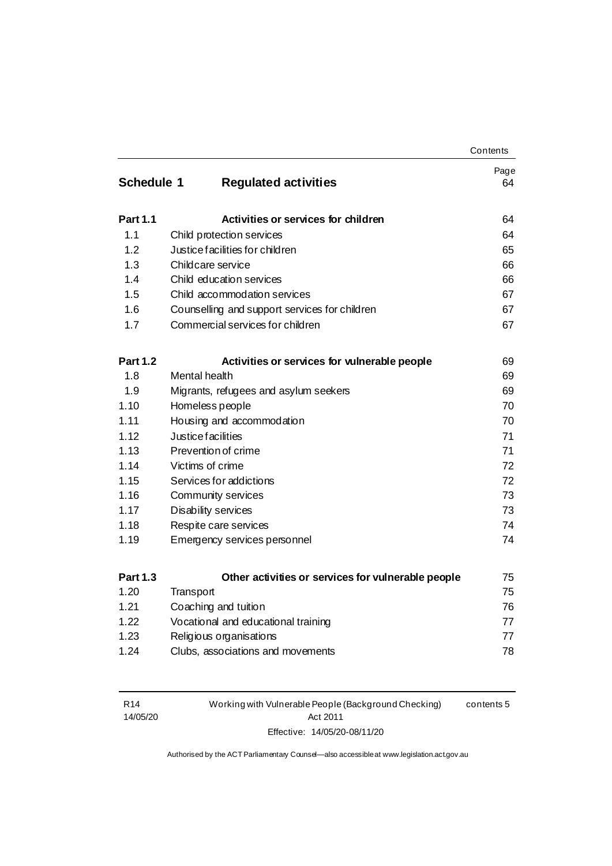|                   |                                                    | Contents   |
|-------------------|----------------------------------------------------|------------|
| <b>Schedule 1</b> | <b>Regulated activities</b>                        | Page<br>64 |
|                   |                                                    |            |
| <b>Part 1.1</b>   | Activities or services for children                | 64         |
| 1.1               | Child protection services                          | 64         |
| 1.2               | Justice facilities for children                    | 65         |
| 1.3               | Childcare service                                  | 66         |
| 1.4               | Child education services                           | 66         |
| 1.5               | Child accommodation services                       | 67         |
| 1.6               | Counselling and support services for children      | 67         |
| 1.7               | Commercial services for children                   | 67         |
| <b>Part 1.2</b>   | Activities or services for vulnerable people       | 69         |
| 1.8               | Mental health                                      | 69         |
| 1.9               | Migrants, refugees and asylum seekers              | 69         |
| 1.10              | Homeless people                                    | 70         |
| 1.11              | Housing and accommodation                          | 70         |
| 1.12              | Justice facilities                                 | 71         |
| 1.13              | Prevention of crime                                | 71         |
| 1.14              | Victims of crime                                   | 72         |
| 1.15              | Services for addictions                            | 72         |
| 1.16              | Community services                                 | 73         |
| 1.17              | Disability services                                | 73         |
| 1.18              | Respite care services                              | 74         |
| 1.19              | Emergency services personnel                       | 74         |
| <b>Part 1.3</b>   | Other activities or services for vulnerable people | 75         |
| 1.20              | Transport                                          | 75         |
| 1.21              | Coaching and tuition                               | 76         |
| 1.22              | Vocational and educational training                | 77         |
| 1.23              | Religious organisations                            | 77         |
| 1.24              | Clubs, associations and movements                  | 78         |
|                   |                                                    |            |

| R <sub>14</sub> | Working with Vulnerable People (Background Checking) | contents 5 |
|-----------------|------------------------------------------------------|------------|
| 14/05/20        | Act 2011                                             |            |
|                 | Effective: 14/05/20-08/11/20                         |            |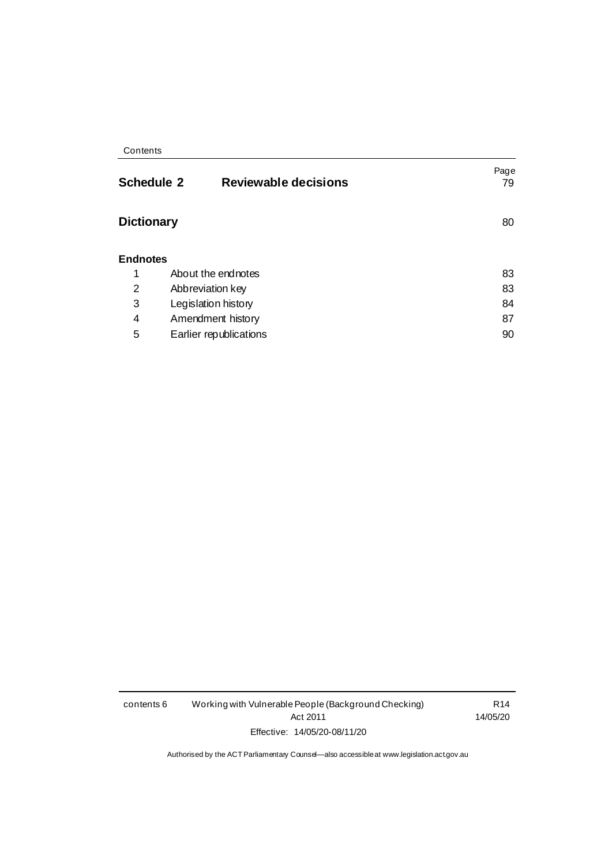| Contents |  |
|----------|--|
|----------|--|

| Reviewable decisions<br><b>Schedule 2</b> | Page<br>79 |
|-------------------------------------------|------------|
| <b>Dictionary</b>                         | 80         |
| <b>Endnotes</b>                           |            |
| About the endnotes                        | 83         |
| Abbreviation key                          | 83         |
| Legislation history                       | 84         |
| Amendment history                         | 87         |
| Earlier republications                    | 90         |
|                                           |            |

contents 6 Working with Vulnerable People (Background Checking) Act 2011 Effective: 14/05/20-08/11/20

R14 14/05/20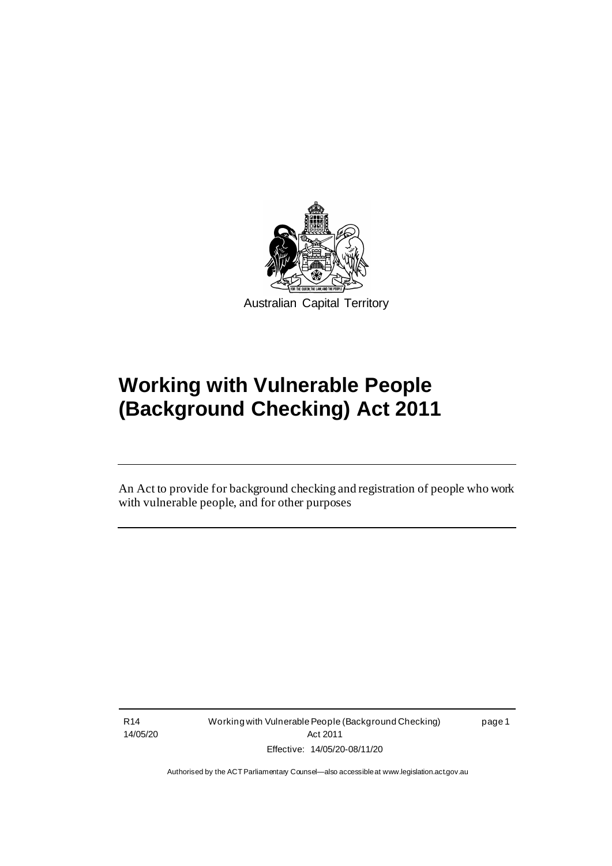

# **Working with Vulnerable People (Background Checking) Act 2011**

An Act to provide for background checking and registration of people who work with vulnerable people, and for other purposes

R14 14/05/20

٦

Working with Vulnerable People (Background Checking) Act 2011 Effective: 14/05/20-08/11/20

page 1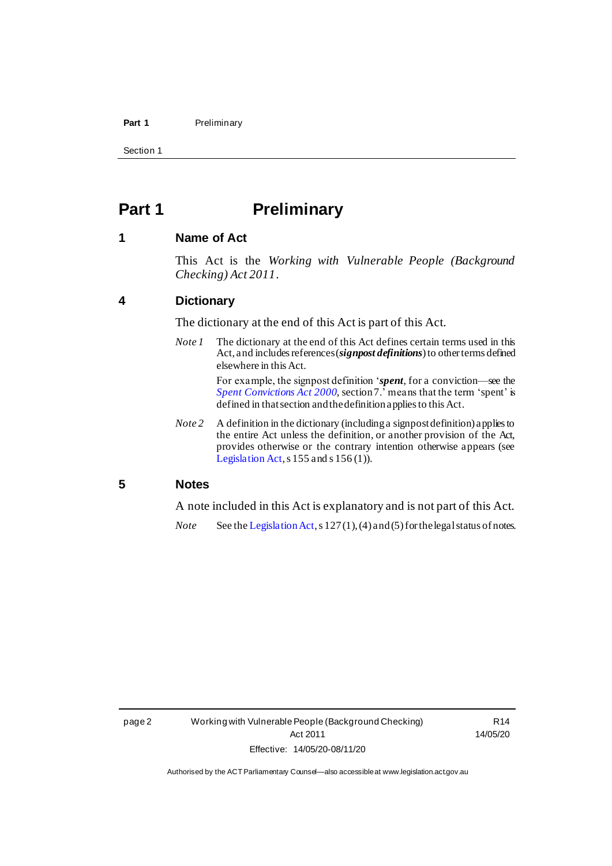#### Part 1 **Preliminary**

Section 1

## <span id="page-9-0"></span>**Part 1 Preliminary**

## <span id="page-9-1"></span>**1 Name of Act**

This Act is the *Working with Vulnerable People (Background Checking) Act 2011*.

### <span id="page-9-2"></span>**4 Dictionary**

The dictionary at the end of this Act is part of this Act.

- *Note 1* The dictionary at the end of this Act defines certain terms used in this Act, and includes references (*signpost definitions*) to other terms defined elsewhere in this Act. For example, the signpost definition '*spent*, for a conviction—see the *[Spent Convictions Act 2000](http://www.legislation.act.gov.au/a/2000-48)*, section 7.' means that the term 'spent' is defined in that section and the definition applies to this Act.
- *Note 2* A definition in the dictionary (including a signpost definition) applies to the entire Act unless the definition, or another provision of the Act, provides otherwise or the contrary intention otherwise appears (see [Legislation Act](http://www.legislation.act.gov.au/a/2001-14),  $s$  155 and  $s$  156 (1)).

## <span id="page-9-3"></span>**5 Notes**

A note included in this Act is explanatory and is not part of this Act.

*Note* See th[e Legislation Act](http://www.legislation.act.gov.au/a/2001-14), s 127(1), (4) and (5) for the legal status of notes.

R14 14/05/20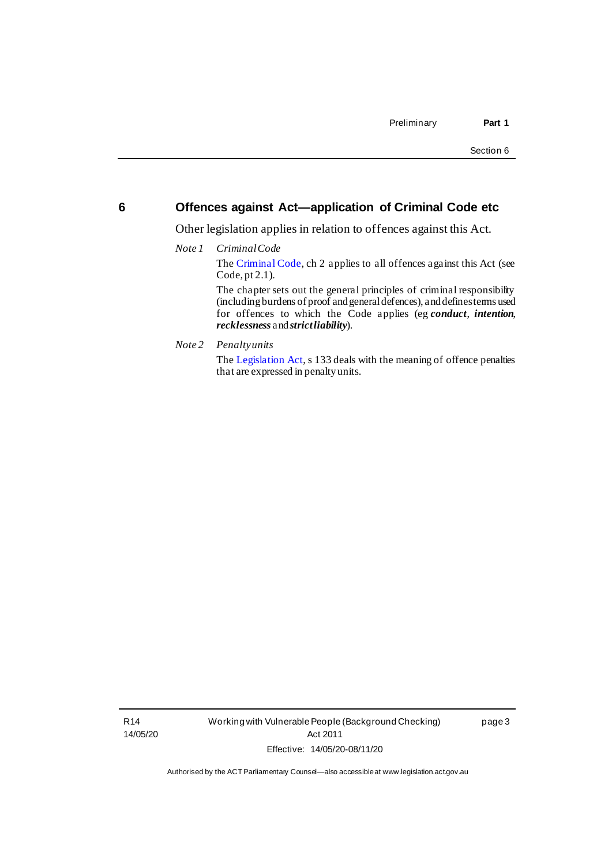## <span id="page-10-0"></span>**6 Offences against Act—application of Criminal Code etc**

Other legislation applies in relation to offences against this Act.

*Note 1 Criminal Code*

Th[e Criminal Code](http://www.legislation.act.gov.au/a/2002-51/default.asp), ch 2 applies to all offences against this Act (see Code, pt 2.1).

The chapter sets out the general principles of criminal responsibility (including burdens of proof and general defences), and defines terms used for offences to which the Code applies (eg *conduct*, *intention*, *recklessness* and *strict liability*).

*Note 2 Penalty units*

Th[e Legislation Act](http://www.legislation.act.gov.au/a/2001-14), s 133 deals with the meaning of offence penalties that are expressed in penalty units.

R14 14/05/20 Working with Vulnerable People (Background Checking) Act 2011 Effective: 14/05/20-08/11/20

page 3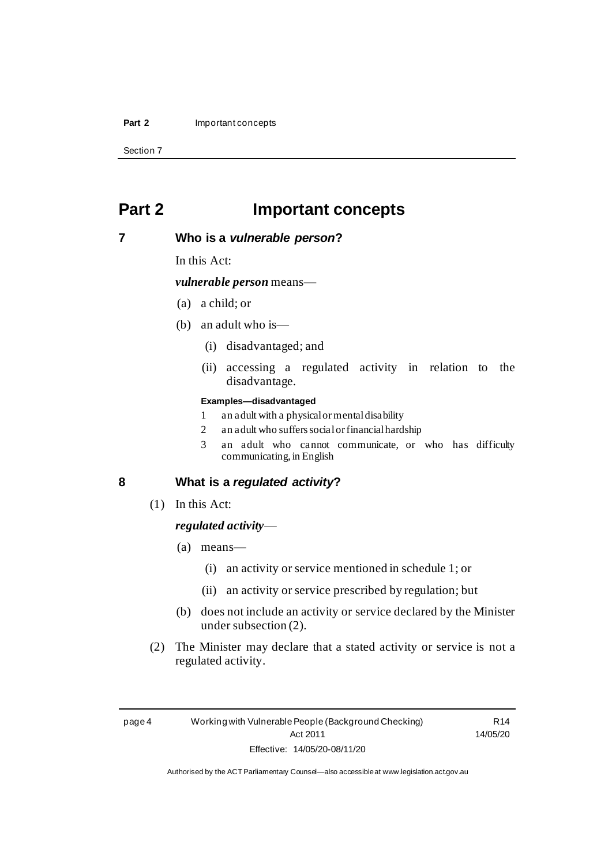#### **Part 2** Important concepts

Section 7

## <span id="page-11-0"></span>**Part 2 Important concepts**

## <span id="page-11-1"></span>**7 Who is a** *vulnerable person***?**

In this Act:

*vulnerable person* means—

- (a) a child; or
- (b) an adult who is—
	- (i) disadvantaged; and
	- (ii) accessing a regulated activity in relation to the disadvantage.

#### **Examples—disadvantaged**

- 1 an adult with a physical or mental disability
- 2 an adult who suffers social or financial hardship
- 3 an adult who cannot communicate, or who has difficulty communicating, in English

## <span id="page-11-2"></span>**8 What is a** *regulated activity***?**

(1) In this Act:

### *regulated activity*—

- (a) means—
	- (i) an activity or service mentioned in schedule 1; or
	- (ii) an activity or service prescribed by regulation; but
- (b) does not include an activity or service declared by the Minister under subsection (2).
- (2) The Minister may declare that a stated activity or service is not a regulated activity.

R14 14/05/20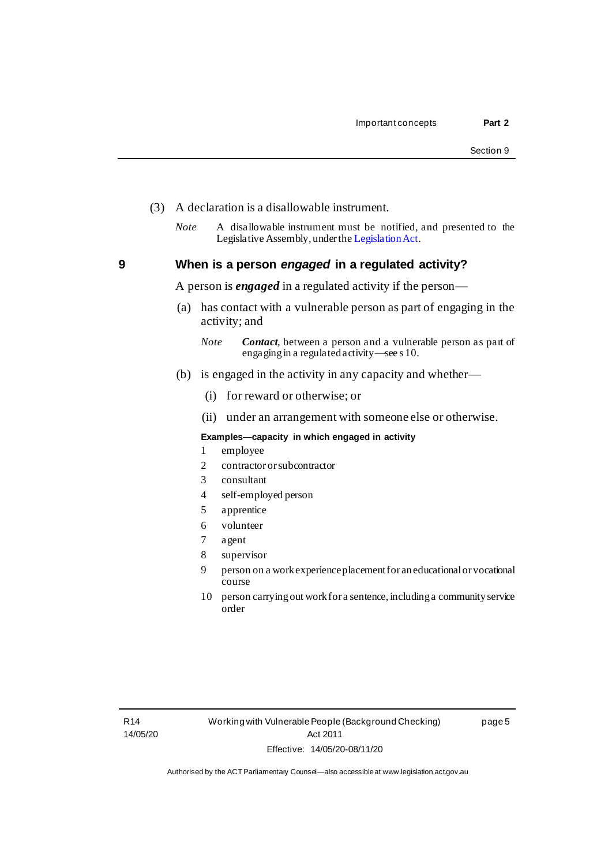page 5

- (3) A declaration is a disallowable instrument.
	- *Note* A disallowable instrument must be notified, and presented to the Legislative Assembly, under th[e Legislation Act](http://www.legislation.act.gov.au/a/2001-14).

<span id="page-12-0"></span>**9 When is a person** *engaged* **in a regulated activity?**

A person is *engaged* in a regulated activity if the person—

- (a) has contact with a vulnerable person as part of engaging in the activity; and
	- *Note Contact*, between a person and a vulnerable person as part of engaging in a regulated activity—see s 10.
- (b) is engaged in the activity in any capacity and whether—
	- (i) for reward or otherwise; or
	- (ii) under an arrangement with someone else or otherwise.

#### **Examples—capacity in which engaged in activity**

- 1 employee
- 2 contractor or subcontractor
- 3 consultant
- 4 self-employed person
- 5 apprentice
- 6 volunteer
- 7 agent
- 8 supervisor
- 9 person on a work experience placement for an educational or vocational course
- 10 person carrying out work for a sentence, including a community service order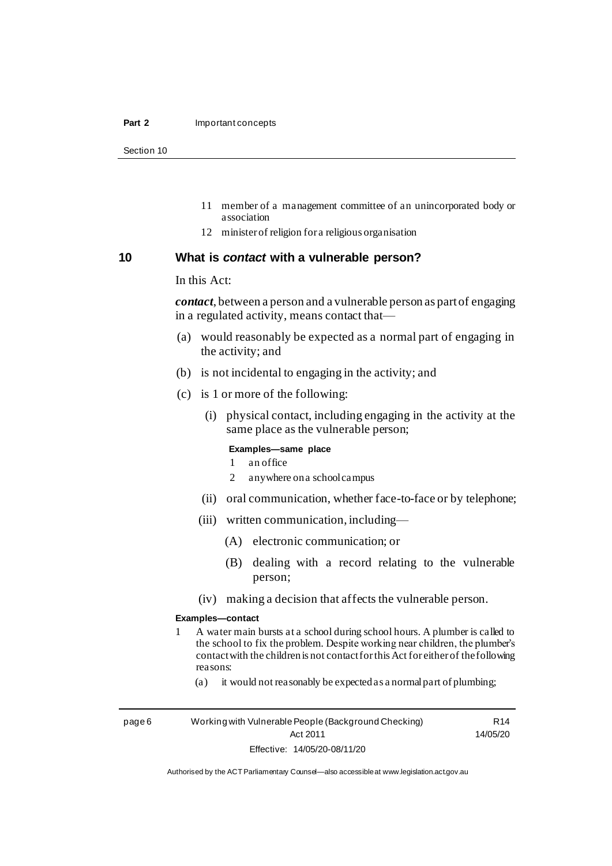#### **Part 2** Important concepts

Section 10

- 11 member of a management committee of an unincorporated body or association
- 12 minister of religion for a religious organisation

## <span id="page-13-0"></span>**10 What is** *contact* **with a vulnerable person?**

In this Act:

*contact*, between a person and a vulnerable person as part of engaging in a regulated activity, means contact that—

- (a) would reasonably be expected as a normal part of engaging in the activity; and
- (b) is not incidental to engaging in the activity; and
- (c) is 1 or more of the following:
	- (i) physical contact, including engaging in the activity at the same place as the vulnerable person;

#### **Examples—same place**

- 1 an office
- 2 anywhere on a school campus
- (ii) oral communication, whether face-to-face or by telephone;
- (iii) written communication, including—
	- (A) electronic communication; or
	- (B) dealing with a record relating to the vulnerable person;
- (iv) making a decision that affects the vulnerable person.

#### **Examples—contact**

- 1 A water main bursts at a school during school hours. A plumber is called to the school to fix the problem. Despite working near children, the plumber's contact with the children is not contact for this Act for either of the following reasons:
	- (a) it would not reasonably be expected as a normal part of plumbing;

page 6 Working with Vulnerable People (Background Checking) Act 2011 Effective: 14/05/20-08/11/20

R14 14/05/20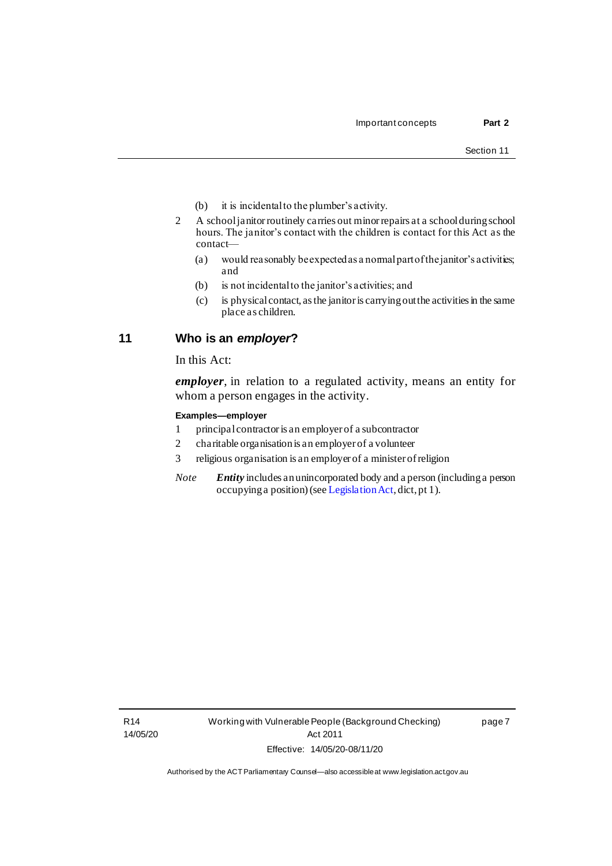- (b) it is incidental to the plumber's activity.
- 2 A school janitor routinely carries out minor repairs at a school during school hours. The janitor's contact with the children is contact for this Act as the contact—
	- (a) would reasonably be expected as a normal part of the janitor's activities; and
	- (b) is not incidental to the janitor's activities; and
	- (c) is physical contact, as the janitor is carrying out the activities in the same place as children.

## <span id="page-14-0"></span>**11 Who is an** *employer***?**

In this Act:

*employer*, in relation to a regulated activity, means an entity for whom a person engages in the activity.

### **Examples—employer**

- 1 principal contractor is an employer of a subcontractor
- 2 charitable organisation is an employer of a volunteer
- 3 religious organisation is an employer of a minister of religion
- *Note Entity* includes an unincorporated body and a person (including a person occupying a position) (se[e Legislation Act](http://www.legislation.act.gov.au/a/2001-14), dict, pt 1).

page 7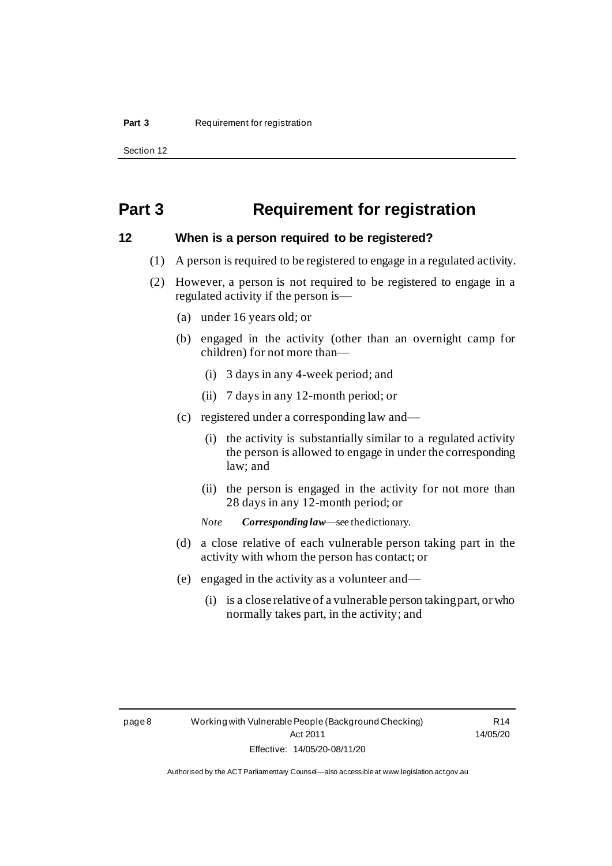Section 12

## <span id="page-15-0"></span>**Part 3 Requirement for registration**

## <span id="page-15-1"></span>**12 When is a person required to be registered?**

- (1) A person is required to be registered to engage in a regulated activity.
- (2) However, a person is not required to be registered to engage in a regulated activity if the person is—
	- (a) under 16 years old; or
	- (b) engaged in the activity (other than an overnight camp for children) for not more than—
		- (i) 3 days in any 4-week period; and
		- (ii) 7 days in any 12-month period; or
	- (c) registered under a corresponding law and—
		- (i) the activity is substantially similar to a regulated activity the person is allowed to engage in under the corresponding law; and
		- (ii) the person is engaged in the activity for not more than 28 days in any 12-month period; or
		- *Note Corresponding law*—see the dictionary.
	- (d) a close relative of each vulnerable person taking part in the activity with whom the person has contact; or
	- (e) engaged in the activity as a volunteer and—
		- (i) is a close relative of a vulnerable person taking part, or who normally takes part, in the activity; and

R14 14/05/20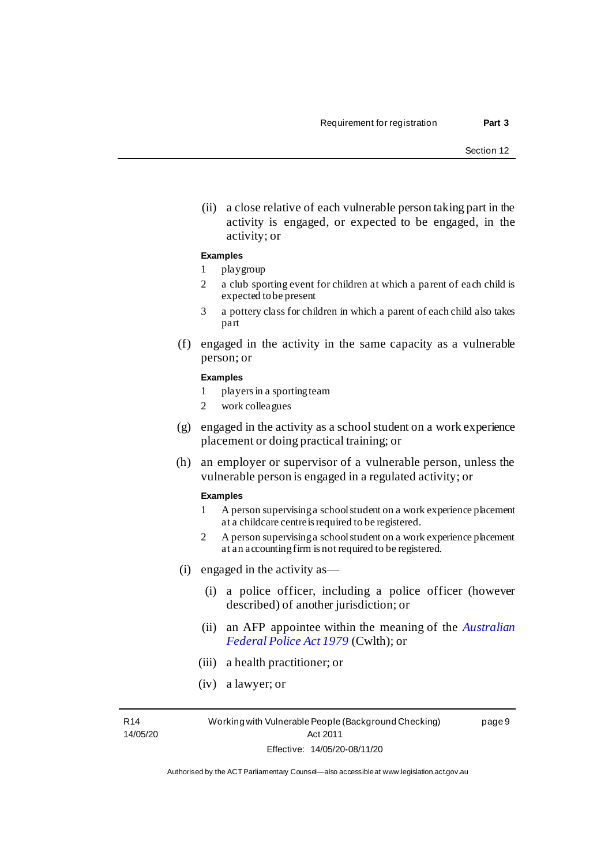page 9

(ii) a close relative of each vulnerable person taking part in the activity is engaged, or expected to be engaged, in the activity; or

#### **Examples**

- 1 playgroup
- 2 a club sporting event for children at which a parent of each child is expected to be present
- 3 a pottery class for children in which a parent of each child also takes part
- (f) engaged in the activity in the same capacity as a vulnerable person; or

#### **Examples**

- 1 players in a sporting team
- 2 work colleagues
- (g) engaged in the activity as a school student on a work experience placement or doing practical training; or
- (h) an employer or supervisor of a vulnerable person, unless the vulnerable person is engaged in a regulated activity; or

#### **Examples**

- 1 A person supervising a school student on a work experience placement at a childcare centre is required to be registered.
- 2 A person supervising a school student on a work experience placement at an accounting firm is not required to be registered.
- (i) engaged in the activity as—
	- (i) a police officer, including a police officer (however described) of another jurisdiction; or
	- (ii) an AFP appointee within the meaning of the *[Australian](http://www.comlaw.gov.au/Series/C2004A02068)  [Federal Police Act 1979](http://www.comlaw.gov.au/Series/C2004A02068)* (Cwlth); or
	- (iii) a health practitioner; or
	- (iv) a lawyer; or

R14 14/05/20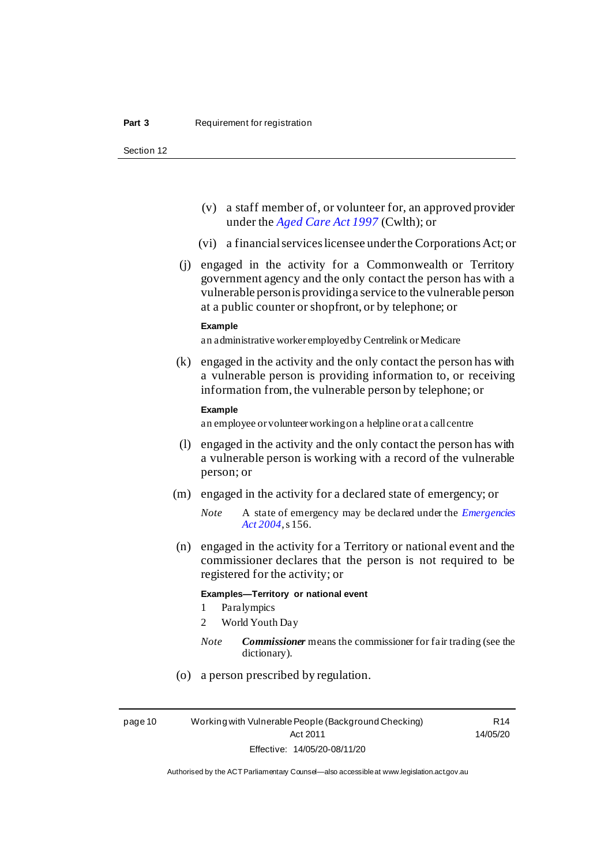Section 12

- (v) a staff member of, or volunteer for, an approved provider under the *[Aged Care Act 1997](http://www.comlaw.gov.au/Series/C2004A05206)* (Cwlth); or
- (vi) a financial services licensee under the Corporations Act; or
- (j) engaged in the activity for a Commonwealth or Territory government agency and the only contact the person has with a vulnerable person is providing a service to the vulnerable person at a public counter or shopfront, or by telephone; or

#### **Example**

an administrative worker employed by Centrelink or Medicare

(k) engaged in the activity and the only contact the person has with a vulnerable person is providing information to, or receiving information from, the vulnerable person by telephone; or

#### **Example**

an employee or volunteer working on a helpline or at a call centre

- (l) engaged in the activity and the only contact the person has with a vulnerable person is working with a record of the vulnerable person; or
- (m) engaged in the activity for a declared state of emergency; or
	- *Note* A state of emergency may be declared under the *[Emergencies](http://www.legislation.act.gov.au/a/2004-28)  Act [2004](http://www.legislation.act.gov.au/a/2004-28)*, s 156.
- (n) engaged in the activity for a Territory or national event and the commissioner declares that the person is not required to be registered for the activity; or

#### **Examples—Territory or national event**

- 1 Paralympics
- 2 World Youth Day
- *Note Commissioner* means the commissioner for fair trading (see the dictionary).
- (o) a person prescribed by regulation.

page 10 Working with Vulnerable People (Background Checking) Act 2011 Effective: 14/05/20-08/11/20

R14 14/05/20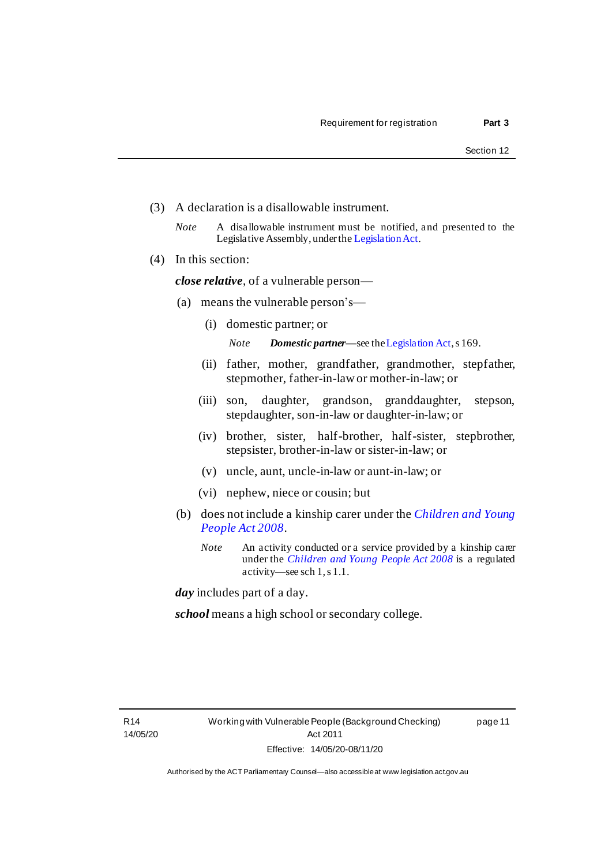page 11

- (3) A declaration is a disallowable instrument.
	- *Note* A disallowable instrument must be notified, and presented to the Legislative Assembly, under th[e Legislation Act](http://www.legislation.act.gov.au/a/2001-14).
- (4) In this section:

*close relative*, of a vulnerable person—

- (a) means the vulnerable person's—
	- (i) domestic partner; or

*Note Domestic partner—*see th[e Legislation Act](http://www.legislation.act.gov.au/a/2001-14), s 169.

- (ii) father, mother, grandfather, grandmother, stepfather, stepmother, father-in-law or mother-in-law; or
- (iii) son, daughter, grandson, granddaughter, stepson, stepdaughter, son-in-law or daughter-in-law; or
- (iv) brother, sister, half-brother, half-sister, stepbrother, stepsister, brother-in-law or sister-in-law; or
- (v) uncle, aunt, uncle-in-law or aunt-in-law; or
- (vi) nephew, niece or cousin; but
- (b) does not include a kinship carer under the *[Children and Young](http://www.legislation.act.gov.au/a/2008-19)  [People Act 2008](http://www.legislation.act.gov.au/a/2008-19)*.
	- *Note* An activity conducted or a service provided by a kinship carer under the *[Children and Young People Act 2008](http://www.legislation.act.gov.au/a/2008-19)* is a regulated activity—see sch 1, s 1.1.

*day* includes part of a day.

*school* means a high school or secondary college.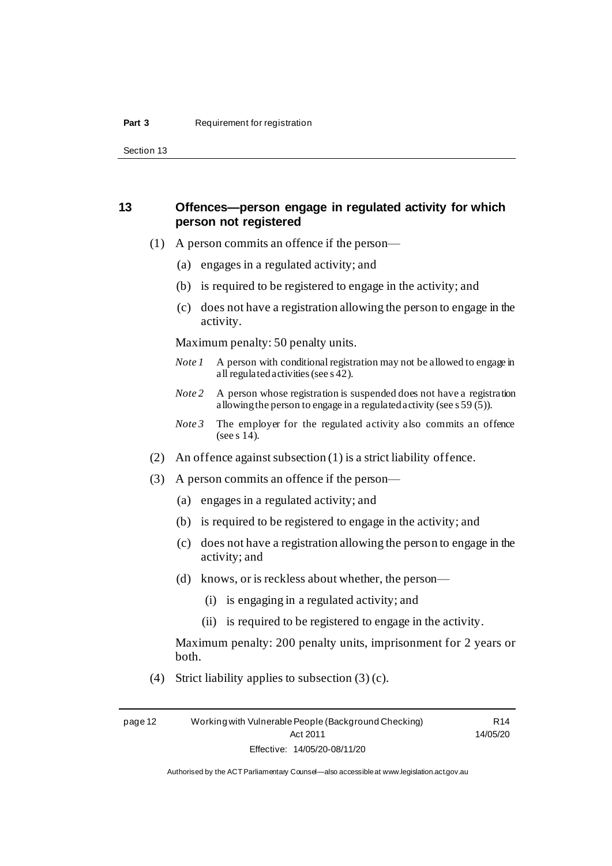Section 13

## <span id="page-19-0"></span>**13 Offences—person engage in regulated activity for which person not registered**

- (1) A person commits an offence if the person—
	- (a) engages in a regulated activity; and
	- (b) is required to be registered to engage in the activity; and
	- (c) does not have a registration allowing the person to engage in the activity.

Maximum penalty: 50 penalty units.

- *Note 1* A person with conditional registration may not be allowed to engage in all regulated activities (see s 42).
- *Note 2* A person whose registration is suspended does not have a registration allowing the person to engage in a regulated activity (see s 59 (5)).
- *Note* 3 The employer for the regulated activity also commits an offence (see s 14).
- (2) An offence against subsection (1) is a strict liability offence.
- (3) A person commits an offence if the person—
	- (a) engages in a regulated activity; and
	- (b) is required to be registered to engage in the activity; and
	- (c) does not have a registration allowing the person to engage in the activity; and
	- (d) knows, or is reckless about whether, the person—
		- (i) is engaging in a regulated activity; and
		- (ii) is required to be registered to engage in the activity.

Maximum penalty: 200 penalty units, imprisonment for 2 years or both.

(4) Strict liability applies to subsection  $(3)$  (c).

page 12 Working with Vulnerable People (Background Checking) Act 2011 Effective: 14/05/20-08/11/20

R14 14/05/20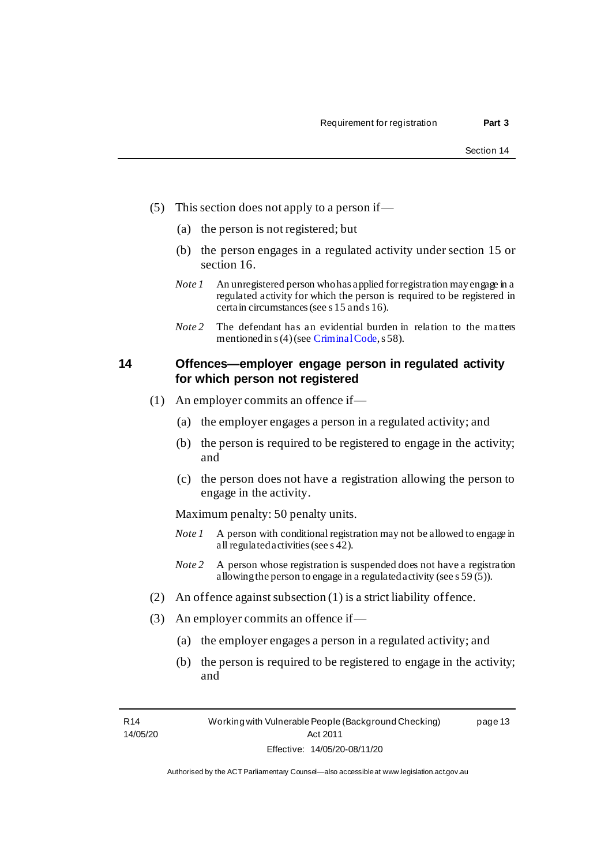- (5) This section does not apply to a person if—
	- (a) the person is not registered; but
	- (b) the person engages in a regulated activity under section 15 or section 16.
	- *Note 1* An unregistered person who has applied for registration may engage in a regulated activity for which the person is required to be registered in certain circumstances (see s 15 and s 16).
	- *Note* 2 The defendant has an evidential burden in relation to the matters mentioned in s (4) (se[e Criminal Code](http://www.legislation.act.gov.au/a/2002-51/default.asp), s 58).

## <span id="page-20-0"></span>**14 Offences—employer engage person in regulated activity for which person not registered**

- (1) An employer commits an offence if—
	- (a) the employer engages a person in a regulated activity; and
	- (b) the person is required to be registered to engage in the activity; and
	- (c) the person does not have a registration allowing the person to engage in the activity.

Maximum penalty: 50 penalty units.

- *Note 1* A person with conditional registration may not be allowed to engage in all regulated activities (see s 42).
- *Note* 2 A person whose registration is suspended does not have a registration allowing the person to engage in a regulated activity (see s 59 (5)).
- (2) An offence against subsection (1) is a strict liability offence.
- (3) An employer commits an offence if—
	- (a) the employer engages a person in a regulated activity; and
	- (b) the person is required to be registered to engage in the activity; and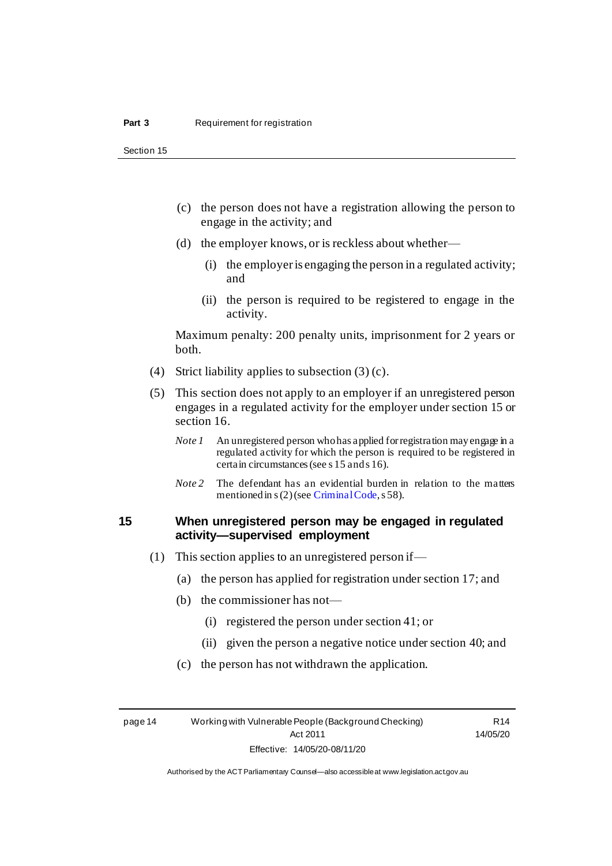Section 15

- (c) the person does not have a registration allowing the person to engage in the activity; and
- (d) the employer knows, or is reckless about whether—
	- (i) the employer is engaging the person in a regulated activity; and
	- (ii) the person is required to be registered to engage in the activity.

Maximum penalty: 200 penalty units, imprisonment for 2 years or both.

- (4) Strict liability applies to subsection  $(3)(c)$ .
- (5) This section does not apply to an employer if an unregistered person engages in a regulated activity for the employer under section 15 or section 16.
	- *Note 1* An unregistered person who has applied for registration may engage in a regulated activity for which the person is required to be registered in certain circumstances (see s 15 and s 16).
	- *Note* 2 The defendant has an evidential burden in relation to the matters mentioned in s (2) (se[e Criminal Code](http://www.legislation.act.gov.au/a/2002-51/default.asp), s 58).

## <span id="page-21-0"></span>**15 When unregistered person may be engaged in regulated activity—supervised employment**

- (1) This section applies to an unregistered person if—
	- (a) the person has applied for registration under section 17; and
	- (b) the commissioner has not—
		- (i) registered the person under section 41; or
		- (ii) given the person a negative notice under section 40; and
	- (c) the person has not withdrawn the application.

page 14 Working with Vulnerable People (Background Checking) Act 2011 Effective: 14/05/20-08/11/20

R14 14/05/20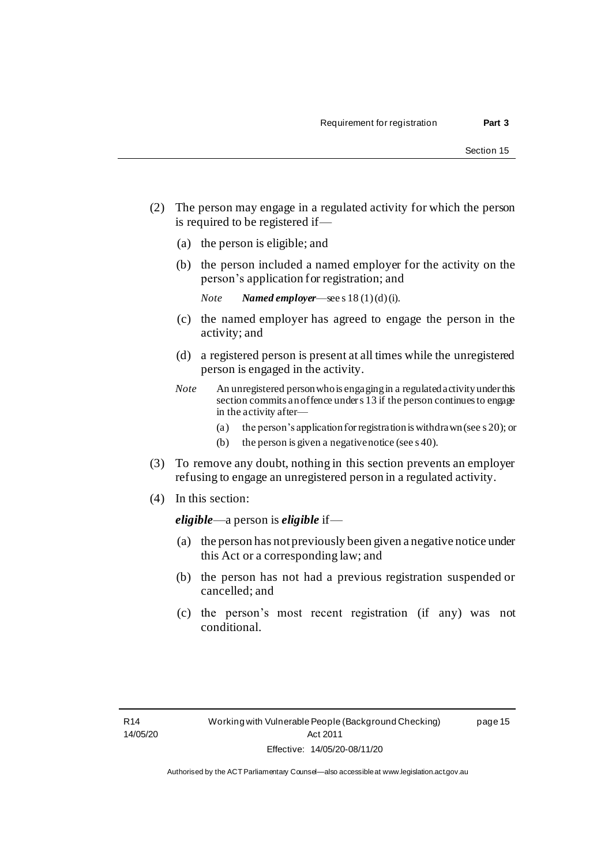page 15

- (2) The person may engage in a regulated activity for which the person is required to be registered if—
	- (a) the person is eligible; and
	- (b) the person included a named employer for the activity on the person's application for registration; and

*Note Named employer*—see s 18 (1)(d)(i).

- (c) the named employer has agreed to engage the person in the activity; and
- (d) a registered person is present at all times while the unregistered person is engaged in the activity.
- *Note* An unregistered person who is engaging in a regulated activity under this section commits an offence under s 13 if the person continues to engage in the activity after—
	- (a) the person's application forregistration is withdrawn (see s 20); or
	- (b) the person is given a negative notice (see s 40).
- (3) To remove any doubt, nothing in this section prevents an employer refusing to engage an unregistered person in a regulated activity.
- (4) In this section:

*eligible*—a person is *eligible* if—

- (a) the person has not previously been given a negative notice under this Act or a corresponding law; and
- (b) the person has not had a previous registration suspended or cancelled; and
- (c) the person's most recent registration (if any) was not conditional.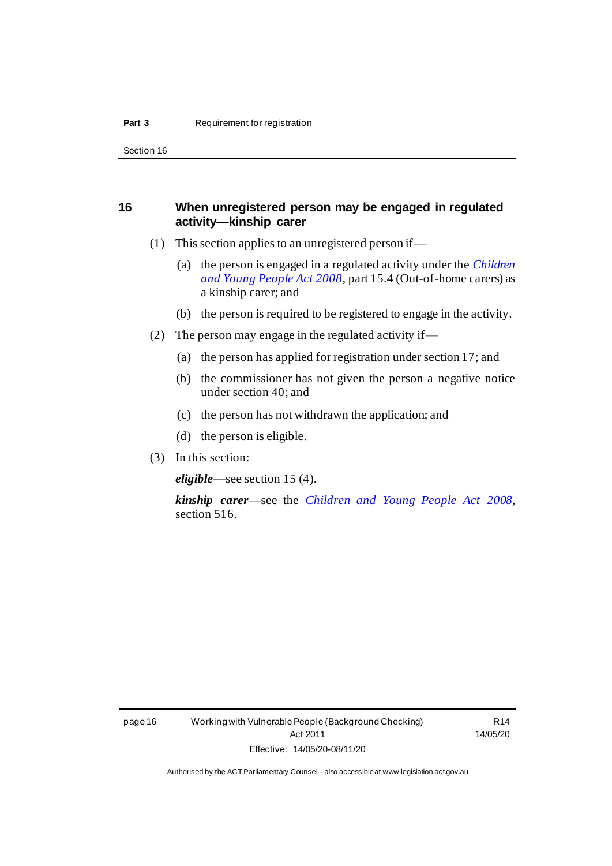Section 16

## <span id="page-23-0"></span>**16 When unregistered person may be engaged in regulated activity—kinship carer**

- (1) This section applies to an unregistered person if—
	- (a) the person is engaged in a regulated activity under the *[Children](http://www.legislation.act.gov.au/a/2008-19)  [and Young People Act 2008](http://www.legislation.act.gov.au/a/2008-19)*, part 15.4 (Out-of-home carers) as a kinship carer; and
	- (b) the person is required to be registered to engage in the activity.
- (2) The person may engage in the regulated activity if—
	- (a) the person has applied for registration under section 17; and
	- (b) the commissioner has not given the person a negative notice under section 40; and
	- (c) the person has not withdrawn the application; and
	- (d) the person is eligible.
- (3) In this section:

*eligible*—see section 15 (4).

*kinship carer*—see the *[Children and Young People Act 2008](http://www.legislation.act.gov.au/a/2008-19)*, section 516.

R14 14/05/20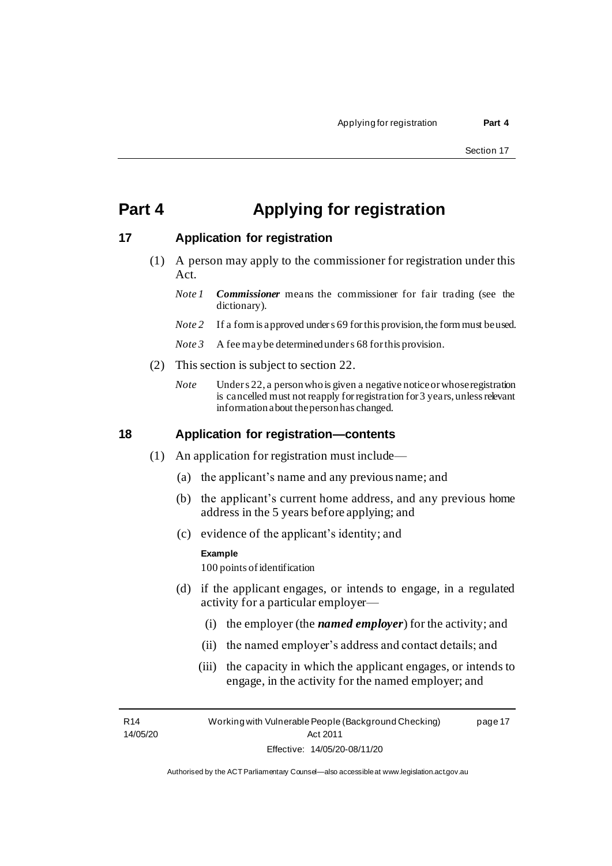## <span id="page-24-0"></span>**Part 4 Applying for registration**

## <span id="page-24-1"></span>**17 Application for registration**

- (1) A person may apply to the commissioner for registration under this Act.
	- *Note 1 Commissioner* means the commissioner for fair trading (see the dictionary).
	- *Note* 2 If a form is approved under s 69 for this provision, the form must be used.
	- *Note 3* A fee may be determined under s 68 for this provision.
- (2) This section is subject to section 22.
	- *Note* Under s 22, a person who is given a negative notice or whose registration is cancelled must not reapply forregistration for 3 years, unless relevant information about the person has changed.

## <span id="page-24-2"></span>**18 Application for registration—contents**

- (1) An application for registration must include—
	- (a) the applicant's name and any previous name; and
	- (b) the applicant's current home address, and any previous home address in the 5 years before applying; and
	- (c) evidence of the applicant's identity; and

#### **Example**

100 points of identification

- (d) if the applicant engages, or intends to engage, in a regulated activity for a particular employer—
	- (i) the employer (the *named employer*) for the activity; and
	- (ii) the named employer's address and contact details; and
	- (iii) the capacity in which the applicant engages, or intends to engage, in the activity for the named employer; and

R14 14/05/20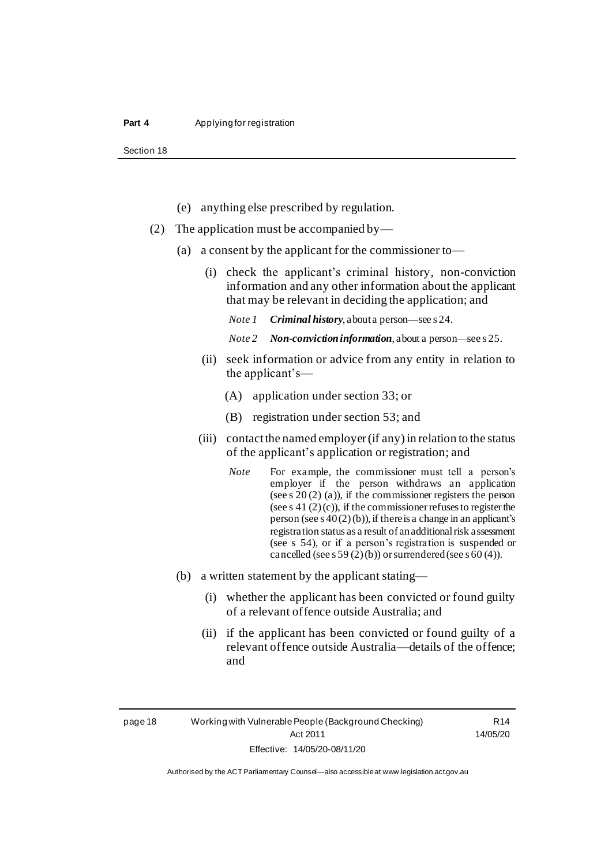Section 18

- (e) anything else prescribed by regulation.
- (2) The application must be accompanied by—
	- (a) a consent by the applicant for the commissioner to—
		- (i) check the applicant's criminal history, non-conviction information and any other information about the applicant that may be relevant in deciding the application; and

*Note 1 Criminal history*, about a person*—*see s 24.

*Note 2 Non-conviction information*, about a person—see s 25.

- (ii) seek information or advice from any entity in relation to the applicant's—
	- (A) application under section 33; or
	- (B) registration under section 53; and
- (iii) contact the named employer (if any) in relation to the status of the applicant's application or registration; and
	- *Note* For example, the commissioner must tell a person's employer if the person withdraws an application (see s 20 (2) (a)), if the commissioner registers the person (see s 41 (2)(c)), if the commissioner refuses to register the person (see s  $40(2)(b)$ ), if there is a change in an applicant's registration status as a result of an additionalrisk assessment (see s 54), or if a person's registration is suspended or cancelled (see s 59 (2)(b)) or surrendered (see s 60 (4)).
- (b) a written statement by the applicant stating—
	- (i) whether the applicant has been convicted or found guilty of a relevant offence outside Australia; and
	- (ii) if the applicant has been convicted or found guilty of a relevant offence outside Australia—details of the offence; and

page 18 Working with Vulnerable People (Background Checking) Act 2011 Effective: 14/05/20-08/11/20

R14 14/05/20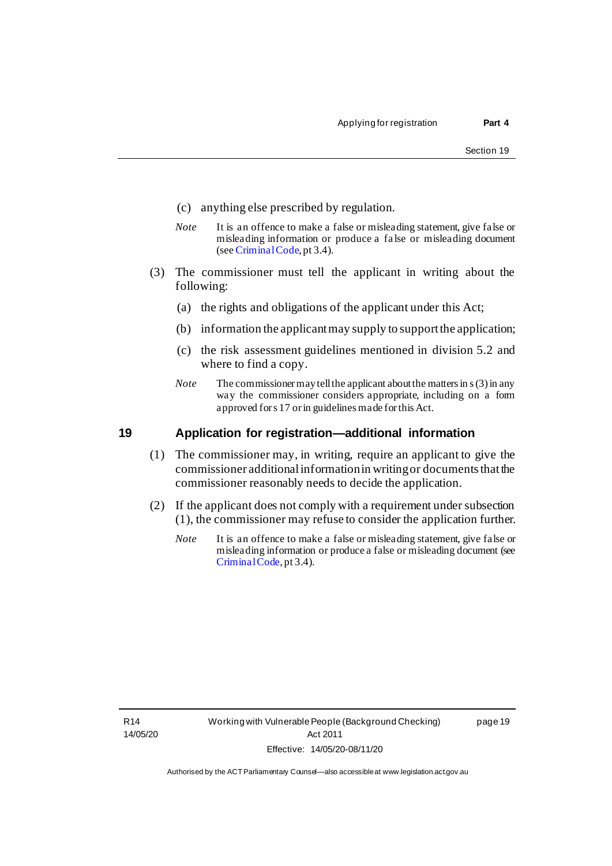- (c) anything else prescribed by regulation.
- *Note* It is an offence to make a false or misleading statement, give false or misleading information or produce a fa lse or misleading document (see [Criminal Code](http://www.legislation.act.gov.au/a/2002-51/default.asp), pt 3.4).
- (3) The commissioner must tell the applicant in writing about the following:
	- (a) the rights and obligations of the applicant under this Act;
	- (b) information the applicant may supply to support the application;
	- (c) the risk assessment guidelines mentioned in division 5.2 and where to find a copy.
	- *Note* The commissioner may tell the applicant about the matters in s (3) in any way the commissioner considers appropriate, including on a form approved for s 17 or in guidelines made for this Act.

### <span id="page-26-0"></span>**19 Application for registration—additional information**

- (1) The commissioner may, in writing, require an applicant to give the commissioner additional information in writing or documents that the commissioner reasonably needs to decide the application.
- (2) If the applicant does not comply with a requirement under subsection (1), the commissioner may refuse to consider the application further.
	- *Note* It is an offence to make a false or misleading statement, give false or misleading information or produce a false or misleading document (see [Criminal Code](http://www.legislation.act.gov.au/a/2002-51/default.asp), pt 3.4).

page 19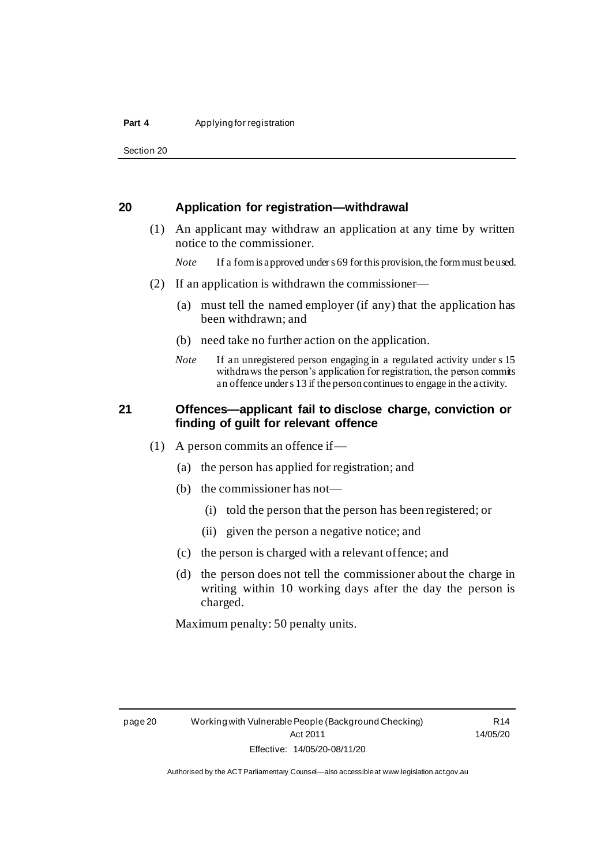#### **Part 4** Applying for registration

Section 20

## <span id="page-27-0"></span>**20 Application for registration—withdrawal**

- (1) An applicant may withdraw an application at any time by written notice to the commissioner.
	- *Note* If a form is approved under s 69 for this provision, the form must be used.
- (2) If an application is withdrawn the commissioner—
	- (a) must tell the named employer (if any) that the application has been withdrawn; and
	- (b) need take no further action on the application.
	- *Note* If an unregistered person engaging in a regulated activity under s 15 withdraws the person's application for registration, the person commits an offence under s 13 if the person continues to engage in the activity.

## <span id="page-27-1"></span>**21 Offences—applicant fail to disclose charge, conviction or finding of guilt for relevant offence**

- (1) A person commits an offence if—
	- (a) the person has applied for registration; and
	- (b) the commissioner has not—
		- (i) told the person that the person has been registered; or
		- (ii) given the person a negative notice; and
	- (c) the person is charged with a relevant offence; and
	- (d) the person does not tell the commissioner about the charge in writing within 10 working days after the day the person is charged.

Maximum penalty: 50 penalty units.

R14 14/05/20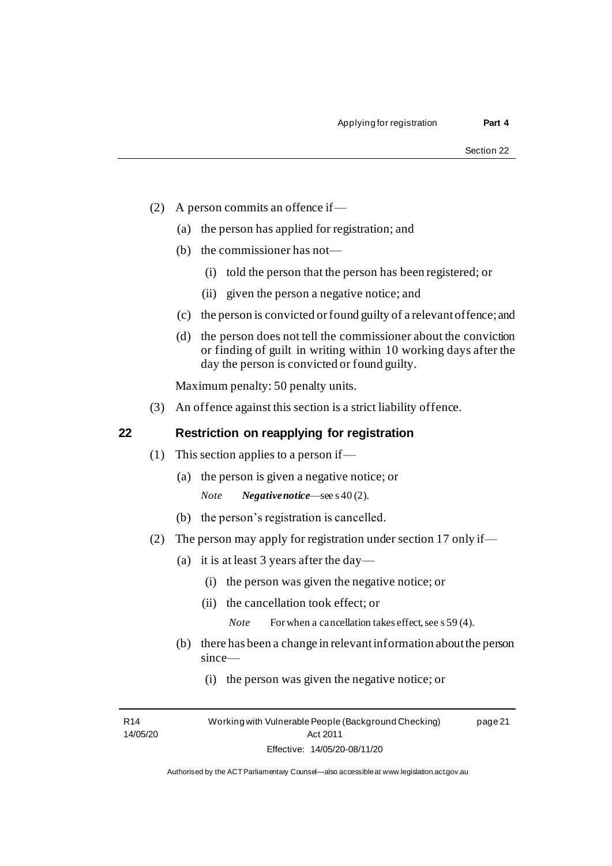- (2) A person commits an offence if—
	- (a) the person has applied for registration; and
	- (b) the commissioner has not—
		- (i) told the person that the person has been registered; or
		- (ii) given the person a negative notice; and
	- (c) the person is convicted or found guilty of a relevant offence; and
	- (d) the person does not tell the commissioner about the conviction or finding of guilt in writing within 10 working days after the day the person is convicted or found guilty.

Maximum penalty: 50 penalty units.

(3) An offence against this section is a strict liability offence.

## <span id="page-28-0"></span>**22 Restriction on reapplying for registration**

- (1) This section applies to a person if—
	- (a) the person is given a negative notice; or *Note Negative notice*—see s 40 (2).
	- (b) the person's registration is cancelled.
- (2) The person may apply for registration under section 17 only if—
	- (a) it is at least 3 years after the day—
		- (i) the person was given the negative notice; or
		- (ii) the cancellation took effect; or
			- *Note* For when a cancellation takes effect, see s 59 (4).
	- (b) there has been a change in relevant information about the person since—
		- (i) the person was given the negative notice; or

R14 14/05/20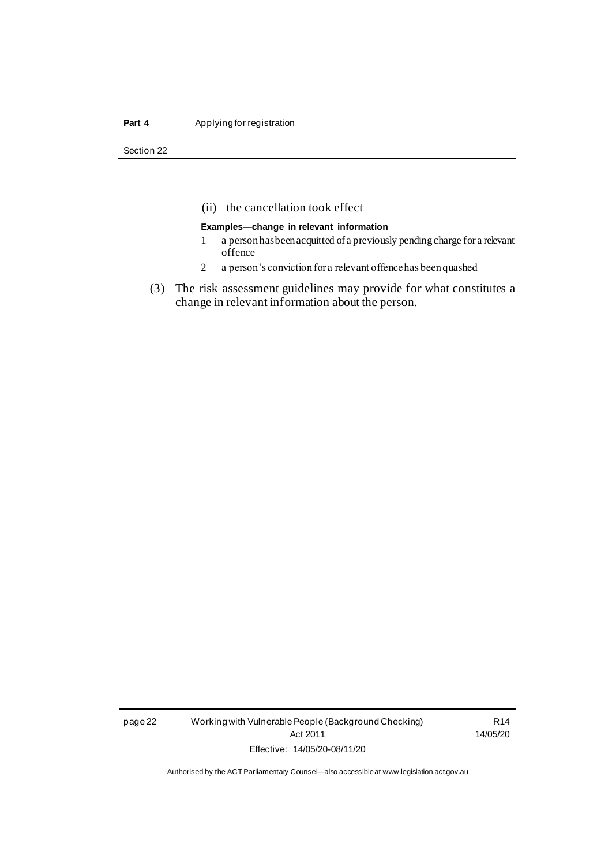#### **Part 4** Applying for registration

Section 22

## (ii) the cancellation took effect

#### **Examples—change in relevant information**

- 1 a person has been acquitted of a previously pending charge for a relevant offence
- 2 a person's conviction for a relevant offence has been quashed
- (3) The risk assessment guidelines may provide for what constitutes a change in relevant information about the person.

page 22 Working with Vulnerable People (Background Checking) Act 2011 Effective: 14/05/20-08/11/20

R14 14/05/20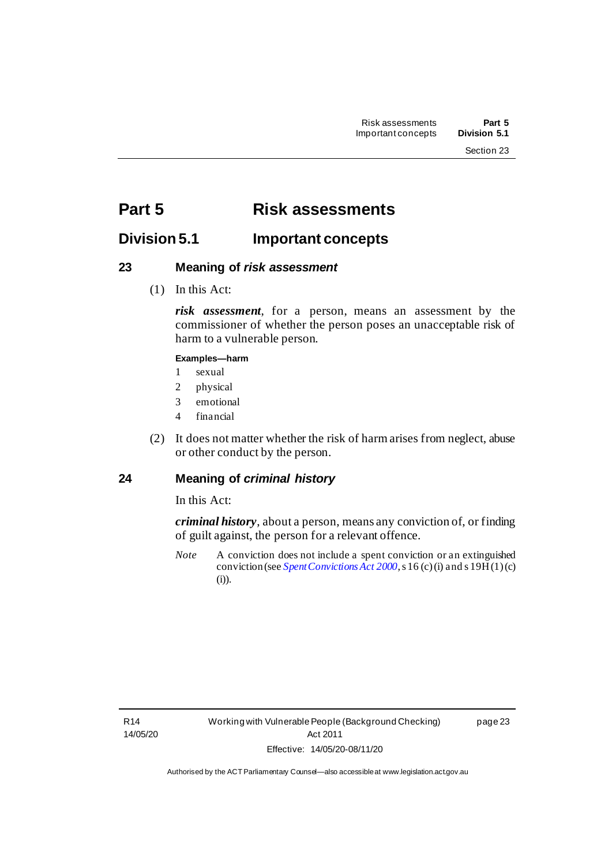## <span id="page-30-0"></span>**Part 5 Risk assessments**

## <span id="page-30-1"></span>**Division 5.1 Important concepts**

## <span id="page-30-2"></span>**23 Meaning of** *risk assessment*

(1) In this Act:

*risk assessment*, for a person, means an assessment by the commissioner of whether the person poses an unacceptable risk of harm to a vulnerable person.

### **Examples—harm**

- 1 sexual
- 2 physical
- 3 emotional
- 4 financial
- (2) It does not matter whether the risk of harm arises from neglect, abuse or other conduct by the person.

## <span id="page-30-3"></span>**24 Meaning of** *criminal history*

In this Act:

*criminal history*, about a person, means any conviction of, or finding of guilt against, the person for a relevant offence.

*Note* A conviction does not include a spent conviction or an extinguished conviction (see *[Spent Convictions Act](http://www.legislation.act.gov.au/a/2000-48) 2000*, s 16 (c) (i) and s 19H(1)(c) (i)).

page 23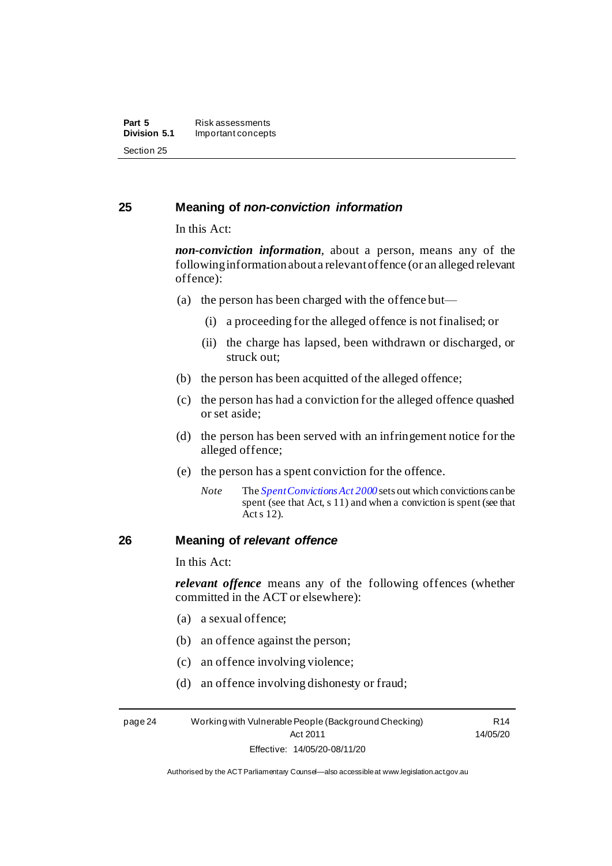## <span id="page-31-0"></span>**25 Meaning of** *non-conviction information*

In this Act:

*non-conviction information*, about a person, means any of the following information about a relevant offence (or an alleged relevant offence):

- (a) the person has been charged with the offence but—
	- (i) a proceeding for the alleged offence is not finalised; or
	- (ii) the charge has lapsed, been withdrawn or discharged, or struck out;
- (b) the person has been acquitted of the alleged offence;
- (c) the person has had a conviction for the alleged offence quashed or set aside;
- (d) the person has been served with an infringement notice for the alleged offence;
- (e) the person has a spent conviction for the offence.
	- *Note* The *[Spent Convictions Act 2000](http://www.legislation.act.gov.au/a/2000-48)* sets out which convictions can be spent (see that Act, s 11) and when a conviction is spent (see that Acts 12).

## <span id="page-31-1"></span>**26 Meaning of** *relevant offence*

In this Act:

*relevant offence* means any of the following offences (whether committed in the ACT or elsewhere):

- (a) a sexual offence;
- (b) an offence against the person;
- (c) an offence involving violence;
- (d) an offence involving dishonesty or fraud;

page 24 Working with Vulnerable People (Background Checking) Act 2011 Effective: 14/05/20-08/11/20

R14 14/05/20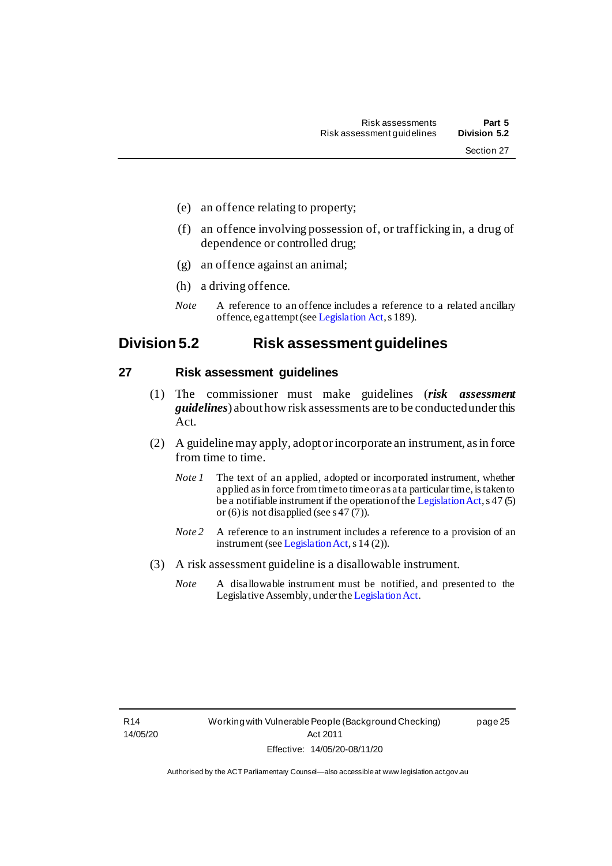- (e) an offence relating to property;
- (f) an offence involving possession of, or trafficking in, a drug of dependence or controlled drug;
- (g) an offence against an animal;
- (h) a driving offence.
- *Note* A reference to an offence includes a reference to a related ancillary offence, eg attempt (se[e Legislation Act](http://www.legislation.act.gov.au/a/2001-14), s 189).

## <span id="page-32-0"></span>**Division 5.2 Risk assessment guidelines**

## <span id="page-32-1"></span>**27 Risk assessment guidelines**

- (1) The commissioner must make guidelines (*risk assessment guidelines*) about how risk assessments are to be conducted under this Act.
- (2) A guideline may apply, adopt or incorporate an instrument, as in force from time to time.
	- *Note 1* The text of an applied, adopted or incorporated instrument, whether applied as in force from time to time or as at a particular time, is taken to be a notifiable instrument if the operation of th[e Legislation Act](http://www.legislation.act.gov.au/a/2001-14), s 47 (5) or (6) is not disapplied (see s 47  $(7)$ ).
	- *Note 2* A reference to an instrument includes a reference to a provision of an instrument (se[e Legislation Act](http://www.legislation.act.gov.au/a/2001-14), s 14 (2)).
- (3) A risk assessment guideline is a disallowable instrument.
	- *Note* A disallowable instrument must be notified, and presented to the Legislative Assembly, under th[e Legislation Act](http://www.legislation.act.gov.au/a/2001-14).

page 25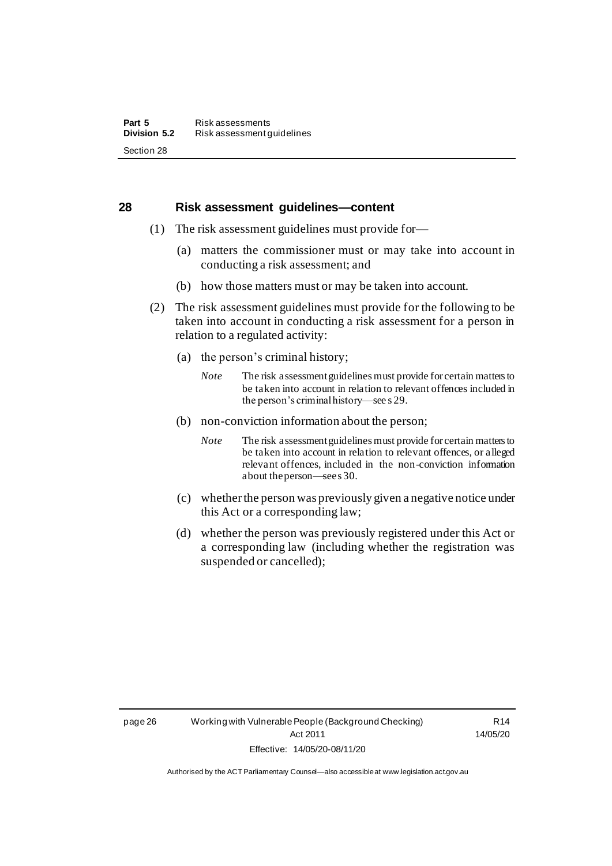### <span id="page-33-0"></span>**28 Risk assessment guidelines—content**

- (1) The risk assessment guidelines must provide for—
	- (a) matters the commissioner must or may take into account in conducting a risk assessment; and
	- (b) how those matters must or may be taken into account.
- (2) The risk assessment guidelines must provide for the following to be taken into account in conducting a risk assessment for a person in relation to a regulated activity:
	- (a) the person's criminal history;
		- *Note* The risk assessment guidelines must provide for certain matters to be taken into account in relation to relevant offences included in the person's criminal history—see s 29.
	- (b) non-conviction information about the person;
		- *Note* The risk assessment guidelines must provide for certain matters to be taken into account in relation to relevant offences, or alleged relevant offences, included in the non-conviction information about the person—sees 30.
	- (c) whether the person was previously given a negative notice under this Act or a corresponding law;
	- (d) whether the person was previously registered under this Act or a corresponding law (including whether the registration was suspended or cancelled);

R14 14/05/20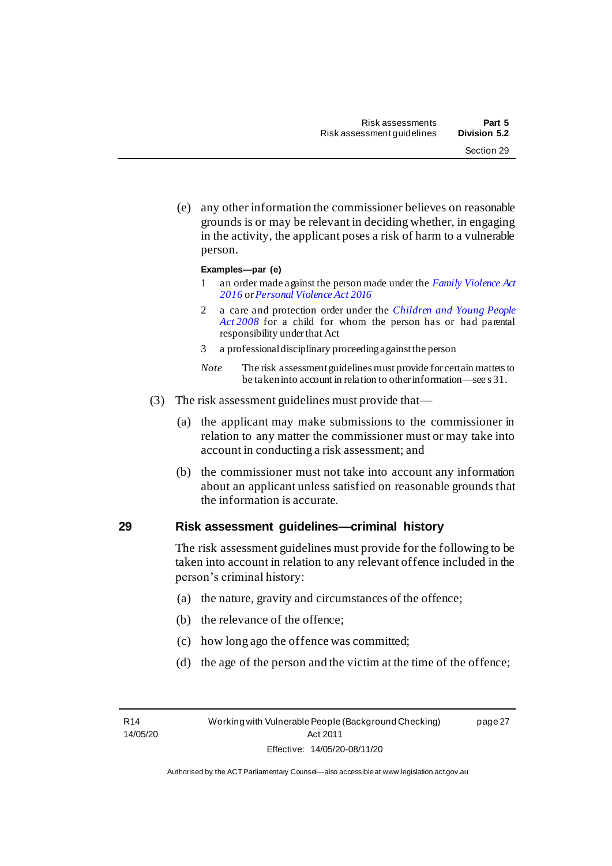(e) any other information the commissioner believes on reasonable grounds is or may be relevant in deciding whether, in engaging in the activity, the applicant poses a risk of harm to a vulnerable person.

#### **Examples—par (e)**

- 1 an order made against the person made under the *[Family Violence Act](http://www.legislation.act.gov.au/a/2016-42)  [2016](http://www.legislation.act.gov.au/a/2016-42)* or*[Personal Violence Act 2016](http://www.legislation.act.gov.au/a/2016-43)*
- 2 a care and protection order under the *[Children and Young People](http://www.legislation.act.gov.au/a/2008-19)  Act [2008](http://www.legislation.act.gov.au/a/2008-19)* for a child for whom the person has or had parental responsibility under that Act
- 3 a professional disciplinary proceeding against the person
- *Note* The risk assessment guidelines must provide for certain matters to be taken into account in relation to other information—see s 31.
- (3) The risk assessment guidelines must provide that—
	- (a) the applicant may make submissions to the commissioner in relation to any matter the commissioner must or may take into account in conducting a risk assessment; and
	- (b) the commissioner must not take into account any information about an applicant unless satisfied on reasonable grounds that the information is accurate.

## <span id="page-34-0"></span>**29 Risk assessment guidelines—criminal history**

The risk assessment guidelines must provide for the following to be taken into account in relation to any relevant offence included in the person's criminal history:

- (a) the nature, gravity and circumstances of the offence;
- (b) the relevance of the offence;
- (c) how long ago the offence was committed;
- (d) the age of the person and the victim at the time of the offence;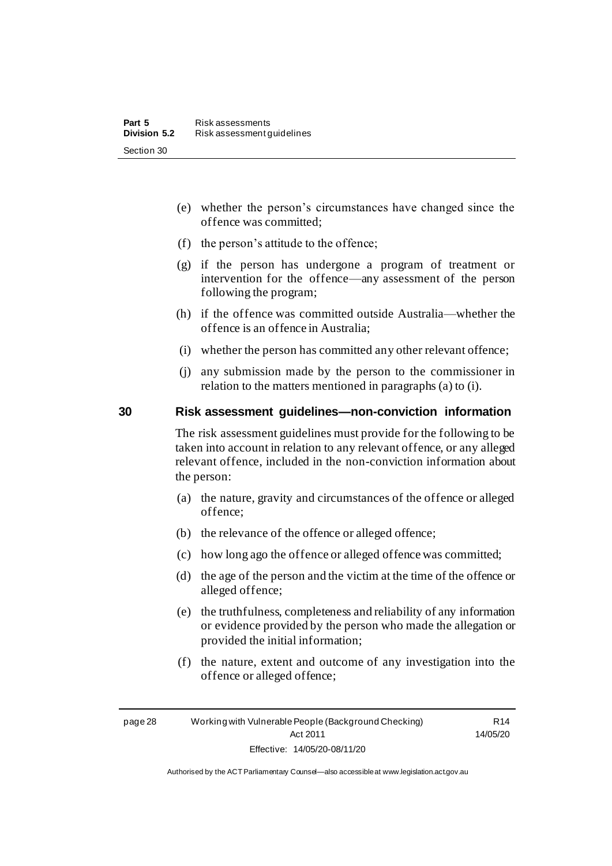- (e) whether the person's circumstances have changed since the offence was committed;
- (f) the person's attitude to the offence;
- (g) if the person has undergone a program of treatment or intervention for the offence—any assessment of the person following the program;
- (h) if the offence was committed outside Australia—whether the offence is an offence in Australia;
- (i) whether the person has committed any other relevant offence;
- (j) any submission made by the person to the commissioner in relation to the matters mentioned in paragraphs (a) to (i).

## <span id="page-35-0"></span>**30 Risk assessment guidelines—non-conviction information**

The risk assessment guidelines must provide for the following to be taken into account in relation to any relevant offence, or any alleged relevant offence, included in the non-conviction information about the person:

- (a) the nature, gravity and circumstances of the offence or alleged offence;
- (b) the relevance of the offence or alleged offence;
- (c) how long ago the offence or alleged offence was committed;
- (d) the age of the person and the victim at the time of the offence or alleged offence;
- (e) the truthfulness, completeness and reliability of any information or evidence provided by the person who made the allegation or provided the initial information;
- (f) the nature, extent and outcome of any investigation into the offence or alleged offence;

page 28 Working with Vulnerable People (Background Checking) Act 2011 Effective: 14/05/20-08/11/20

R14 14/05/20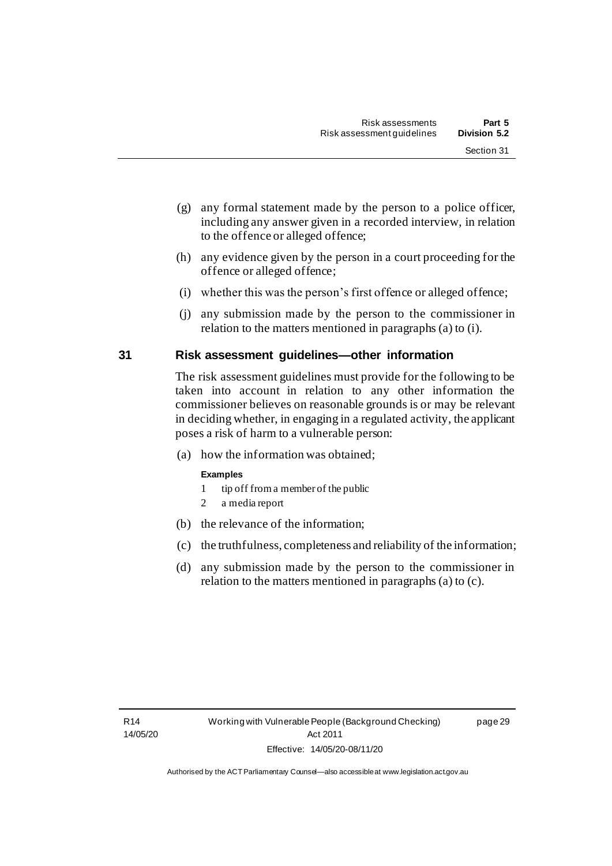page 29

- (g) any formal statement made by the person to a police officer, including any answer given in a recorded interview, in relation to the offence or alleged offence;
- (h) any evidence given by the person in a court proceeding for the offence or alleged offence;
- (i) whether this was the person's first offence or alleged offence;
- (j) any submission made by the person to the commissioner in relation to the matters mentioned in paragraphs (a) to (i).

#### **31 Risk assessment guidelines—other information**

The risk assessment guidelines must provide for the following to be taken into account in relation to any other information the commissioner believes on reasonable grounds is or may be relevant in deciding whether, in engaging in a regulated activity, the applicant poses a risk of harm to a vulnerable person:

(a) how the information was obtained;

#### **Examples**

- 1 tip off from a member of the public
- 2 a media report
- (b) the relevance of the information;
- (c) the truthfulness, completeness and reliability of the information;
- (d) any submission made by the person to the commissioner in relation to the matters mentioned in paragraphs (a) to (c).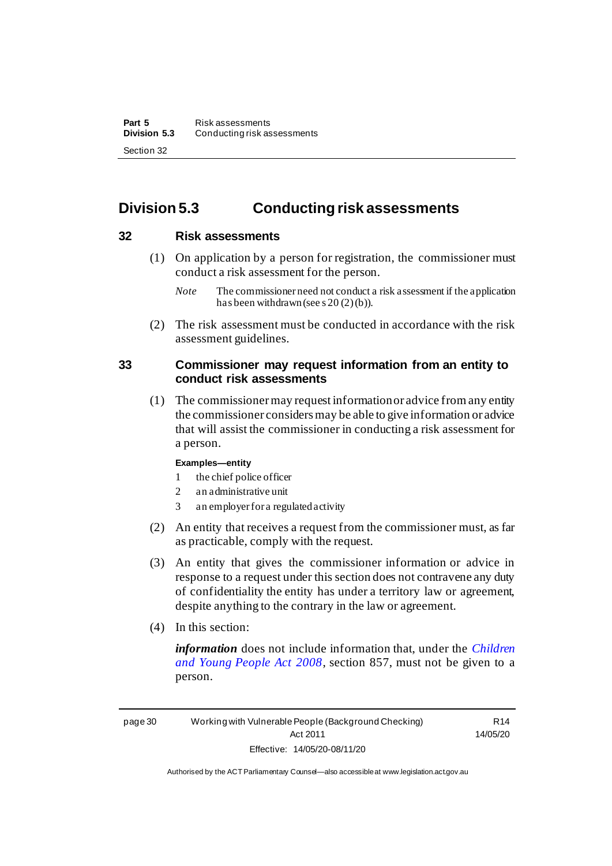### **Division 5.3 Conducting risk assessments**

#### **32 Risk assessments**

(1) On application by a person for registration, the commissioner must conduct a risk assessment for the person.

(2) The risk assessment must be conducted in accordance with the risk assessment guidelines.

#### **33 Commissioner may request information from an entity to conduct risk assessments**

(1) The commissioner may request information or advice from any entity the commissioner considers may be able to give information or advice that will assist the commissioner in conducting a risk assessment for a person.

#### **Examples—entity**

- 1 the chief police officer
- 2 an administrative unit
- 3 an employer for a regulated activity
- (2) An entity that receives a request from the commissioner must, as far as practicable, comply with the request.
- (3) An entity that gives the commissioner information or advice in response to a request under this section does not contravene any duty of confidentiality the entity has under a territory law or agreement, despite anything to the contrary in the law or agreement.
- (4) In this section:

*information* does not include information that, under the *[Children](http://www.legislation.act.gov.au/a/2008-19)  [and Young People Act 2008](http://www.legislation.act.gov.au/a/2008-19)*, section 857, must not be given to a person.

R14 14/05/20

*Note* The commissioner need not conduct a risk assessment if the application has been withdrawn (see s  $20(2)(b)$ ).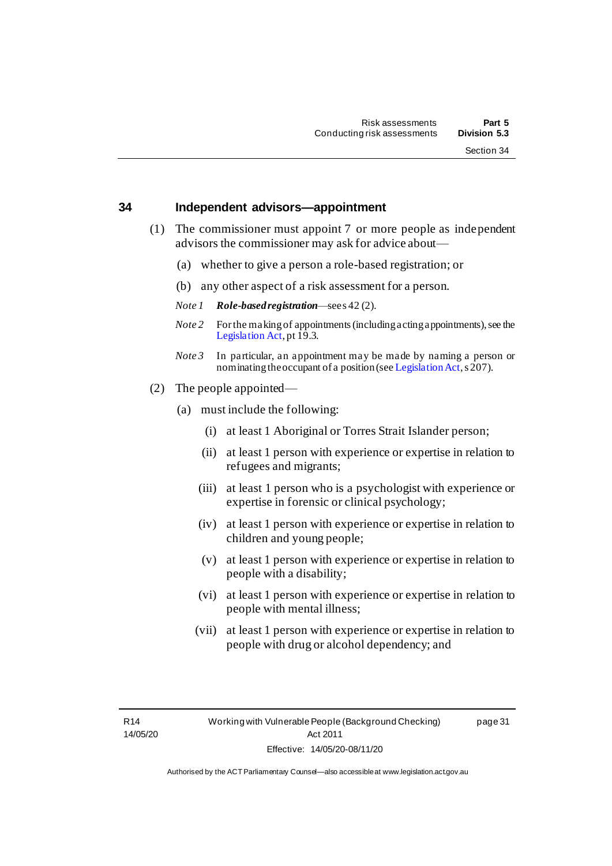page 31

#### **34 Independent advisors—appointment**

- (1) The commissioner must appoint 7 or more people as independent advisors the commissioner may ask for advice about—
	- (a) whether to give a person a role-based registration; or
	- (b) any other aspect of a risk assessment for a person.
	- *Note 1 Role-based registration*—see s 42 (2).
	- *Note 2* For the making of appointments (including acting appointments), see the [Legislation Act](http://www.legislation.act.gov.au/a/2001-14), pt 19.3.
	- *Note 3* In particular, an appointment may be made by naming a person or nominating the occupant of a position (se[e Legislation Act](http://www.legislation.act.gov.au/a/2001-14), s 207).
- (2) The people appointed—
	- (a) must include the following:
		- (i) at least 1 Aboriginal or Torres Strait Islander person;
		- (ii) at least 1 person with experience or expertise in relation to refugees and migrants;
		- (iii) at least 1 person who is a psychologist with experience or expertise in forensic or clinical psychology;
		- (iv) at least 1 person with experience or expertise in relation to children and young people;
		- (v) at least 1 person with experience or expertise in relation to people with a disability;
		- (vi) at least 1 person with experience or expertise in relation to people with mental illness;
		- (vii) at least 1 person with experience or expertise in relation to people with drug or alcohol dependency; and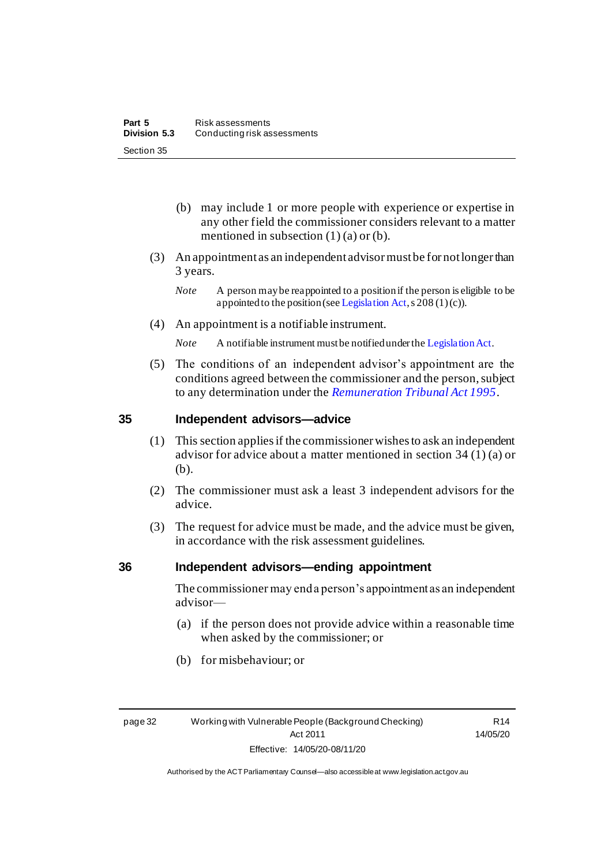- (b) may include 1 or more people with experience or expertise in any other field the commissioner considers relevant to a matter mentioned in subsection (1) (a) or (b).
- (3) An appointment as an independent advisor must be for not longer than 3 years.
	- *Note* A person may be reappointed to a position if the person is eligible to be appointed to the position (se[e Legislation Act](http://www.legislation.act.gov.au/a/2001-14), s  $208(1)(c)$ ).
- (4) An appointment is a notifiable instrument.
	- *Note* A notifiable instrument must be notified under th[e Legislation Act](http://www.legislation.act.gov.au/a/2001-14).
- (5) The conditions of an independent advisor's appointment are the conditions agreed between the commissioner and the person, subject to any determination under the *[Remuneration Tribunal Act 1995](http://www.legislation.act.gov.au/a/1995-55)*.

#### **35 Independent advisors—advice**

- (1) This section applies if the commissioner wishes to ask an independent advisor for advice about a matter mentioned in section 34 (1) (a) or (b).
- (2) The commissioner must ask a least 3 independent advisors for the advice.
- (3) The request for advice must be made, and the advice must be given, in accordance with the risk assessment guidelines.

#### **36 Independent advisors—ending appointment**

The commissioner may end a person's appointment as an independent advisor—

- (a) if the person does not provide advice within a reasonable time when asked by the commissioner; or
- (b) for misbehaviour; or

R14 14/05/20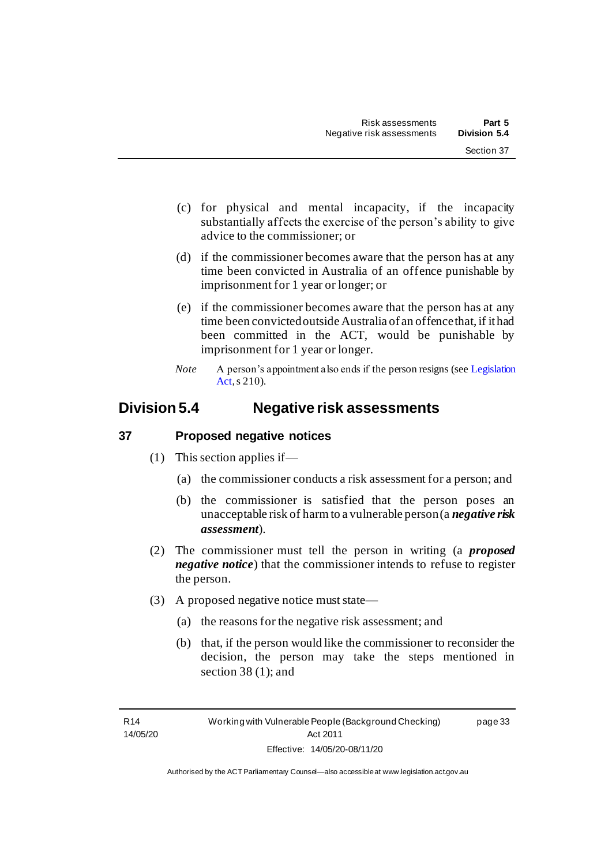- (c) for physical and mental incapacity, if the incapacity substantially affects the exercise of the person's ability to give advice to the commissioner; or
- (d) if the commissioner becomes aware that the person has at any time been convicted in Australia of an offence punishable by imprisonment for 1 year or longer; or
- (e) if the commissioner becomes aware that the person has at any time been convicted outside Australia of an offence that, if it had been committed in the ACT, would be punishable by imprisonment for 1 year or longer.
- *Note* A person's appointment also ends if the person resigns (see Legislation [Act,](http://www.legislation.act.gov.au/a/2001-14) s 210).

### **Division 5.4 Negative risk assessments**

#### **37 Proposed negative notices**

- (1) This section applies if—
	- (a) the commissioner conducts a risk assessment for a person; and
	- (b) the commissioner is satisfied that the person poses an unacceptable risk of harm to a vulnerable person (a *negative risk assessment*).
- (2) The commissioner must tell the person in writing (a *proposed negative notice*) that the commissioner intends to refuse to register the person.
- (3) A proposed negative notice must state—
	- (a) the reasons for the negative risk assessment; and
	- (b) that, if the person would like the commissioner to reconsider the decision, the person may take the steps mentioned in section 38 (1); and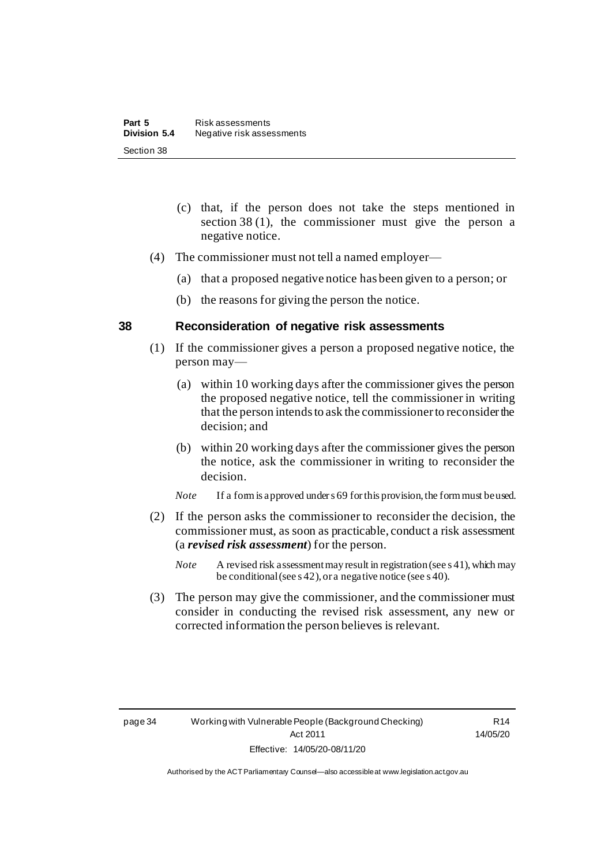- (c) that, if the person does not take the steps mentioned in section 38 (1), the commissioner must give the person a negative notice.
- (4) The commissioner must not tell a named employer—
	- (a) that a proposed negative notice has been given to a person; or
	- (b) the reasons for giving the person the notice.

#### **38 Reconsideration of negative risk assessments**

- (1) If the commissioner gives a person a proposed negative notice, the person may—
	- (a) within 10 working days after the commissioner gives the person the proposed negative notice, tell the commissioner in writing that the person intends to ask the commissioner to reconsider the decision; and
	- (b) within 20 working days after the commissioner gives the person the notice, ask the commissioner in writing to reconsider the decision.
	- *Note* If a form is approved under s 69 for this provision, the form must be used.
- (2) If the person asks the commissioner to reconsider the decision, the commissioner must, as soon as practicable, conduct a risk assessment (a *revised risk assessment*) for the person.
	- *Note* A revised risk assessment may result in registration (see s 41), which may be conditional (see s 42), or a negative notice (see s 40).
- (3) The person may give the commissioner, and the commissioner must consider in conducting the revised risk assessment, any new or corrected information the person believes is relevant.

R14 14/05/20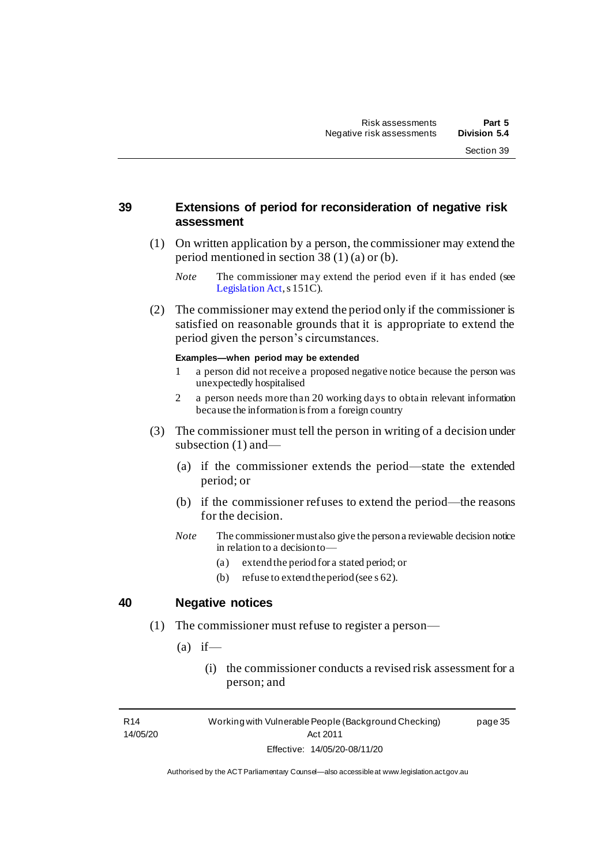#### **39 Extensions of period for reconsideration of negative risk assessment**

- (1) On written application by a person, the commissioner may extend the period mentioned in section 38 (1) (a) or (b).
	- *Note* The commissioner may extend the period even if it has ended (see [Legislation Act](http://www.legislation.act.gov.au/a/2001-14), s 151C).
- (2) The commissioner may extend the period only if the commissioner is satisfied on reasonable grounds that it is appropriate to extend the period given the person's circumstances.

#### **Examples—when period may be extended**

- 1 a person did not receive a proposed negative notice because the person was unexpectedly hospitalised
- 2 a person needs more than 20 working days to obtain relevant information because the information is from a foreign country
- (3) The commissioner must tell the person in writing of a decision under subsection (1) and—
	- (a) if the commissioner extends the period—state the extended period; or
	- (b) if the commissioner refuses to extend the period—the reasons for the decision.
	- *Note* The commissioner must also give the person a reviewable decision notice in relation to a decision to—
		- (a) extend the period for a stated period; or
		- (b) refuse to extend the period (see s 62).

#### **40 Negative notices**

- (1) The commissioner must refuse to register a person—
	- $(a)$  if
		- (i) the commissioner conducts a revised risk assessment for a person; and

R14 14/05/20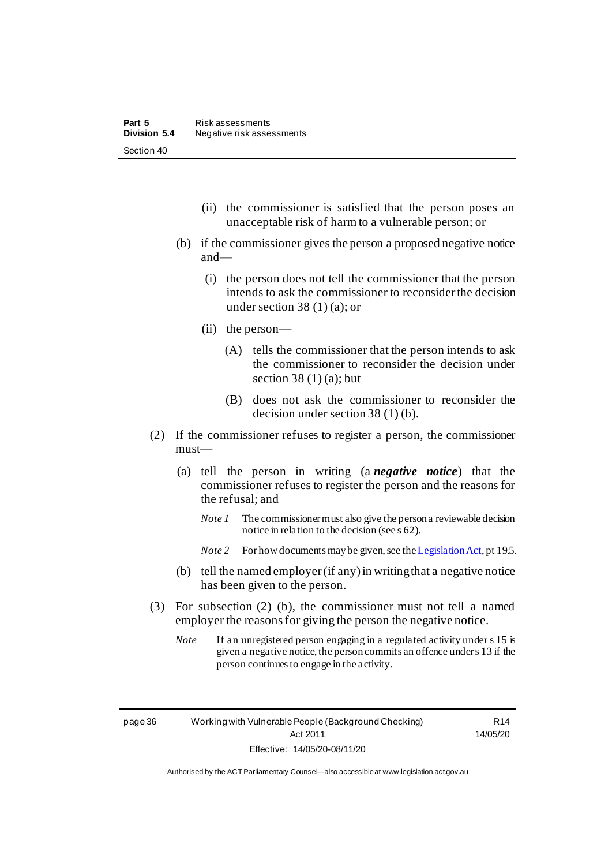- (ii) the commissioner is satisfied that the person poses an unacceptable risk of harm to a vulnerable person; or
- (b) if the commissioner gives the person a proposed negative notice and—
	- (i) the person does not tell the commissioner that the person intends to ask the commissioner to reconsider the decision under section 38 (1) (a); or
	- (ii) the person—
		- (A) tells the commissioner that the person intends to ask the commissioner to reconsider the decision under section  $38(1)(a)$ ; but
		- (B) does not ask the commissioner to reconsider the decision under section 38 (1) (b).
- (2) If the commissioner refuses to register a person, the commissioner must—
	- (a) tell the person in writing (a *negative notice*) that the commissioner refuses to register the person and the reasons for the refusal; and
		- *Note 1* The commissioner must also give the person a reviewable decision notice in relation to the decision (see s 62).
		- *Note 2* For how documents may be given, see th[e Legislation Act](http://www.legislation.act.gov.au/a/2001-14), pt 195.
	- (b) tell the named employer (if any) in writing that a negative notice has been given to the person.
- (3) For subsection (2) (b), the commissioner must not tell a named employer the reasons for giving the person the negative notice.
	- *Note* If an unregistered person engaging in a regulated activity under s 15 is given a negative notice, the person commits an offence under s 13 if the person continues to engage in the activity.

page 36 Working with Vulnerable People (Background Checking) Act 2011 Effective: 14/05/20-08/11/20

R14 14/05/20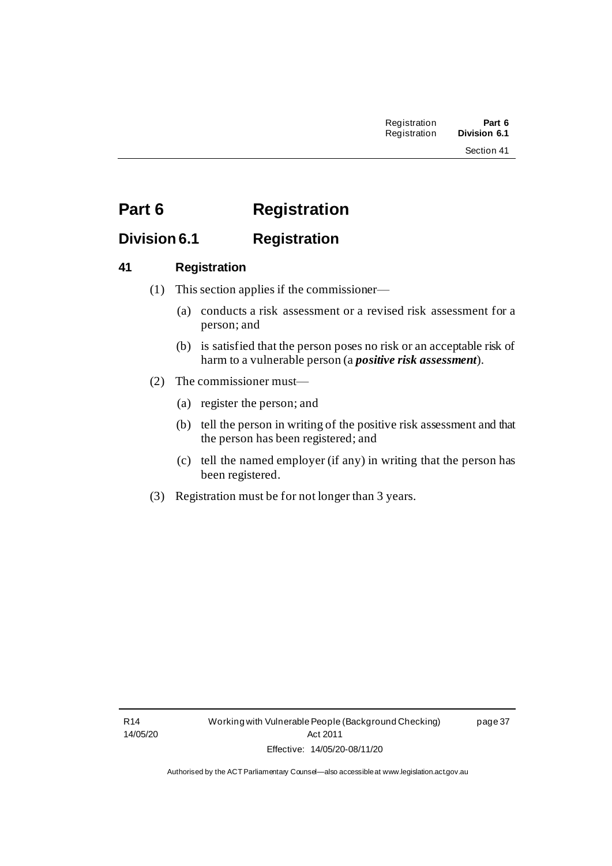# **Part 6 Registration**

### **Division 6.1 Registration**

#### **41 Registration**

- (1) This section applies if the commissioner—
	- (a) conducts a risk assessment or a revised risk assessment for a person; and
	- (b) is satisfied that the person poses no risk or an acceptable risk of harm to a vulnerable person (a *positive risk assessment*).
- (2) The commissioner must—
	- (a) register the person; and
	- (b) tell the person in writing of the positive risk assessment and that the person has been registered; and
	- (c) tell the named employer (if any) in writing that the person has been registered.
- (3) Registration must be for not longer than 3 years.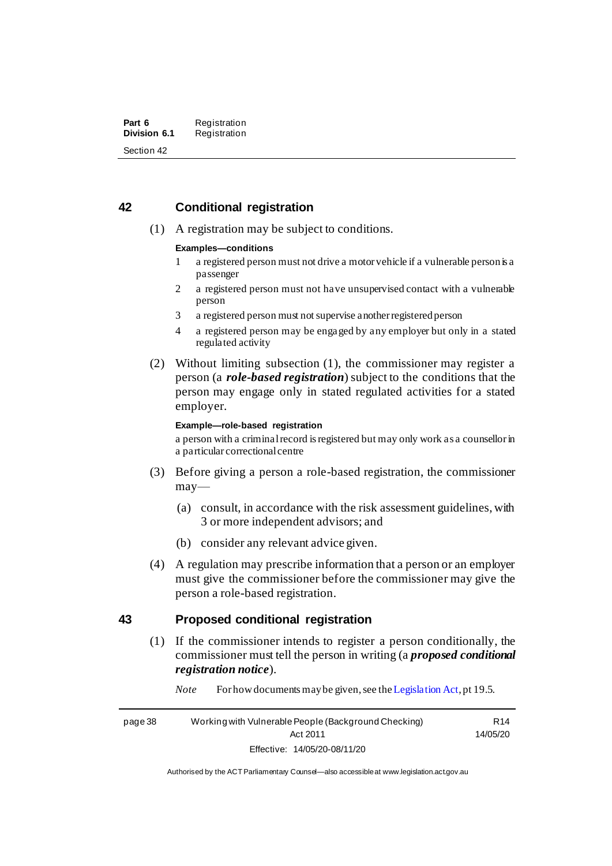#### **42 Conditional registration**

(1) A registration may be subject to conditions.

#### **Examples—conditions**

- 1 a registered person must not drive a motor vehicle if a vulnerable person is a passenger
- 2 a registered person must not have unsupervised contact with a vulnerable person
- 3 a registered person must not supervise another registered person
- 4 a registered person may be engaged by any employer but only in a stated regulated activity
- (2) Without limiting subsection (1), the commissioner may register a person (a *role-based registration*) subject to the conditions that the person may engage only in stated regulated activities for a stated employer.

#### **Example—role-based registration**

a person with a criminal record is registered but may only work as a counsellor in a particular correctional centre

- (3) Before giving a person a role-based registration, the commissioner may—
	- (a) consult, in accordance with the risk assessment guidelines, with 3 or more independent advisors; and
	- (b) consider any relevant advice given.
- (4) A regulation may prescribe information that a person or an employer must give the commissioner before the commissioner may give the person a role-based registration.

#### **43 Proposed conditional registration**

(1) If the commissioner intends to register a person conditionally, the commissioner must tell the person in writing (a *proposed conditional registration notice*).

*Note* For how documents may be given, see th[e Legislation Act](http://www.legislation.act.gov.au/a/2001-14), pt 19.5.

page 38 Working with Vulnerable People (Background Checking) Act 2011 Effective: 14/05/20-08/11/20

R14 14/05/20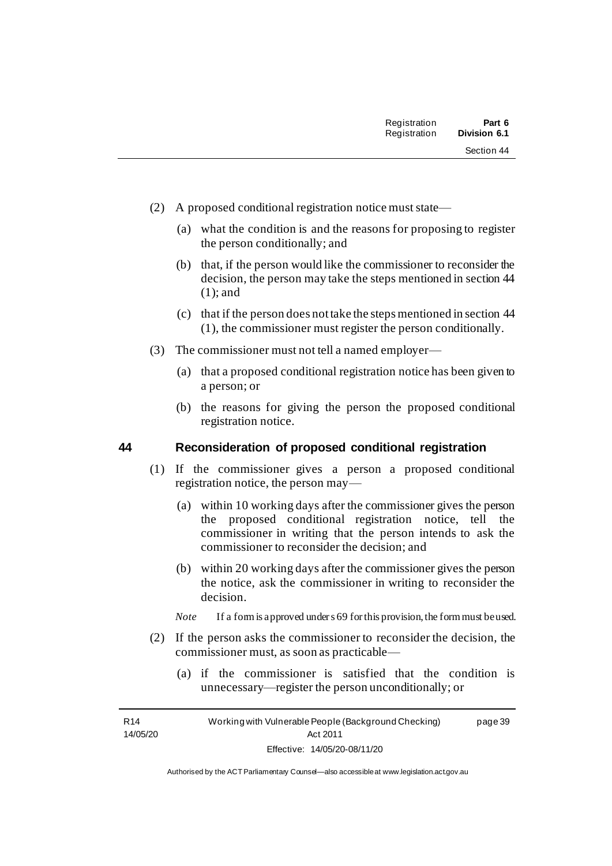- (2) A proposed conditional registration notice must state—
	- (a) what the condition is and the reasons for proposing to register the person conditionally; and
	- (b) that, if the person would like the commissioner to reconsider the decision, the person may take the steps mentioned in section 44 (1); and
	- (c) that if the person does not take the steps mentioned in section 44 (1), the commissioner must register the person conditionally.
- (3) The commissioner must not tell a named employer—
	- (a) that a proposed conditional registration notice has been given to a person; or
	- (b) the reasons for giving the person the proposed conditional registration notice.

#### **44 Reconsideration of proposed conditional registration**

- (1) If the commissioner gives a person a proposed conditional registration notice, the person may—
	- (a) within 10 working days after the commissioner gives the person the proposed conditional registration notice, tell the commissioner in writing that the person intends to ask the commissioner to reconsider the decision; and
	- (b) within 20 working days after the commissioner gives the person the notice, ask the commissioner in writing to reconsider the decision.
	- *Note* If a form is approved under s 69 for this provision, the form must be used.
- (2) If the person asks the commissioner to reconsider the decision, the commissioner must, as soon as practicable—
	- (a) if the commissioner is satisfied that the condition is unnecessary—register the person unconditionally; or

R14 14/05/20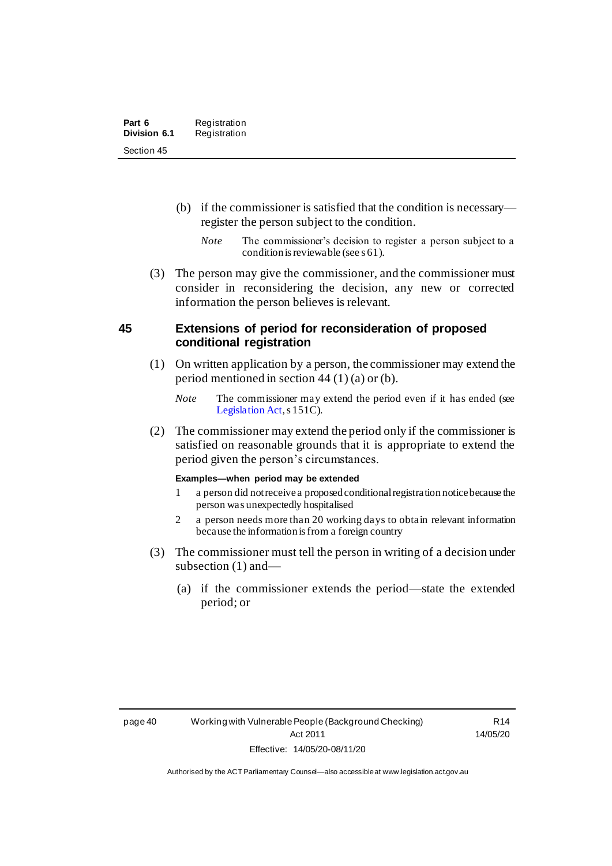- (b) if the commissioner is satisfied that the condition is necessary register the person subject to the condition.
	- *Note* The commissioner's decision to register a person subject to a condition is reviewable (see s 61).
- (3) The person may give the commissioner, and the commissioner must consider in reconsidering the decision, any new or corrected information the person believes is relevant.

#### **45 Extensions of period for reconsideration of proposed conditional registration**

- (1) On written application by a person, the commissioner may extend the period mentioned in section 44 (1) (a) or (b).
	- *Note* The commissioner may extend the period even if it has ended (see [Legislation Act](http://www.legislation.act.gov.au/a/2001-14), s 151C).
- (2) The commissioner may extend the period only if the commissioner is satisfied on reasonable grounds that it is appropriate to extend the period given the person's circumstances.

#### **Examples—when period may be extended**

- 1 a person did not receive a proposed conditional registration notice because the person was unexpectedly hospitalised
- 2 a person needs more than 20 working days to obtain relevant information because the information is from a foreign country
- (3) The commissioner must tell the person in writing of a decision under subsection (1) and—
	- (a) if the commissioner extends the period—state the extended period; or

R14 14/05/20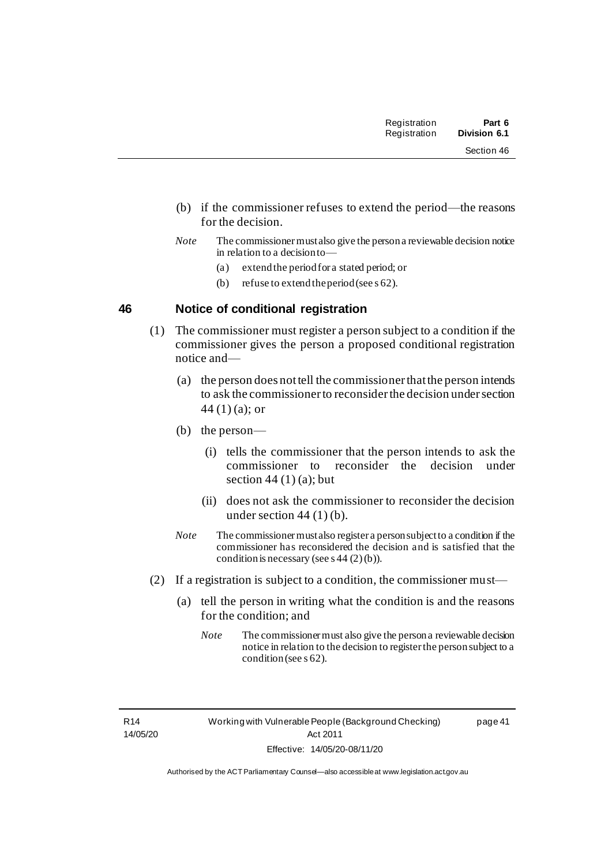| Registration | Part 6              |
|--------------|---------------------|
| Registration | <b>Division 6.1</b> |

- (b) if the commissioner refuses to extend the period—the reasons for the decision.
- *Note* The commissioner must also give the person a reviewable decision notice in relation to a decision to—
	- (a) extend the period for a stated period; or
	- (b) refuse to extend theperiod (see s 62).

#### **46 Notice of conditional registration**

- (1) The commissioner must register a person subject to a condition if the commissioner gives the person a proposed conditional registration notice and—
	- (a) the person does not tell the commissioner that the person intends to ask the commissioner to reconsider the decision under section 44 (1) (a); or
	- (b) the person—
		- (i) tells the commissioner that the person intends to ask the commissioner to reconsider the decision under section  $44(1)(a)$ ; but
		- (ii) does not ask the commissioner to reconsider the decision under section  $44(1)(b)$ .
	- *Note* The commissioner must also register a person subject to a condition if the commissioner has reconsidered the decision and is satisfied that the condition is necessary (see s  $44(2)(b)$ ).
- (2) If a registration is subject to a condition, the commissioner must—
	- (a) tell the person in writing what the condition is and the reasons for the condition; and
		- *Note* The commissioner must also give the person a reviewable decision notice in relation to the decision to register the person subject to a condition (see s 62).

R14 14/05/20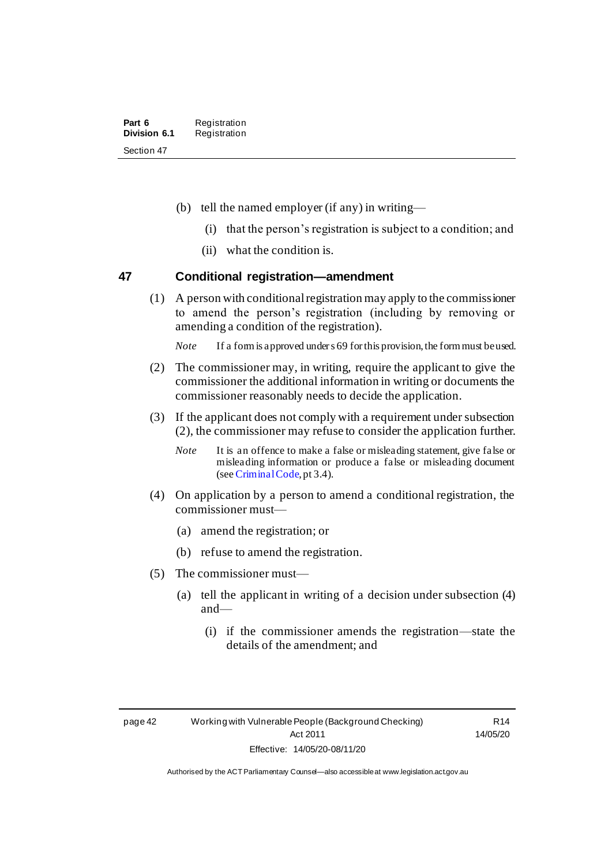- (b) tell the named employer (if any) in writing—
	- (i) that the person's registration is subject to a condition; and
	- (ii) what the condition is.

#### **47 Conditional registration—amendment**

(1) A person with conditional registration may apply to the commissioner to amend the person's registration (including by removing or amending a condition of the registration).

*Note* If a form is approved under s 69 for this provision, the form must be used.

- (2) The commissioner may, in writing, require the applicant to give the commissioner the additional information in writing or documents the commissioner reasonably needs to decide the application.
- (3) If the applicant does not comply with a requirement under subsection (2), the commissioner may refuse to consider the application further.
	- *Note* It is an offence to make a false or misleading statement, give false or misleading information or produce a false or misleading document (see [Criminal Code](http://www.legislation.act.gov.au/a/2002-51/default.asp), pt 3.4).
- (4) On application by a person to amend a conditional registration, the commissioner must—
	- (a) amend the registration; or
	- (b) refuse to amend the registration.
- (5) The commissioner must—
	- (a) tell the applicant in writing of a decision under subsection (4) and—
		- (i) if the commissioner amends the registration—state the details of the amendment; and

R14 14/05/20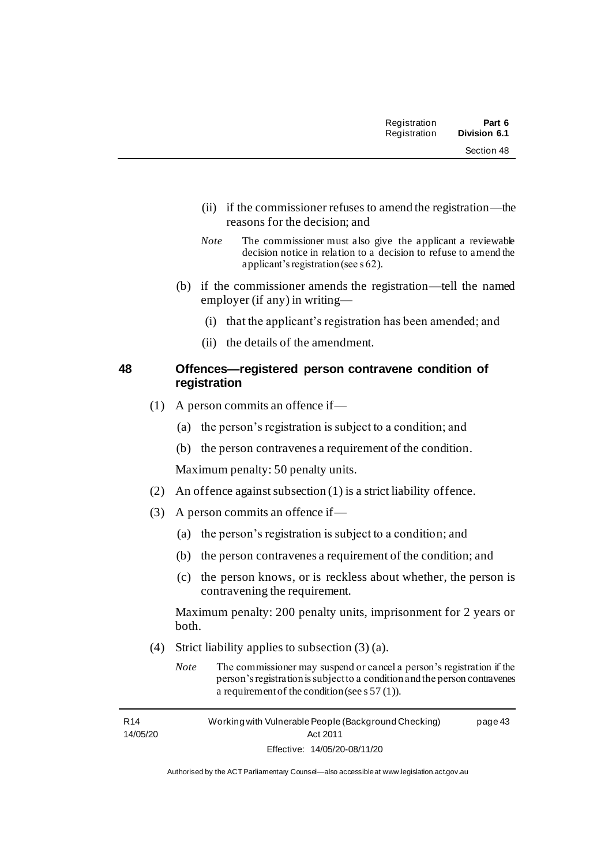| Registration | Part 6       |
|--------------|--------------|
| Registration | Division 6.1 |
|              | Section 48   |

- (ii) if the commissioner refuses to amend the registration—the reasons for the decision; and
- *Note* The commissioner must also give the applicant a reviewable decision notice in relation to a decision to refuse to amend the applicant's registration (see s 62).
- (b) if the commissioner amends the registration—tell the named employer (if any) in writing—
	- (i) that the applicant's registration has been amended; and
	- (ii) the details of the amendment.

#### **48 Offences—registered person contravene condition of registration**

- (1) A person commits an offence if—
	- (a) the person's registration is subject to a condition; and
	- (b) the person contravenes a requirement of the condition.

Maximum penalty: 50 penalty units.

- (2) An offence against subsection (1) is a strict liability offence.
- (3) A person commits an offence if—
	- (a) the person's registration is subject to a condition; and
	- (b) the person contravenes a requirement of the condition; and
	- (c) the person knows, or is reckless about whether, the person is contravening the requirement.

Maximum penalty: 200 penalty units, imprisonment for 2 years or both.

- (4) Strict liability applies to subsection (3) (a).
	- *Note* The commissioner may suspend or cancel a person's registration if the person's registration is subject to a condition and the person contravenes a requirement of the condition (see s 57 (1)).

R14 14/05/20 Working with Vulnerable People (Background Checking) Act 2011 Effective: 14/05/20-08/11/20 page 43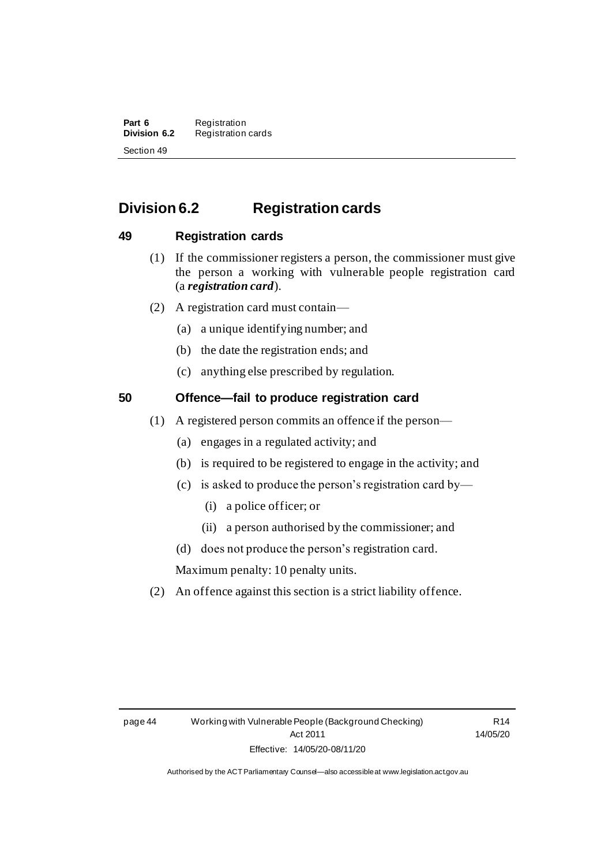**Part 6** Registration<br>**Division 6.2** Registration **Division 6.2** Registration cards Section 49

### **Division 6.2 Registration cards**

#### **49 Registration cards**

- (1) If the commissioner registers a person, the commissioner must give the person a working with vulnerable people registration card (a *registration card*).
- (2) A registration card must contain—
	- (a) a unique identifying number; and
	- (b) the date the registration ends; and
	- (c) anything else prescribed by regulation.

### **50 Offence—fail to produce registration card**

- (1) A registered person commits an offence if the person—
	- (a) engages in a regulated activity; and
	- (b) is required to be registered to engage in the activity; and
	- (c) is asked to produce the person's registration card by—
		- (i) a police officer; or
		- (ii) a person authorised by the commissioner; and
	- (d) does not produce the person's registration card.

Maximum penalty: 10 penalty units.

(2) An offence against this section is a strict liability offence.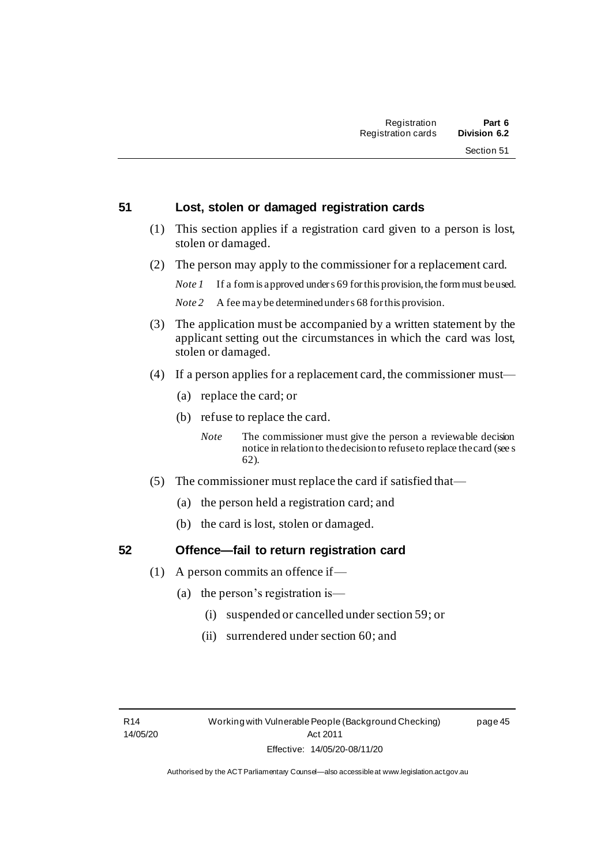page 45

#### **51 Lost, stolen or damaged registration cards**

- (1) This section applies if a registration card given to a person is lost, stolen or damaged.
- (2) The person may apply to the commissioner for a replacement card.

*Note 1* If a form is approved under s 69 for this provision, the form must be used.

*Note 2* A fee may be determined under s 68 for this provision.

- (3) The application must be accompanied by a written statement by the applicant setting out the circumstances in which the card was lost, stolen or damaged.
- (4) If a person applies for a replacement card, the commissioner must—
	- (a) replace the card; or
	- (b) refuse to replace the card.
		- *Note* The commissioner must give the person a reviewable decision notice in relation to the decision to refuse to replace the card (see s 62).
- (5) The commissioner must replace the card if satisfied that—
	- (a) the person held a registration card; and
	- (b) the card is lost, stolen or damaged.

#### **52 Offence—fail to return registration card**

- (1) A person commits an offence if
	- (a) the person's registration is—
		- (i) suspended or cancelled under section 59; or
		- (ii) surrendered under section 60; and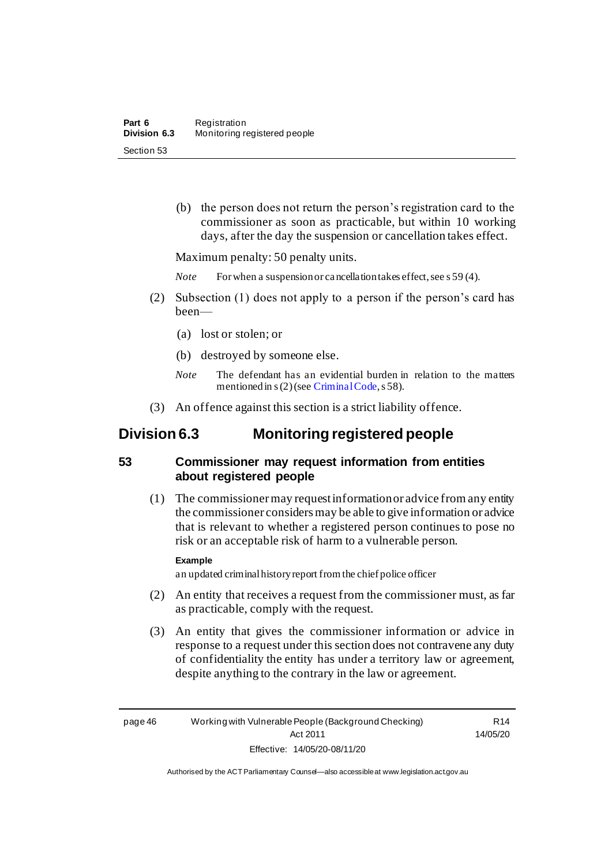(b) the person does not return the person's registration card to the commissioner as soon as practicable, but within 10 working days, after the day the suspension or cancellation takes effect.

Maximum penalty: 50 penalty units.

*Note* For when a suspension or cancellation takes effect, see s 59 (4).

- (2) Subsection (1) does not apply to a person if the person's card has been—
	- (a) lost or stolen; or
	- (b) destroyed by someone else.
	- *Note* The defendant has an evidential burden in relation to the matters mentioned in s (2) (se[e Criminal Code](http://www.legislation.act.gov.au/a/2002-51/default.asp), s 58).
- (3) An offence against this section is a strict liability offence.

### **Division 6.3 Monitoring registered people**

#### **53 Commissioner may request information from entities about registered people**

(1) The commissioner may request information or advice from any entity the commissioner considers may be able to give information or advice that is relevant to whether a registered person continues to pose no risk or an acceptable risk of harm to a vulnerable person.

#### **Example**

an updated criminal history report from the chief police officer

- (2) An entity that receives a request from the commissioner must, as far as practicable, comply with the request.
- (3) An entity that gives the commissioner information or advice in response to a request under this section does not contravene any duty of confidentiality the entity has under a territory law or agreement, despite anything to the contrary in the law or agreement.

R14 14/05/20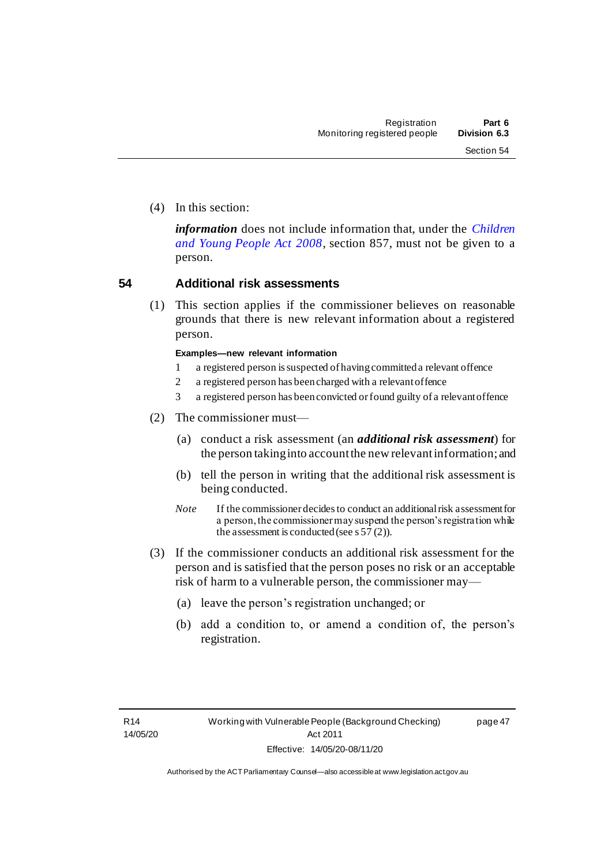(4) In this section:

*information* does not include information that, under the *[Children](http://www.legislation.act.gov.au/a/2008-19)  [and Young People Act 2008](http://www.legislation.act.gov.au/a/2008-19)*, section 857, must not be given to a person.

#### **54 Additional risk assessments**

(1) This section applies if the commissioner believes on reasonable grounds that there is new relevant information about a registered person.

#### **Examples—new relevant information**

- 1 a registered person is suspected of having committed a relevant offence
- 2 a registered person has been charged with a relevant offence
- 3 a registered person has been convicted or found guilty of a relevant offence
- (2) The commissioner must—
	- (a) conduct a risk assessment (an *additional risk assessment*) for the person taking into account the new relevant information; and
	- (b) tell the person in writing that the additional risk assessment is being conducted.
	- *Note* If the commissioner decides to conduct an additional risk assessment for a person, the commissioner may suspend the person's registration while the assessment is conducted (see s  $57(2)$ ).
- (3) If the commissioner conducts an additional risk assessment for the person and is satisfied that the person poses no risk or an acceptable risk of harm to a vulnerable person, the commissioner may—
	- (a) leave the person's registration unchanged; or
	- (b) add a condition to, or amend a condition of, the person's registration.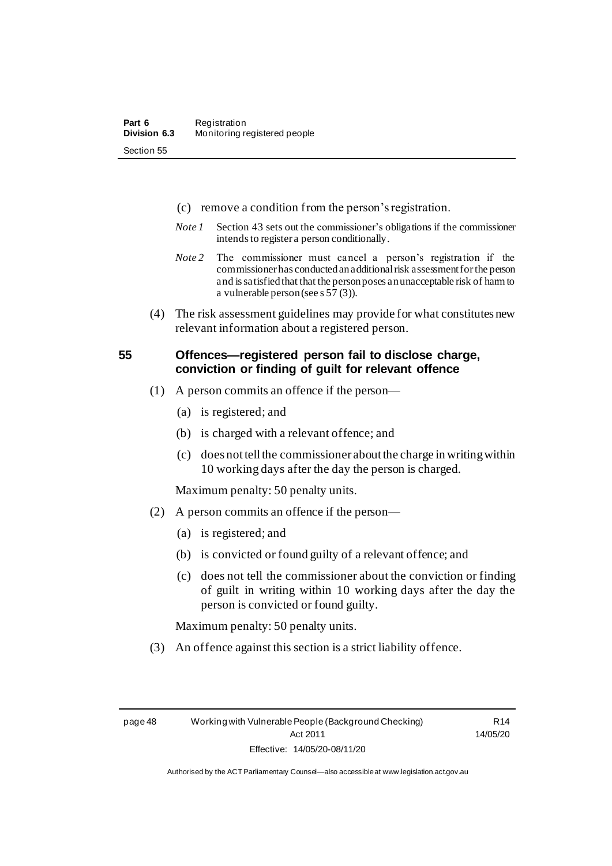- (c) remove a condition from the person's registration.
- *Note 1* Section 43 sets out the commissioner's obligations if the commissioner intends to register a person conditionally.
- *Note 2* The commissioner must cancel a person's registration if the commissioner has conducted an additional risk assessment for the person and is satisfied that that the person poses an unacceptable risk of harm to a vulnerable person (see s 57 (3)).
- (4) The risk assessment guidelines may provide for what constitutes new relevant information about a registered person.

#### **55 Offences—registered person fail to disclose charge, conviction or finding of guilt for relevant offence**

- (1) A person commits an offence if the person—
	- (a) is registered; and
	- (b) is charged with a relevant offence; and
	- (c) does nottell the commissioner about the charge in writingwithin 10 working days after the day the person is charged.

Maximum penalty: 50 penalty units.

- (2) A person commits an offence if the person—
	- (a) is registered; and
	- (b) is convicted or found guilty of a relevant offence; and
	- (c) does not tell the commissioner about the conviction or finding of guilt in writing within 10 working days after the day the person is convicted or found guilty.

Maximum penalty: 50 penalty units.

(3) An offence against this section is a strict liability offence.

R14 14/05/20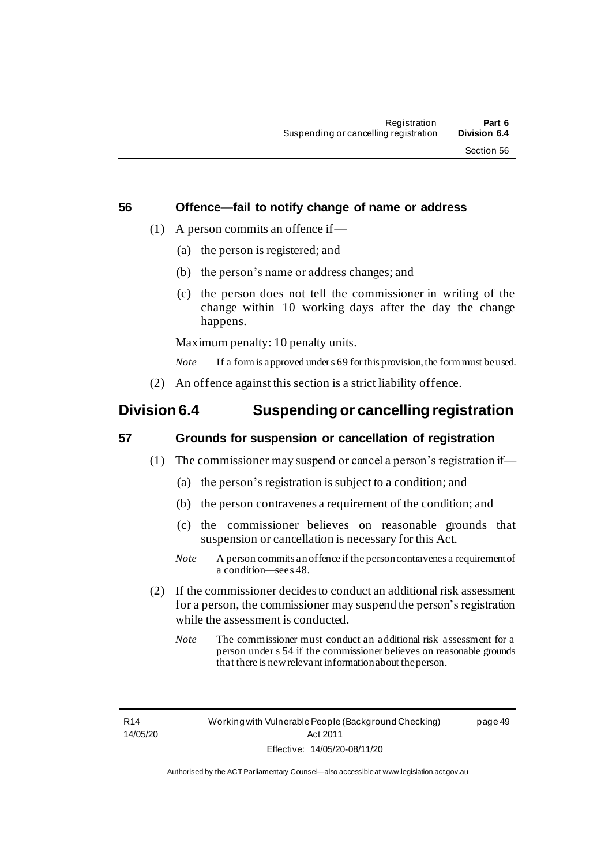page 49

#### **56 Offence—fail to notify change of name or address**

- (1) A person commits an offence if
	- (a) the person is registered; and
	- (b) the person's name or address changes; and
	- (c) the person does not tell the commissioner in writing of the change within 10 working days after the day the change happens.

Maximum penalty: 10 penalty units.

*Note* If a form is approved under s 69 for this provision, the form must be used.

(2) An offence against this section is a strict liability offence.

### **Division 6.4 Suspending or cancelling registration**

#### **57 Grounds for suspension or cancellation of registration**

- (1) The commissioner may suspend or cancel a person's registration if—
	- (a) the person's registration is subject to a condition; and
	- (b) the person contravenes a requirement of the condition; and
	- (c) the commissioner believes on reasonable grounds that suspension or cancellation is necessary for this Act.
	- *Note* A person commits an offence if the person contravenes a requirement of a condition—see s 48.
- (2) If the commissioner decides to conduct an additional risk assessment for a person, the commissioner may suspend the person's registration while the assessment is conducted.
	- *Note* The commissioner must conduct an additional risk assessment for a person under s 54 if the commissioner believes on reasonable grounds that there is new relevant information about the person.

R14 14/05/20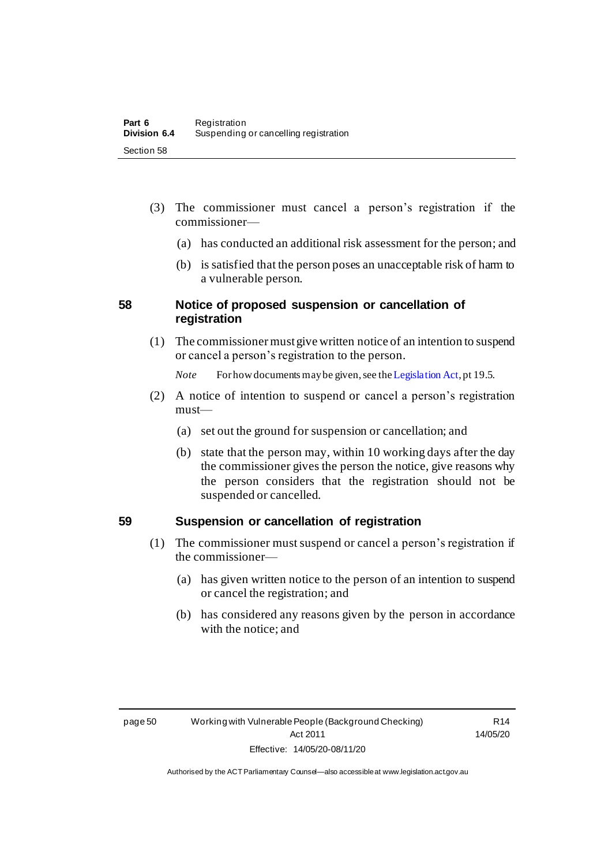- (3) The commissioner must cancel a person's registration if the commissioner—
	- (a) has conducted an additional risk assessment for the person; and
	- (b) is satisfied that the person poses an unacceptable risk of harm to a vulnerable person.

#### **58 Notice of proposed suspension or cancellation of registration**

(1) The commissionermust give written notice of an intention to suspend or cancel a person's registration to the person.

*Note* For how documents may be given, see th[e Legislation Act](http://www.legislation.act.gov.au/a/2001-14), pt 19.5.

- (2) A notice of intention to suspend or cancel a person's registration must—
	- (a) set out the ground for suspension or cancellation; and
	- (b) state that the person may, within 10 working days after the day the commissioner gives the person the notice, give reasons why the person considers that the registration should not be suspended or cancelled.

#### **59 Suspension or cancellation of registration**

- (1) The commissioner must suspend or cancel a person's registration if the commissioner—
	- (a) has given written notice to the person of an intention to suspend or cancel the registration; and
	- (b) has considered any reasons given by the person in accordance with the notice; and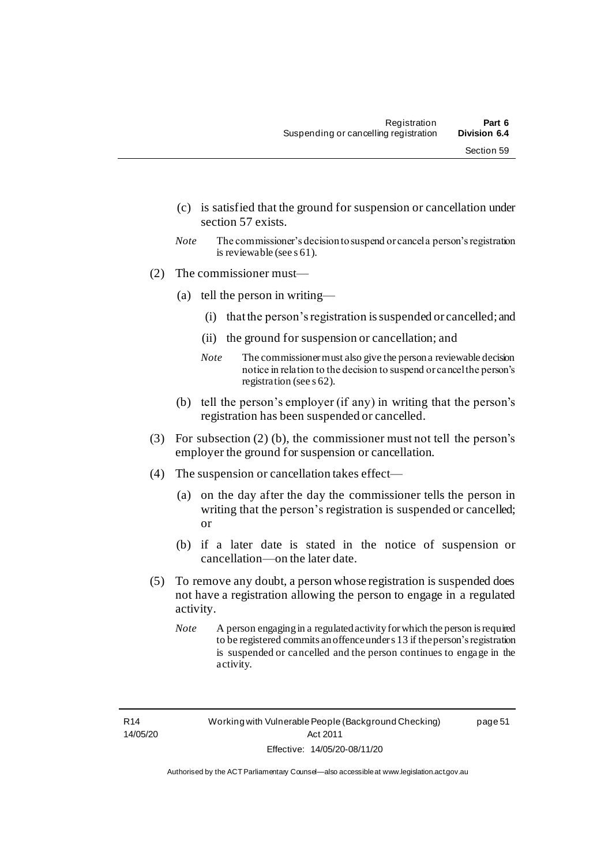- (c) is satisfied that the ground for suspension or cancellation under section 57 exists.
- *Note* The commissioner's decision to suspend or cancel a person's registration is reviewable (see s 61).
- (2) The commissioner must—
	- (a) tell the person in writing—
		- (i) that the person's registration issuspended or cancelled; and
		- (ii) the ground for suspension or cancellation; and
		- *Note* The commissioner must also give the person a reviewable decision notice in relation to the decision to suspend or cancel the person's registration (see s 62).
	- (b) tell the person's employer (if any) in writing that the person's registration has been suspended or cancelled.
- (3) For subsection (2) (b), the commissioner must not tell the person's employer the ground for suspension or cancellation.
- (4) The suspension or cancellation takes effect—
	- (a) on the day after the day the commissioner tells the person in writing that the person's registration is suspended or cancelled; or
	- (b) if a later date is stated in the notice of suspension or cancellation—on the later date.
- (5) To remove any doubt, a person whose registration is suspended does not have a registration allowing the person to engage in a regulated activity.
	- *Note* A person engaging in a regulated activity for which the person is required to be registered commits an offence under s 13 if the person's registration is suspended or cancelled and the person continues to engage in the activity.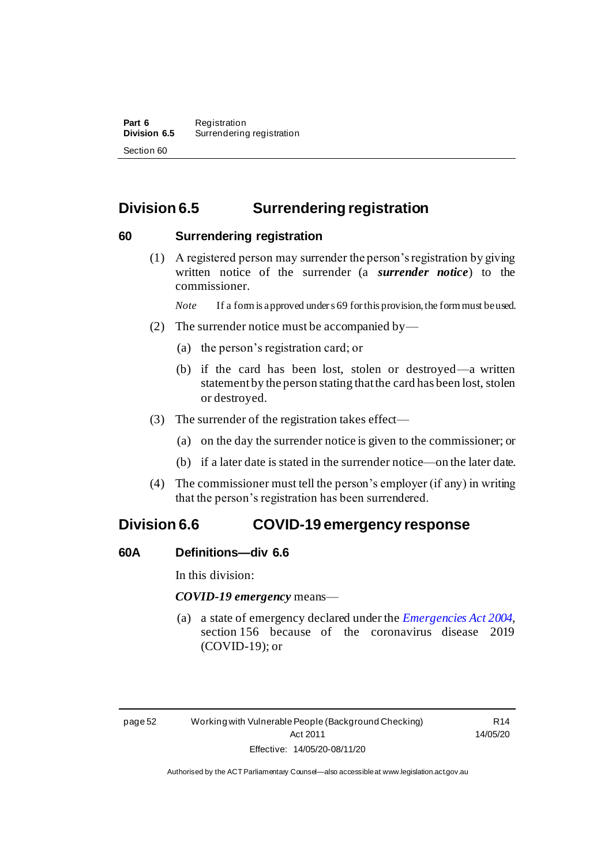### **Division 6.5 Surrendering registration**

#### **60 Surrendering registration**

(1) A registered person may surrender the person's registration by giving written notice of the surrender (a *surrender notice*) to the commissioner.

*Note* If a form is approved under s 69 for this provision, the form must be used.

- (2) The surrender notice must be accompanied by—
	- (a) the person's registration card; or
	- (b) if the card has been lost, stolen or destroyed—a written statement by the person stating that the card has been lost, stolen or destroyed.
- (3) The surrender of the registration takes effect—
	- (a) on the day the surrender notice is given to the commissioner; or
	- (b) if a later date is stated in the surrender notice—on the later date.
- (4) The commissioner must tell the person's employer (if any) in writing that the person's registration has been surrendered.

### **Division 6.6 COVID-19 emergency response**

#### **60A Definitions—div 6.6**

In this division:

*COVID-19 emergency* means—

(a) a state of emergency declared under the *[Emergencies Act](http://www.legislation.act.gov.au/a/2004-28) 2004*, section 156 because of the coronavirus disease 2019 (COVID-19); or

page 52 Working with Vulnerable People (Background Checking) Act 2011 Effective: 14/05/20-08/11/20

R14 14/05/20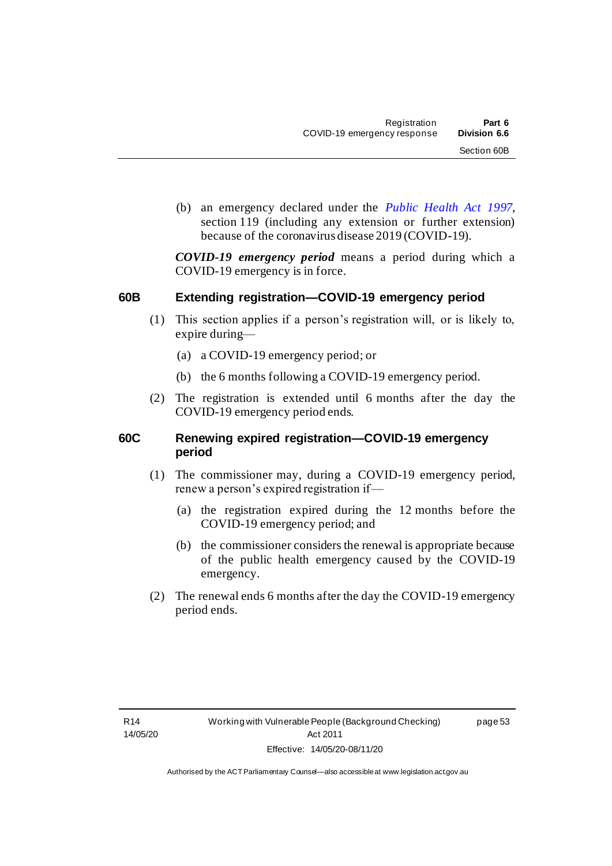(b) an emergency declared under the *[Public Health Act 1997](http://www.legislation.act.gov.au/a/1997-69)*, section 119 (including any extension or further extension) because of the coronavirus disease 2019 (COVID-19).

*COVID-19 emergency period* means a period during which a COVID-19 emergency is in force.

#### **60B Extending registration—COVID-19 emergency period**

- (1) This section applies if a person's registration will, or is likely to, expire during—
	- (a) a COVID-19 emergency period; or
	- (b) the 6 months following a COVID-19 emergency period.
- (2) The registration is extended until 6 months after the day the COVID-19 emergency period ends.

#### **60C Renewing expired registration—COVID-19 emergency period**

- (1) The commissioner may, during a COVID-19 emergency period, renew a person's expired registration if—
	- (a) the registration expired during the 12 months before the COVID-19 emergency period; and
	- (b) the commissioner considers the renewal is appropriate because of the public health emergency caused by the COVID-19 emergency.
- (2) The renewal ends 6 months after the day the COVID-19 emergency period ends.

page 53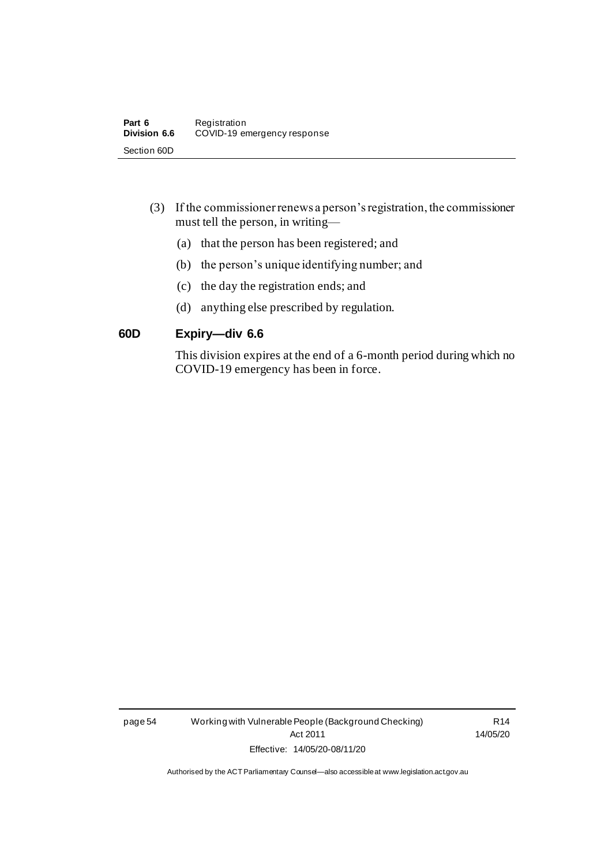- (3) If the commissioner renews a person's registration, the commissioner must tell the person, in writing—
	- (a) that the person has been registered; and
	- (b) the person's unique identifying number; and
	- (c) the day the registration ends; and
	- (d) anything else prescribed by regulation.

#### **60D Expiry—div 6.6**

This division expires at the end of a 6-month period during which no COVID-19 emergency has been in force.

page 54 Working with Vulnerable People (Background Checking) Act 2011 Effective: 14/05/20-08/11/20

R14 14/05/20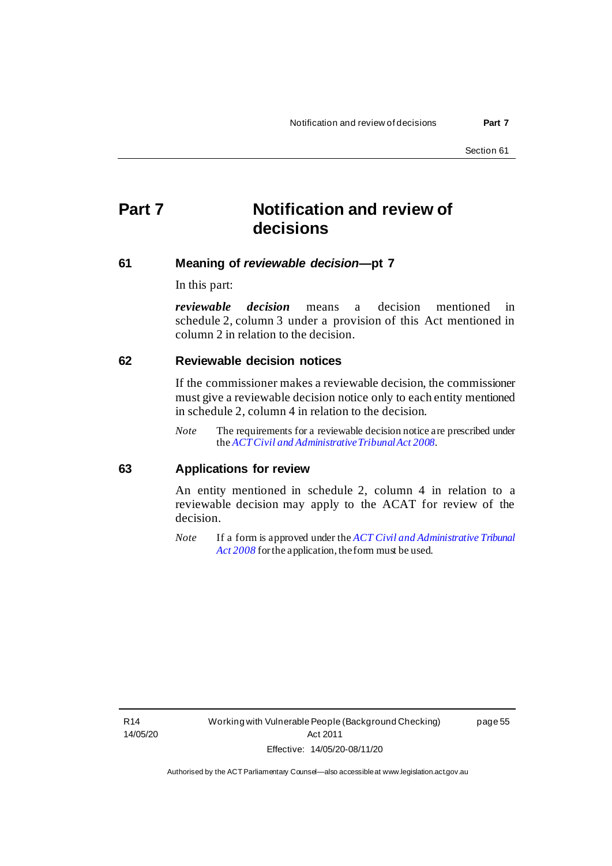## **Part 7 Notification and review of decisions**

#### **61 Meaning of** *reviewable decision***—pt 7**

In this part:

*reviewable decision* means a decision mentioned in schedule 2, column 3 under a provision of this Act mentioned in column 2 in relation to the decision.

#### **62 Reviewable decision notices**

If the commissioner makes a reviewable decision, the commissioner must give a reviewable decision notice only to each entity mentioned in schedule 2, column 4 in relation to the decision.

*Note* The requirements for a reviewable decision notice are prescribed under the *[ACT Civil and Administrative Tribunal Act 2008](http://www.legislation.act.gov.au/a/2008-35)*.

#### **63 Applications for review**

An entity mentioned in schedule 2, column 4 in relation to a reviewable decision may apply to the ACAT for review of the decision.

*Note* If a form is approved under the *[ACT Civil and Administrative Tribunal](http://www.legislation.act.gov.au/a/2008-35)*  [Act 2008](http://www.legislation.act.gov.au/a/2008-35) for the application, the form must be used.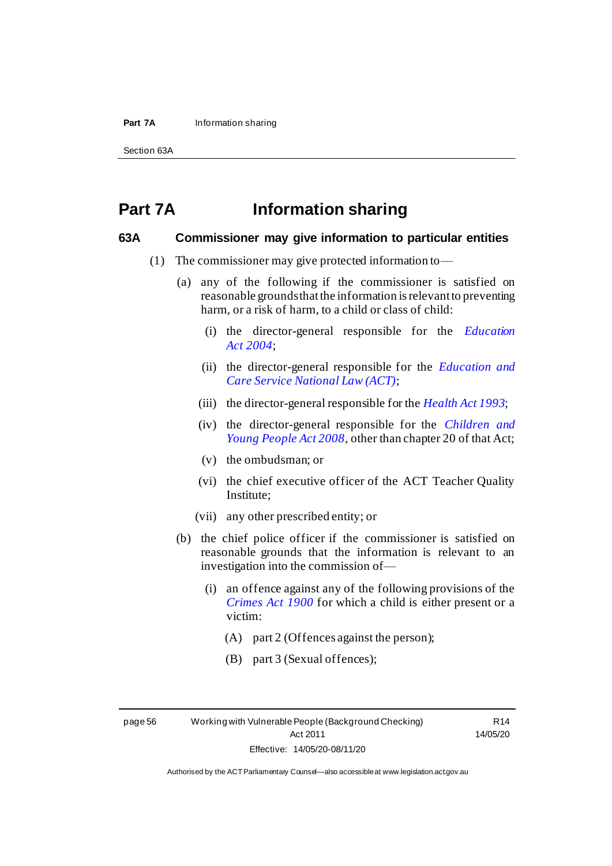#### **Part 7A** Information sharing

Section 63A

### **Part 7A Information sharing**

#### **63A Commissioner may give information to particular entities**

- (1) The commissioner may give protected information to—
	- (a) any of the following if the commissioner is satisfied on reasonable grounds that the information is relevant to preventing harm, or a risk of harm, to a child or class of child:
		- (i) the director-general responsible for the *[Education](http://www.legislation.act.gov.au/a/2004-17)  Act [2004](http://www.legislation.act.gov.au/a/2004-17)*;
		- (ii) the director-general responsible for the *[Education and](http://www.legislation.act.gov.au/a/2011-42/default.asp)  [Care Service National Law \(ACT\)](http://www.legislation.act.gov.au/a/2011-42/default.asp)*;
		- (iii) the director-general responsible for the *[Health Act 1993](http://www.legislation.act.gov.au/a/1993-13)*;
		- (iv) the director-general responsible for the *[Children and](http://www.legislation.act.gov.au/a/2008-19)  [Young People Act 2008](http://www.legislation.act.gov.au/a/2008-19)*, other than chapter 20 of that Act;
		- (v) the ombudsman; or
		- (vi) the chief executive officer of the ACT Teacher Quality Institute;
		- (vii) any other prescribed entity; or
	- (b) the chief police officer if the commissioner is satisfied on reasonable grounds that the information is relevant to an investigation into the commission of—
		- (i) an offence against any of the following provisions of the *[Crimes Act 1900](http://www.legislation.act.gov.au/a/1900-40)* for which a child is either present or a victim:
			- (A) part 2 (Offences against the person);
			- (B) part 3 (Sexual offences);

page 56 Working with Vulnerable People (Background Checking) Act 2011 Effective: 14/05/20-08/11/20

R14 14/05/20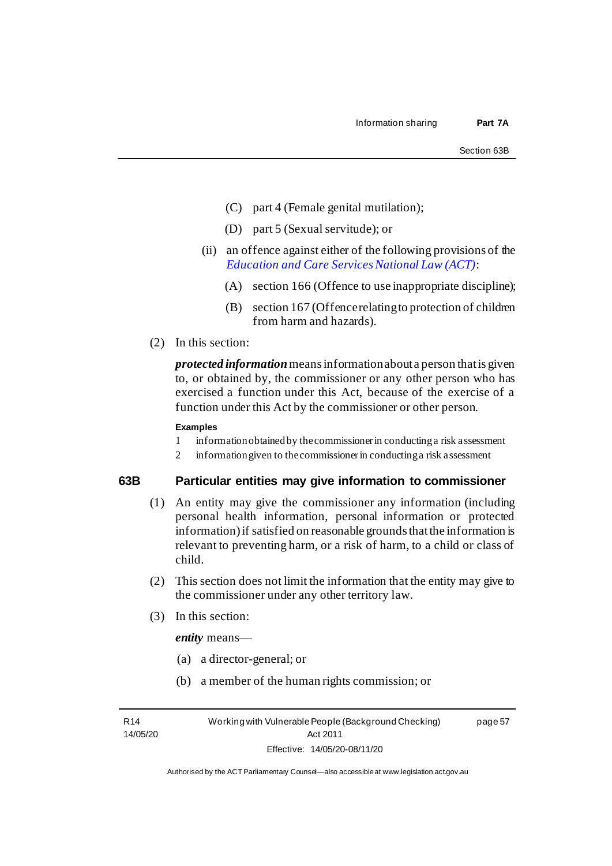- (C) part 4 (Female genital mutilation);
- (D) part 5 (Sexual servitude); or
- (ii) an offence against either of the following provisions of the *[Education and Care Services National Law \(ACT\)](http://www.legislation.act.gov.au/a/2011-42/default.asp)*:
	- (A) section 166 (Offence to use inappropriate discipline);
	- (B) section 167 (Offence relating to protection of children from harm and hazards).
- (2) In this section:

*protected information* means information about a person that is given to, or obtained by, the commissioner or any other person who has exercised a function under this Act, because of the exercise of a function under this Act by the commissioner or other person.

#### **Examples**

- 1 information obtained by the commissioner in conducting a risk assessment
- 2 information given to the commissioner in conducting a risk assessment

#### **63B Particular entities may give information to commissioner**

- (1) An entity may give the commissioner any information (including personal health information, personal information or protected information) if satisfied on reasonable grounds that the information is relevant to preventing harm, or a risk of harm, to a child or class of child.
- (2) This section does not limit the information that the entity may give to the commissioner under any other territory law.
- (3) In this section:

*entity* means—

- (a) a director-general; or
- (b) a member of the human rights commission; or

R14 14/05/20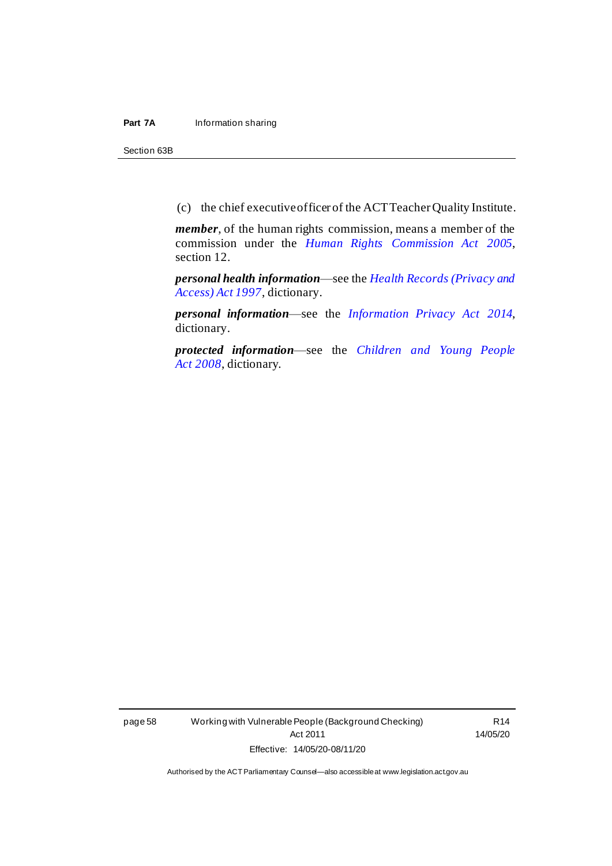#### **Part 7A** Information sharing

Section 63B

(c) the chief executive officer of the ACT Teacher Quality Institute.

*member*, of the human rights commission, means a member of the commission under the *[Human Rights Commission Act 2005](http://www.legislation.act.gov.au/a/2005-40)*, section 12.

*personal health information*—see the *[Health Records \(Privacy and](http://www.legislation.act.gov.au/a/1997-125)  [Access\) Act 1997](http://www.legislation.act.gov.au/a/1997-125)*, dictionary.

*personal information*—see the *[Information Privacy Act 2014](http://www.legislation.act.gov.au/a/2014-24)*, dictionary.

*protected information*—see the *[Children and Young People](http://www.legislation.act.gov.au/a/2008-19)  Act [2008](http://www.legislation.act.gov.au/a/2008-19)*, dictionary.

page 58 Working with Vulnerable People (Background Checking) Act 2011 Effective: 14/05/20-08/11/20

R14 14/05/20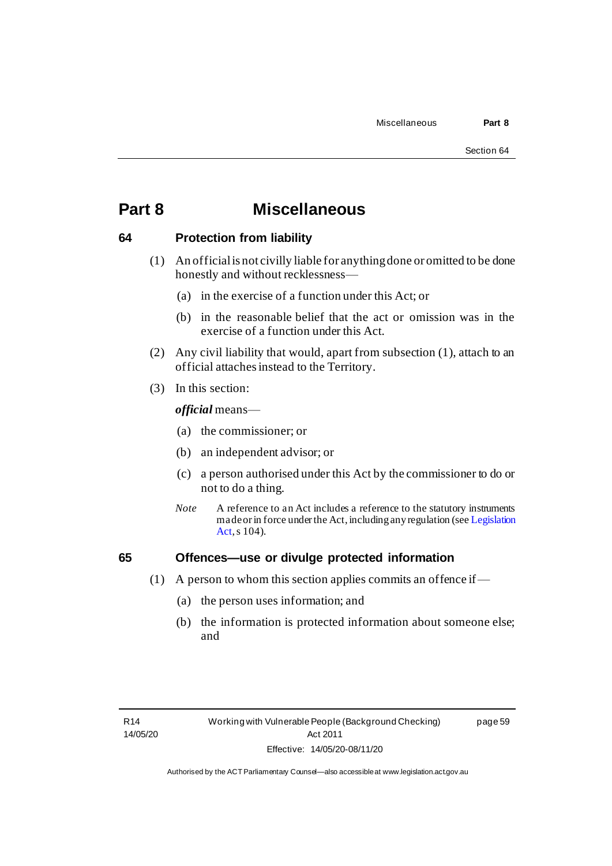### **Part 8 Miscellaneous**

#### **64 Protection from liability**

- (1) An official is not civilly liable for anything done or omitted to be done honestly and without recklessness—
	- (a) in the exercise of a function under this Act; or
	- (b) in the reasonable belief that the act or omission was in the exercise of a function under this Act.
- (2) Any civil liability that would, apart from subsection (1), attach to an official attaches instead to the Territory.
- (3) In this section:

*official* means—

- (a) the commissioner; or
- (b) an independent advisor; or
- (c) a person authorised under this Act by the commissioner to do or not to do a thing.
- *Note* A reference to an Act includes a reference to the statutory instruments made or in force under the Act, including any regulation (se[e Legislation](http://www.legislation.act.gov.au/a/2001-14)  [Act,](http://www.legislation.act.gov.au/a/2001-14) s 104).

#### **65 Offences—use or divulge protected information**

- (1) A person to whom this section applies commits an offence if—
	- (a) the person uses information; and
	- (b) the information is protected information about someone else; and

page 59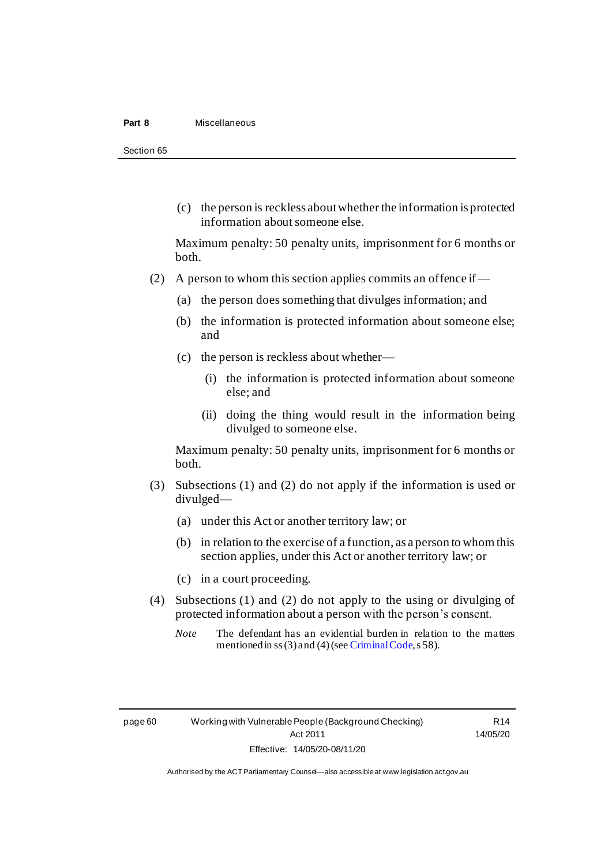#### **Part 8** Miscellaneous

Section 65

(c) the person is reckless about whether the information is protected information about someone else.

Maximum penalty: 50 penalty units, imprisonment for 6 months or both.

- (2) A person to whom this section applies commits an offence if
	- (a) the person does something that divulges information; and
	- (b) the information is protected information about someone else; and
	- (c) the person is reckless about whether—
		- (i) the information is protected information about someone else; and
		- (ii) doing the thing would result in the information being divulged to someone else.

Maximum penalty: 50 penalty units, imprisonment for 6 months or both.

- (3) Subsections (1) and (2) do not apply if the information is used or divulged—
	- (a) under this Act or another territory law; or
	- (b) in relation to the exercise of a function, as a person to whom this section applies, under this Act or another territory law; or
	- (c) in a court proceeding.
- (4) Subsections (1) and (2) do not apply to the using or divulging of protected information about a person with the person's consent.
	- *Note* The defendant has an evidential burden in relation to the matters mentioned in ss(3) and (4) (se[e Criminal Code](http://www.legislation.act.gov.au/a/2002-51/default.asp), s 58).

R14 14/05/20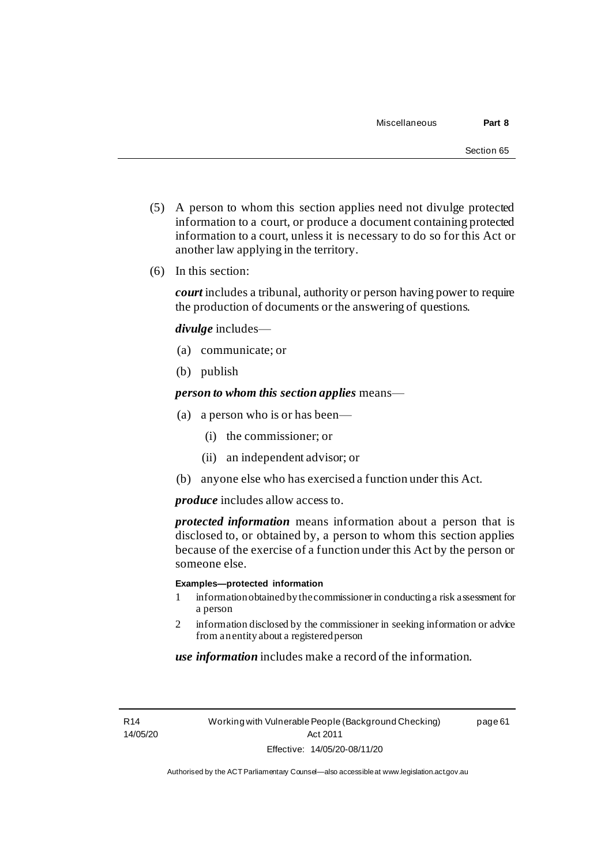page 61

- (5) A person to whom this section applies need not divulge protected information to a court, or produce a document containing protected information to a court, unless it is necessary to do so for this Act or another law applying in the territory.
- (6) In this section:

*court* includes a tribunal, authority or person having power to require the production of documents or the answering of questions.

*divulge* includes—

- (a) communicate; or
- (b) publish

*person to whom this section applies* means—

- (a) a person who is or has been—
	- (i) the commissioner; or
	- (ii) an independent advisor; or
- (b) anyone else who has exercised a function under this Act.

*produce* includes allow access to.

*protected information* means information about a person that is disclosed to, or obtained by, a person to whom this section applies because of the exercise of a function under this Act by the person or someone else.

#### **Examples—protected information**

- 1 information obtained by the commissionerin conducting a risk assessment for a person
- 2 information disclosed by the commissioner in seeking information or advice from an entity about a registered person

*use information* includes make a record of the information.

R14 14/05/20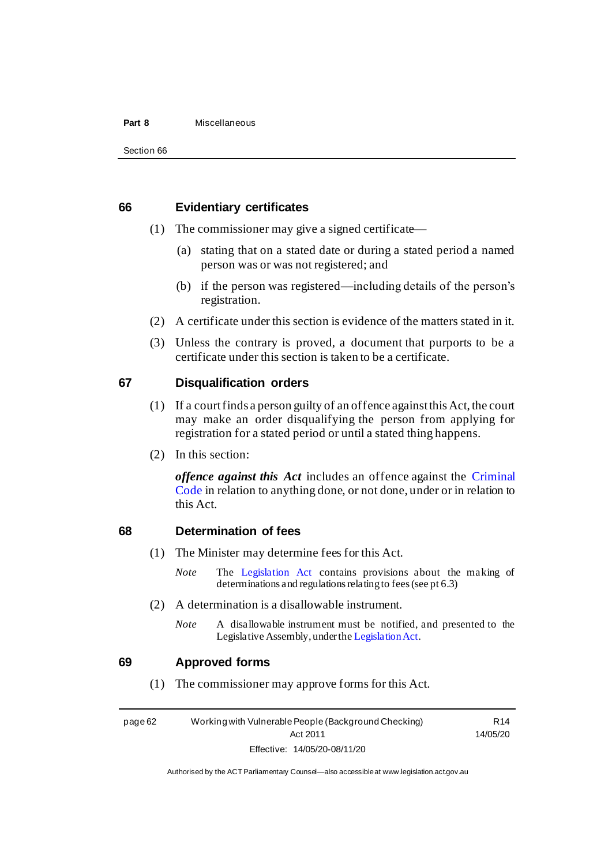#### **Part 8** Miscellaneous

#### **66 Evidentiary certificates**

- (1) The commissioner may give a signed certificate—
	- (a) stating that on a stated date or during a stated period a named person was or was not registered; and
	- (b) if the person was registered—including details of the person's registration.
- (2) A certificate under this section is evidence of the matters stated in it.
- (3) Unless the contrary is proved, a document that purports to be a certificate under this section is taken to be a certificate.

#### **67 Disqualification orders**

- (1) If a court finds a person guilty of an offence against this Act, the court may make an order disqualifying the person from applying for registration for a stated period or until a stated thing happens.
- (2) In this section:

*offence against this Act* includes an offence against the [Criminal](http://www.legislation.act.gov.au/a/2002-51)  [Code](http://www.legislation.act.gov.au/a/2002-51) in relation to anything done, or not done, under or in relation to this Act.

#### **68 Determination of fees**

- (1) The Minister may determine fees for this Act.
	- *Note* The [Legislation Act](http://www.legislation.act.gov.au/a/2001-14) contains provisions about the making of determinations and regulations relating to fees (see pt 6.3)
- (2) A determination is a disallowable instrument.
	- *Note* A disallowable instrument must be notified, and presented to the Legislative Assembly, under th[e Legislation Act](http://www.legislation.act.gov.au/a/2001-14).

#### **69 Approved forms**

(1) The commissioner may approve forms for this Act.

page 62 Working with Vulnerable People (Background Checking) Act 2011 Effective: 14/05/20-08/11/20

R14 14/05/20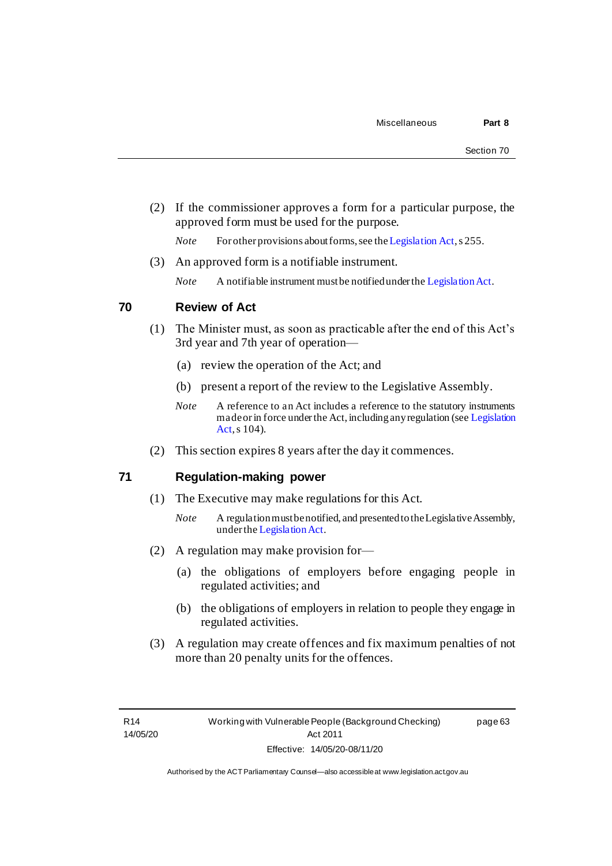(2) If the commissioner approves a form for a particular purpose, the approved form must be used for the purpose.

*Note* For other provisions about forms, see th[e Legislation Act](http://www.legislation.act.gov.au/a/2001-14), s 255.

(3) An approved form is a notifiable instrument.

*Note* A notifiable instrument must be notified under th[e Legislation Act](http://www.legislation.act.gov.au/a/2001-14).

#### **70 Review of Act**

- (1) The Minister must, as soon as practicable after the end of this Act's 3rd year and 7th year of operation—
	- (a) review the operation of the Act; and
	- (b) present a report of the review to the Legislative Assembly.
	- *Note* A reference to an Act includes a reference to the statutory instruments made or in force under the Act, including any regulation (se[e Legislation](http://www.legislation.act.gov.au/a/2001-14)  [Act,](http://www.legislation.act.gov.au/a/2001-14) s 104).
- (2) This section expires 8 years after the day it commences.

#### **71 Regulation-making power**

- (1) The Executive may make regulations for this Act.
	- *Note* A regulation must be notified, and presented to the Legislative Assembly, under th[e Legislation Act](http://www.legislation.act.gov.au/a/2001-14).
- (2) A regulation may make provision for—
	- (a) the obligations of employers before engaging people in regulated activities; and
	- (b) the obligations of employers in relation to people they engage in regulated activities.
- (3) A regulation may create offences and fix maximum penalties of not more than 20 penalty units for the offences.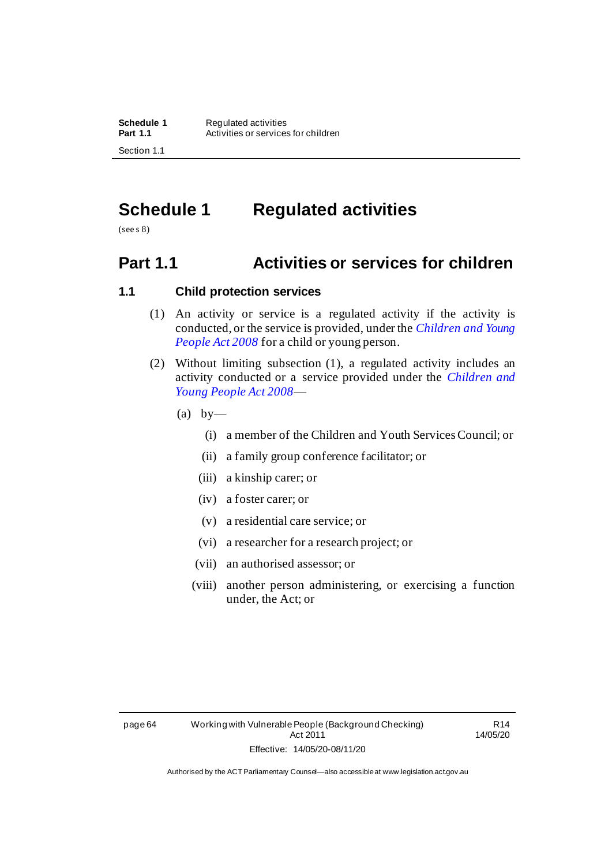# **Schedule 1 Regulated activities**

(see s 8)

### **Part 1.1 Activities or services for children**

#### **1.1 Child protection services**

- (1) An activity or service is a regulated activity if the activity is conducted, or the service is provided, under the *[Children and Young](http://www.legislation.act.gov.au/a/2008-19)  [People Act 2008](http://www.legislation.act.gov.au/a/2008-19)* for a child or young person.
- (2) Without limiting subsection (1), a regulated activity includes an activity conducted or a service provided under the *[Children and](http://www.legislation.act.gov.au/a/2008-19)  [Young People Act 2008](http://www.legislation.act.gov.au/a/2008-19)*—
	- $(a)$  by
		- (i) a member of the Children and Youth Services Council; or
		- (ii) a family group conference facilitator; or
		- (iii) a kinship carer; or
		- (iv) a foster carer; or
		- (v) a residential care service; or
		- (vi) a researcher for a research project; or
		- (vii) an authorised assessor; or
		- (viii) another person administering, or exercising a function under, the Act; or

R14 14/05/20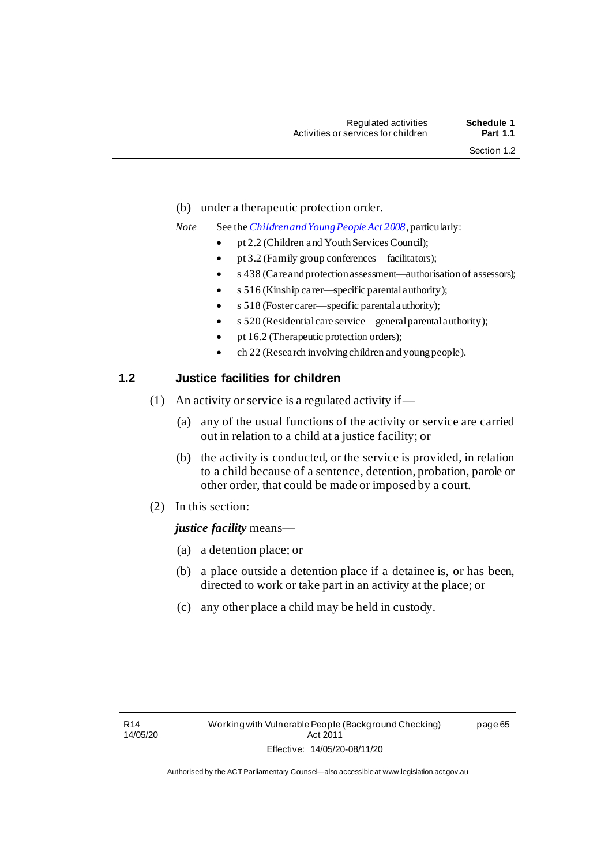- (b) under a therapeutic protection order.
- *Note* See the *[Children and Young People Act 2008](http://www.legislation.act.gov.au/a/2008-19)*, particularly:
	- pt 2.2 (Children and Youth Services Council);
	- pt 3.2 (Family group conferences—facilitators);
	- s 438 (Care and protection assessment—authorisation of assessors);
	- s 516 (Kinship carer—specific parental authority);
	- s 518 (Foster carer—specific parental authority);
	- s 520 (Residential care service—general parental authority);
	- pt 16.2 (Therapeutic protection orders);
	- ch 22 (Research involving children and young people).

# **1.2 Justice facilities for children**

- (1) An activity or service is a regulated activity if—
	- (a) any of the usual functions of the activity or service are carried out in relation to a child at a justice facility; or
	- (b) the activity is conducted, or the service is provided, in relation to a child because of a sentence, detention, probation, parole or other order, that could be made or imposed by a court.
- (2) In this section:

# *justice facility* means—

- (a) a detention place; or
- (b) a place outside a detention place if a detainee is, or has been, directed to work or take part in an activity at the place; or
- (c) any other place a child may be held in custody.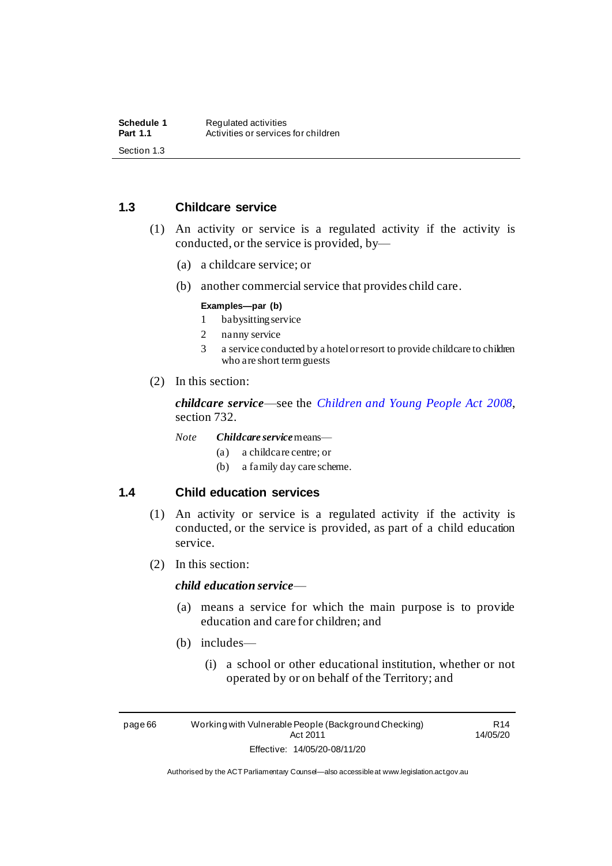# **1.3 Childcare service**

- (1) An activity or service is a regulated activity if the activity is conducted, or the service is provided, by—
	- (a) a childcare service; or
	- (b) another commercial service that provides child care.

#### **Examples—par (b)**

- 1 babysitting service
- 2 nanny service
- 3 a service conducted by a hotel or resort to provide childcare to children who are short term guests
- (2) In this section:

*childcare service*—see the *[Children and Young People Act 2008](http://www.legislation.act.gov.au/a/2008-19)*, section 732.

*Note Childcare service*means—

- (a) a childcare centre; or
- (b) a family day care scheme.

# **1.4 Child education services**

- (1) An activity or service is a regulated activity if the activity is conducted, or the service is provided, as part of a child education service.
- (2) In this section:

#### *child education service*—

- (a) means a service for which the main purpose is to provide education and care for children; and
- (b) includes—
	- (i) a school or other educational institution, whether or not operated by or on behalf of the Territory; and

page 66 Working with Vulnerable People (Background Checking) Act 2011 Effective: 14/05/20-08/11/20

R14 14/05/20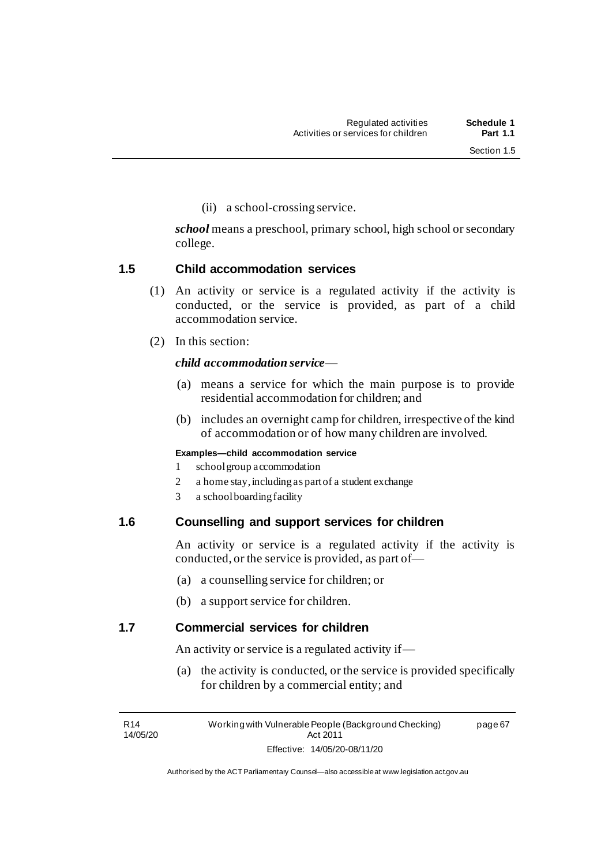(ii) a school-crossing service.

*school* means a preschool, primary school, high school or secondary college.

# **1.5 Child accommodation services**

- (1) An activity or service is a regulated activity if the activity is conducted, or the service is provided, as part of a child accommodation service.
- (2) In this section:

# *child accommodation service*—

- (a) means a service for which the main purpose is to provide residential accommodation for children; and
- (b) includes an overnight camp for children, irrespective of the kind of accommodation or of how many children are involved.

#### **Examples—child accommodation service**

- 1 school group accommodation
- 2 a home stay, including as part of a student exchange
- 3 a school boarding facility

# **1.6 Counselling and support services for children**

An activity or service is a regulated activity if the activity is conducted, or the service is provided, as part of—

- (a) a counselling service for children; or
- (b) a support service for children.

# **1.7 Commercial services for children**

An activity or service is a regulated activity if—

(a) the activity is conducted, or the service is provided specifically for children by a commercial entity; and

R14 14/05/20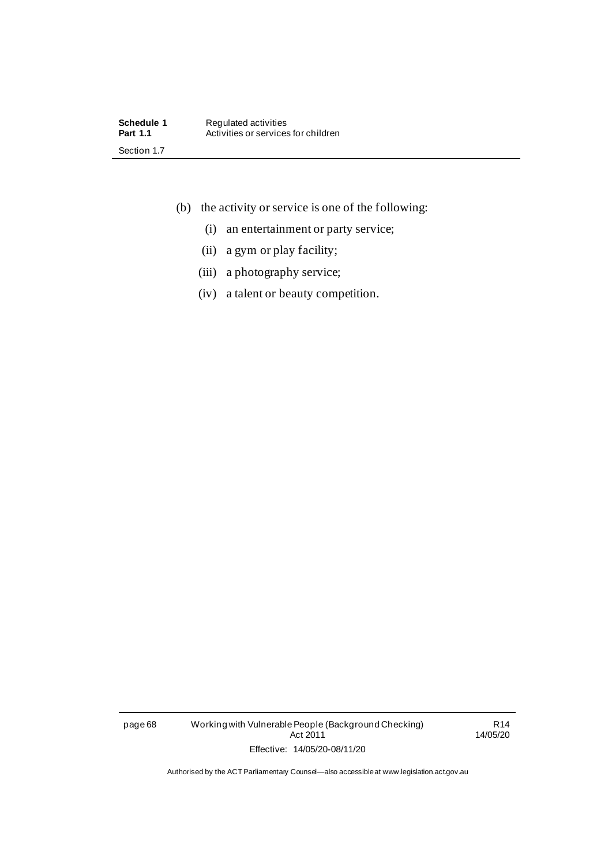- (b) the activity or service is one of the following:
	- (i) an entertainment or party service;
	- (ii) a gym or play facility;
	- (iii) a photography service;
	- (iv) a talent or beauty competition.

page 68 Working with Vulnerable People (Background Checking) Act 2011 Effective: 14/05/20-08/11/20

R14 14/05/20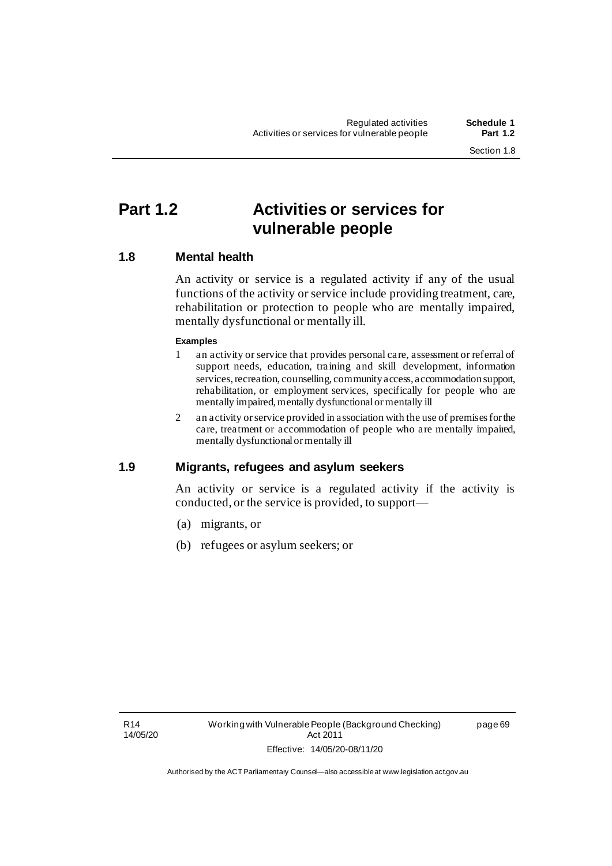page 69

# **Part 1.2 Activities or services for vulnerable people**

# **1.8 Mental health**

An activity or service is a regulated activity if any of the usual functions of the activity or service include providing treatment, care, rehabilitation or protection to people who are mentally impaired, mentally dysfunctional or mentally ill.

#### **Examples**

- 1 an activity or service that provides personal care, assessment or referral of support needs, education, training and skill development, information services, recreation, counselling, community access, accommodation support, rehabilitation, or employment services, specifically for people who are mentally impaired, mentally dysfunctional or mentally ill
- 2 an activity or service provided in association with the use of premises for the care, treatment or accommodation of people who are mentally impaired, mentally dysfunctional or mentally ill

# **1.9 Migrants, refugees and asylum seekers**

An activity or service is a regulated activity if the activity is conducted, or the service is provided, to support—

- (a) migrants, or
- (b) refugees or asylum seekers; or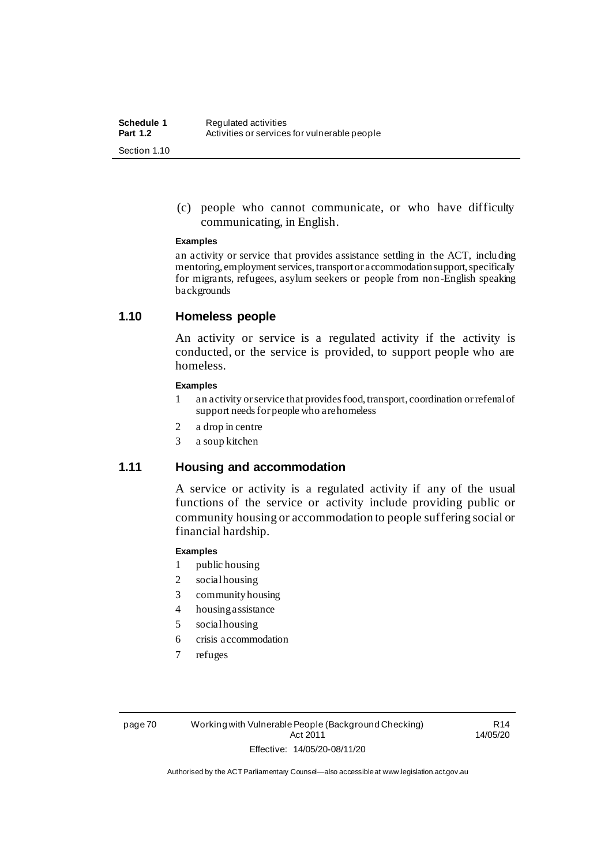(c) people who cannot communicate, or who have difficulty communicating, in English.

#### **Examples**

an activity or service that provides assistance settling in the ACT, including mentoring, employment services, transport or accommodation support, specifically for migrants, refugees, asylum seekers or people from non-English speaking backgrounds

# **1.10 Homeless people**

An activity or service is a regulated activity if the activity is conducted, or the service is provided, to support people who are homeless.

#### **Examples**

- 1 an activity or service that provides food, transport, coordination or referral of support needs for people who are homeless
- 2 a drop in centre
- 3 a soup kitchen

# **1.11 Housing and accommodation**

A service or activity is a regulated activity if any of the usual functions of the service or activity include providing public or community housing or accommodation to people suffering social or financial hardship.

#### **Examples**

- 1 public housing
- 2 social housing
- 3 community housing
- 4 housing assistance
- 5 social housing
- 6 crisis accommodation
- 7 refuges

page 70 Working with Vulnerable People (Background Checking) Act 2011 Effective: 14/05/20-08/11/20

R14 14/05/20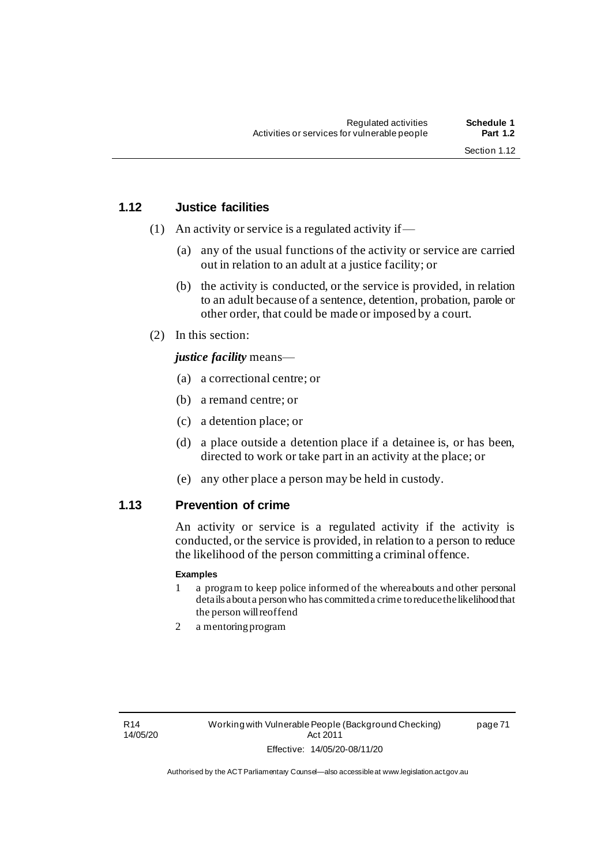page 71

# **1.12 Justice facilities**

- (1) An activity or service is a regulated activity if—
	- (a) any of the usual functions of the activity or service are carried out in relation to an adult at a justice facility; or
	- (b) the activity is conducted, or the service is provided, in relation to an adult because of a sentence, detention, probation, parole or other order, that could be made or imposed by a court.
- (2) In this section:

## *justice facility* means—

- (a) a correctional centre; or
- (b) a remand centre; or
- (c) a detention place; or
- (d) a place outside a detention place if a detainee is, or has been, directed to work or take part in an activity at the place; or
- (e) any other place a person may be held in custody.

# **1.13 Prevention of crime**

An activity or service is a regulated activity if the activity is conducted, or the service is provided, in relation to a person to reduce the likelihood of the person committing a criminal offence.

#### **Examples**

- 1 a program to keep police informed of the whereabouts and other personal details about a person who has committed a crime to reduce the likelihood that the person will reoffend
- 2 a mentoring program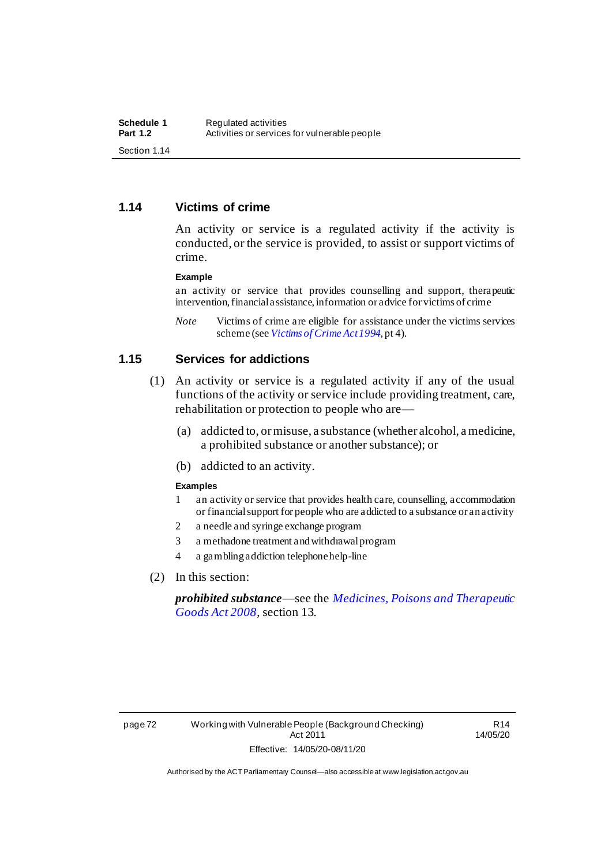# **1.14 Victims of crime**

An activity or service is a regulated activity if the activity is conducted, or the service is provided, to assist or support victims of crime.

#### **Example**

an activity or service that provides counselling and support, therapeutic intervention, financial assistance, information or advice for victims of crime

*Note* Victims of crime are eligible for assistance under the victims services scheme (see *[Victims of Crime Act 1994](http://www.legislation.act.gov.au/a/1994-83)*, pt 4).

## **1.15 Services for addictions**

- (1) An activity or service is a regulated activity if any of the usual functions of the activity or service include providing treatment, care, rehabilitation or protection to people who are—
	- (a) addicted to, or misuse, a substance (whether alcohol, a medicine, a prohibited substance or another substance); or
	- (b) addicted to an activity.

#### **Examples**

- 1 an activity or service that provides health care, counselling, accommodation or financial support for people who are addicted to a substance or an activity
- 2 a needle and syringe exchange program
- 3 a methadone treatment and withdrawal program
- 4 a gambling addiction telephone help-line
- (2) In this section:

*prohibited substance*—see the *[Medicines, Poisons and Therapeutic](http://www.legislation.act.gov.au/a/2008-26)  [Goods Act 2008](http://www.legislation.act.gov.au/a/2008-26)*, section 13.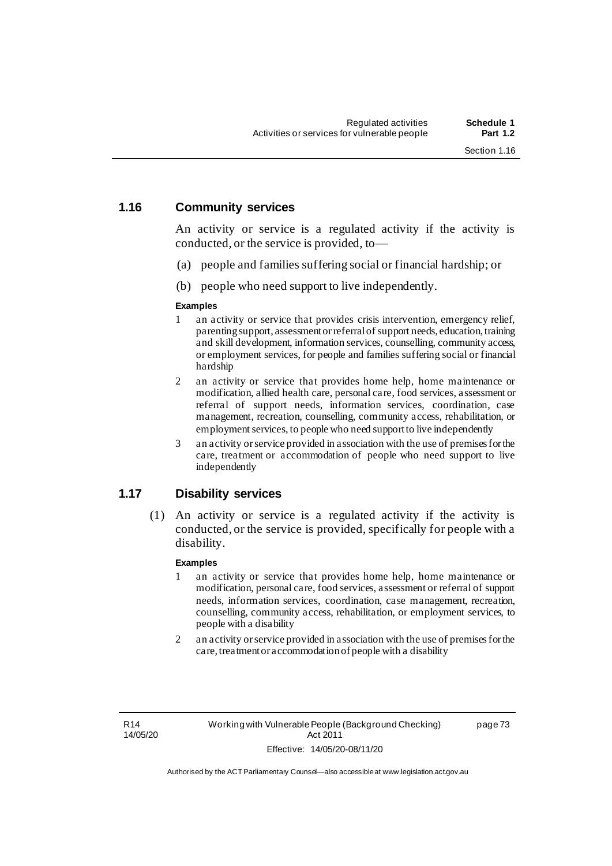#### **1.16 Community services**

An activity or service is a regulated activity if the activity is conducted, or the service is provided, to—

- (a) people and families suffering social or financial hardship; or
- (b) people who need support to live independently.

#### **Examples**

- 1 an activity or service that provides crisis intervention, emergency relief, parenting support, assessment or referral of support needs, education, training and skill development, information services, counselling, community access, or employment services, for people and families suffering social or financial hardship
- 2 an activity or service that provides home help, home maintenance or modification, allied health care, personal care, food services, assessment or referral of support needs, information services, coordination, case management, recreation, counselling, community access, rehabilitation, or employment services, to people who need support to live independently
- 3 an activity or service provided in association with the use of premises for the care, treatment or accommodation of people who need support to live independently

# **1.17 Disability services**

(1) An activity or service is a regulated activity if the activity is conducted, or the service is provided, specifically for people with a disability.

#### **Examples**

- 1 an activity or service that provides home help, home maintenance or modification, personal care, food services, assessment or referral of support needs, information services, coordination, case management, recreation, counselling, community access, rehabilitation, or employment services, to people with a disability
- 2 an activity or service provided in association with the use of premises for the care, treatment or accommodation of people with a disability

R14 14/05/20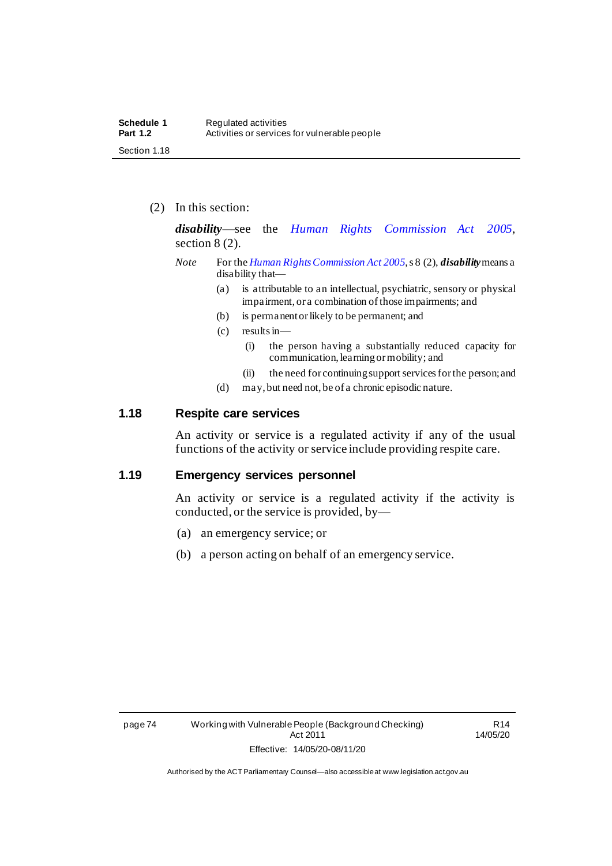(2) In this section:

*disability*—see the *[Human Rights Commission Act 2005](http://www.legislation.act.gov.au/a/2005-40)*, section 8 (2).

- *Note* For the *[Human Rights Commission Act 2005](http://www.legislation.act.gov.au/a/2005-40)*, s 8 (2), *disability*means a disability that—
	- (a) is attributable to an intellectual, psychiatric, sensory or physical impairment, or a combination of those impairments; and
	- (b) is permanent or likely to be permanent; and
	- (c) results in—
		- (i) the person having a substantially reduced capacity for communication, learning or mobility; and
		- (ii) the need for continuing support services for the person; and
	- (d) may, but need not, be of a chronic episodic nature.

## **1.18 Respite care services**

An activity or service is a regulated activity if any of the usual functions of the activity or service include providing respite care.

## **1.19 Emergency services personnel**

An activity or service is a regulated activity if the activity is conducted, or the service is provided, by—

- (a) an emergency service; or
- (b) a person acting on behalf of an emergency service.

R14 14/05/20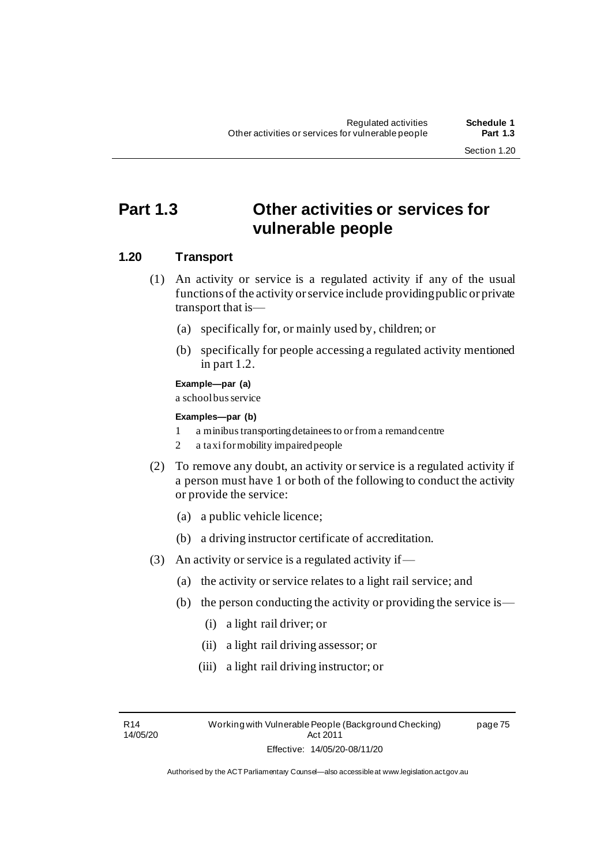# **Part 1.3 Other activities or services for vulnerable people**

# **1.20 Transport**

- (1) An activity or service is a regulated activity if any of the usual functions of the activity or service include providing public or private transport that is—
	- (a) specifically for, or mainly used by, children; or
	- (b) specifically for people accessing a regulated activity mentioned in part 1.2.

# **Example—par (a)**

a school bus service

#### **Examples—par (b)**

- 1 a minibustransporting detainees to or froma remand centre
- 2 a taxi formobility impaired people
- (2) To remove any doubt, an activity or service is a regulated activity if a person must have 1 or both of the following to conduct the activity or provide the service:
	- (a) a public vehicle licence;
	- (b) a driving instructor certificate of accreditation.
- (3) An activity or service is a regulated activity if—
	- (a) the activity or service relates to a light rail service; and
	- (b) the person conducting the activity or providing the service is—
		- (i) a light rail driver; or
		- (ii) a light rail driving assessor; or
		- (iii) a light rail driving instructor; or

R14 14/05/20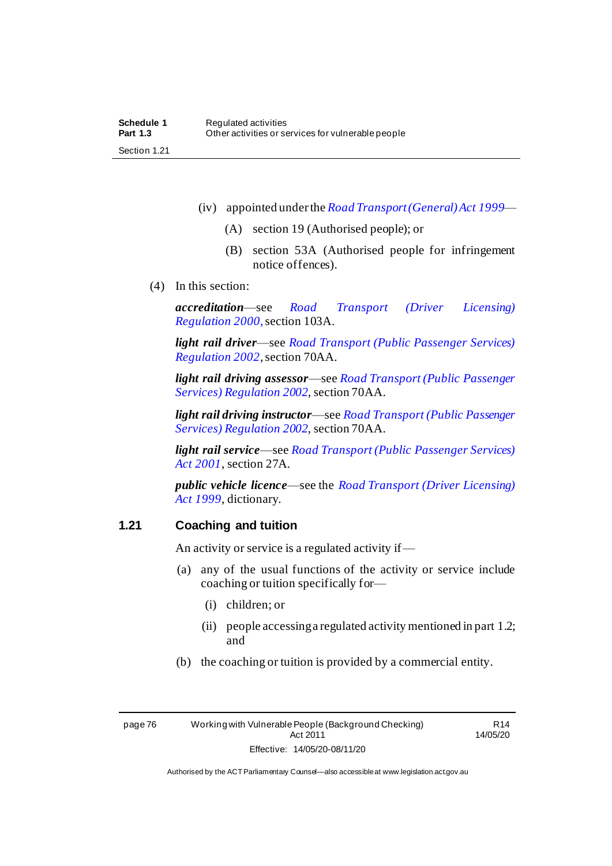- (iv) appointed under the *[Road Transport \(General\) Act](http://www.legislation.act.gov.au/a/1999-77) 1999*
	- (A) section 19 (Authorised people); or
	- (B) section 53A (Authorised people for infringement notice offences).
- (4) In this section:

*accreditation*—see *[Road Transport \(Driver Licensing\)](http://www.legislation.act.gov.au/sl/2000-14)  [Regulation](http://www.legislation.act.gov.au/sl/2000-14) 2000*, section 103A.

*light rail driver*—see *[Road Transport \(Public Passenger Services\)](http://www.legislation.act.gov.au/sl/2002-3)  [Regulation 2002](http://www.legislation.act.gov.au/sl/2002-3)*, section 70AA.

*light rail driving assessor*—see *[Road Transport \(Public Passenger](http://www.legislation.act.gov.au/sl/2002-3)  [Services\) Regulation 2002](http://www.legislation.act.gov.au/sl/2002-3)*, section 70AA.

*light rail driving instructor*—see *[Road Transport \(Public Passenger](http://www.legislation.act.gov.au/sl/2002-3)  [Services\) Regulation 2002](http://www.legislation.act.gov.au/sl/2002-3)*, section 70AA.

*light rail service*—see *[Road Transport \(Public Passenger Services\)](http://www.legislation.act.gov.au/a/2001-62)  [Act 2001](http://www.legislation.act.gov.au/a/2001-62)*, section 27A.

*public vehicle licence*—see the *[Road Transport \(Driver Licensing\)](http://www.legislation.act.gov.au/a/1999-78)  Act [1999](http://www.legislation.act.gov.au/a/1999-78)*, dictionary.

# **1.21 Coaching and tuition**

An activity or service is a regulated activity if—

- (a) any of the usual functions of the activity or service include coaching or tuition specifically for—
	- (i) children; or
	- (ii) people accessing a regulated activity mentioned in part 1.2; and
- (b) the coaching or tuition is provided by a commercial entity.

R14 14/05/20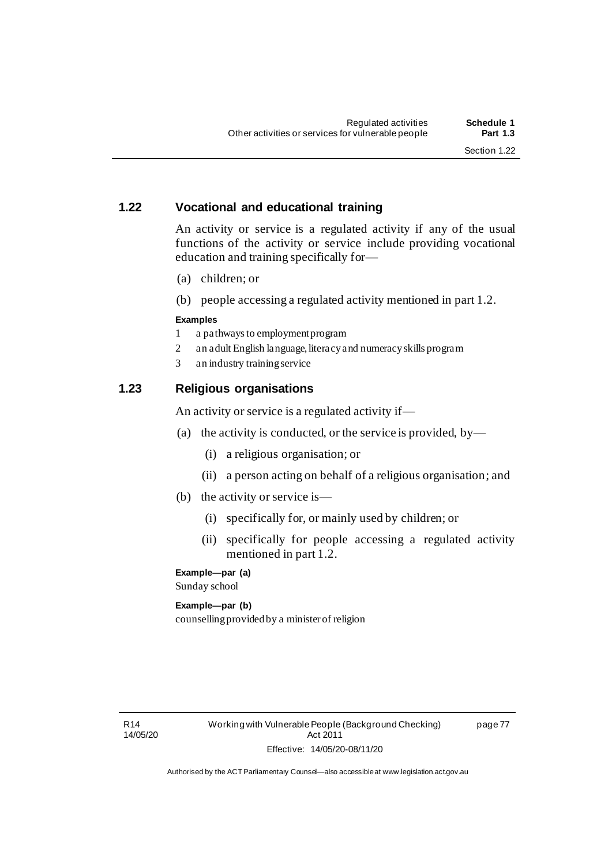page 77

# **1.22 Vocational and educational training**

An activity or service is a regulated activity if any of the usual functions of the activity or service include providing vocational education and training specifically for—

- (a) children; or
- (b) people accessing a regulated activity mentioned in part 1.2.

# **Examples**

- 1 a pathways to employment program
- 2 an adult English language, literacy and numeracy skills program
- 3 an industry training service

# **1.23 Religious organisations**

An activity or service is a regulated activity if—

- (a) the activity is conducted, or the service is provided, by—
	- (i) a religious organisation; or
	- (ii) a person acting on behalf of a religious organisation; and
- (b) the activity or service is—
	- (i) specifically for, or mainly used by children; or
	- (ii) specifically for people accessing a regulated activity mentioned in part 1.2.

# **Example—par (a)**

Sunday school

# **Example—par (b)**

counselling provided by a minister of religion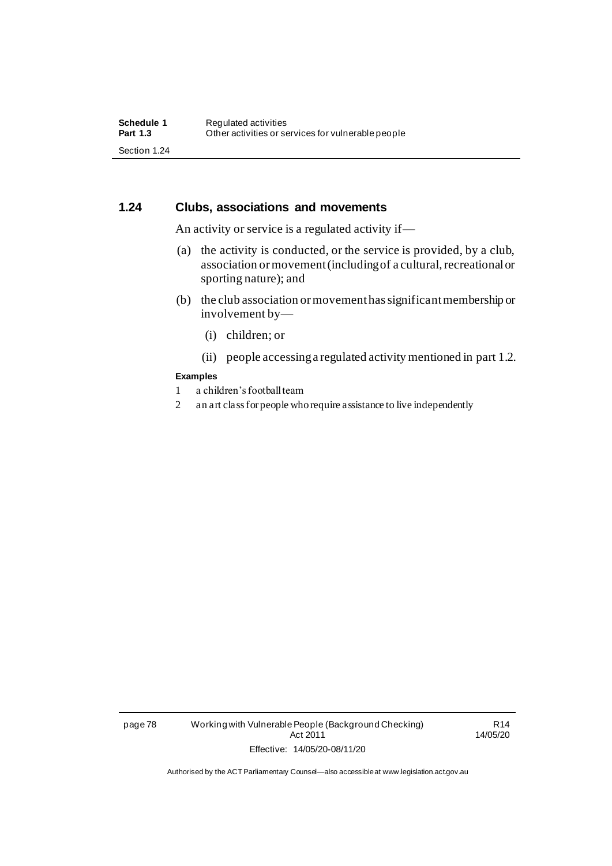# **1.24 Clubs, associations and movements**

An activity or service is a regulated activity if—

- (a) the activity is conducted, or the service is provided, by a club, association or movement (including of a cultural, recreational or sporting nature); and
- (b) the club association or movement has significant membership or involvement by—
	- (i) children; or
	- (ii) people accessing a regulated activity mentioned in part 1.2.

#### **Examples**

- 1 a children's football team
- 2 an art class for people who require assistance to live independently

page 78 Working with Vulnerable People (Background Checking) Act 2011 Effective: 14/05/20-08/11/20

R14 14/05/20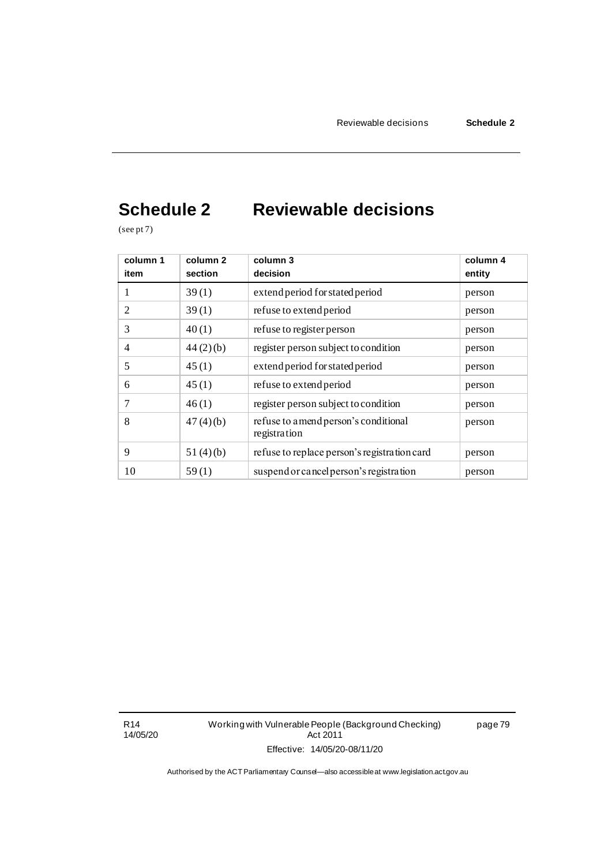# **Schedule 2 Reviewable decisions**

(see pt 7)

| column 1<br>item | column 2<br>section | column 3<br>decision                                  | column 4<br>entity |
|------------------|---------------------|-------------------------------------------------------|--------------------|
| 1                | 39(1)               | extend period for stated period                       | person             |
| 2                | 39(1)               | refuse to extend period                               | person             |
| 3                | 40(1)               | refuse to register person                             | person             |
| 4                | 44(2)(b)            | register person subject to condition                  | person             |
| 5                | 45(1)               | extend period for stated period                       | person             |
| 6                | 45(1)               | refuse to extend period                               | person             |
| 7                | 46(1)               | register person subject to condition                  | person             |
| 8                | 47(4)(b)            | refuse to a mend person's conditional<br>registration | person             |
| 9                | 51(4)(b)            | refuse to replace person's registration card          | person             |
| 10               | 59(1)               | suspend or cancel person's registration               | person             |

R14 14/05/20 Working with Vulnerable People (Background Checking) Act 2011 Effective: 14/05/20-08/11/20

page 79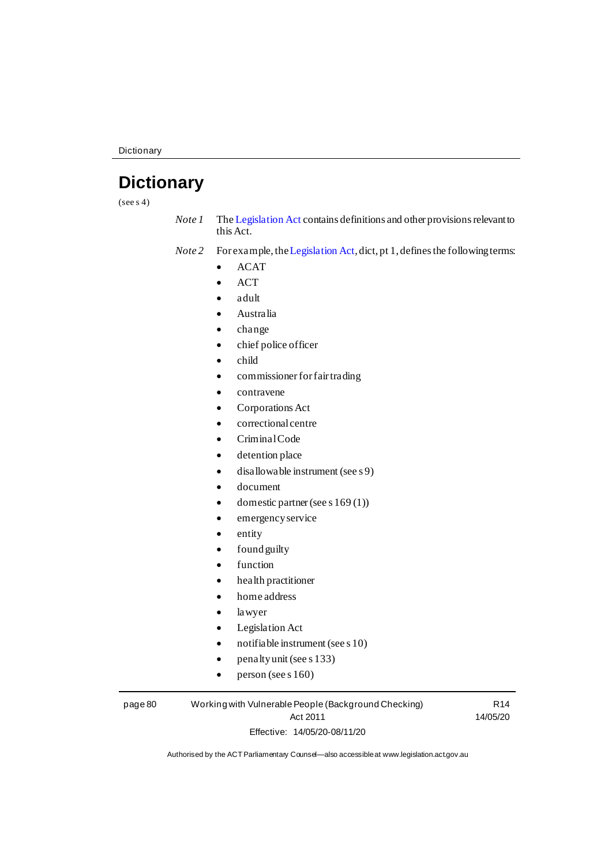# **Dictionary**

 $(see s 4)$ 

*Note 1* Th[e Legislation Act](http://www.legislation.act.gov.au/a/2001-14) contains definitions and other provisions relevant to this Act.

*Note 2* For example, th[e Legislation Act](http://www.legislation.act.gov.au/a/2001-14), dict, pt 1, defines the following terms:

- ACAT
- ACT
- adult
- Australia
- change
- chief police officer
- child
- commissioner for fair trading
- contravene
- Corporations Act
- correctional centre
- Criminal Code
- detention place
- disallowable instrument (see s 9)
- document
- domestic partner (see s 169(1))
- emergency service
- entity
- found guilty
- function
- health practitioner
- home address
- lawyer
- Legislation Act
- notifiable instrument (see s 10)
- penalty unit (see s 133)
- person (see s  $160$ )

page 80 Working with Vulnerable People (Background Checking) Act 2011 Effective: 14/05/20-08/11/20

R14 14/05/20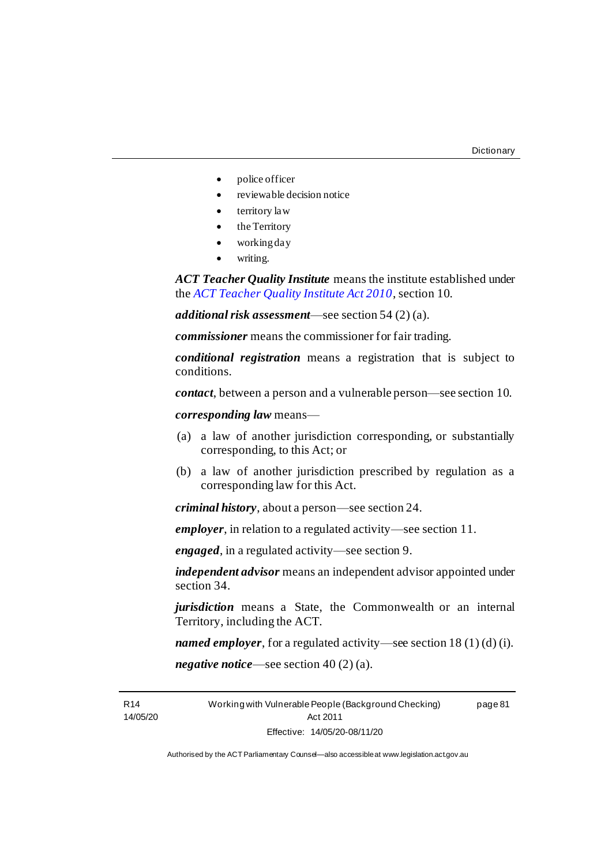- police officer
- reviewable decision notice
- territory law
- the Territory
- working day
- writing.

*ACT Teacher Quality Institute* means the institute established under the *[ACT Teacher Quality Institute Act 2010](http://www.legislation.act.gov.au/a/2010-55)*, section 10.

*additional risk assessment*—see section 54 (2) (a).

*commissioner* means the commissioner for fair trading.

*conditional registration* means a registration that is subject to conditions.

*contact*, between a person and a vulnerable person—see section 10.

*corresponding law* means—

- (a) a law of another jurisdiction corresponding, or substantially corresponding, to this Act; or
- (b) a law of another jurisdiction prescribed by regulation as a corresponding law for this Act.

*criminal history*, about a person—see section 24.

*employer*, in relation to a regulated activity—see section 11.

*engaged*, in a regulated activity—see section 9.

*independent advisor* means an independent advisor appointed under section 34.

*jurisdiction* means a State, the Commonwealth or an internal Territory, including the ACT.

*named employer*, for a regulated activity—see section 18 (1) (d) (i).

*negative notice*—see section 40 (2) (a).

R14 14/05/20 Working with Vulnerable People (Background Checking) Act 2011 Effective: 14/05/20-08/11/20 page 81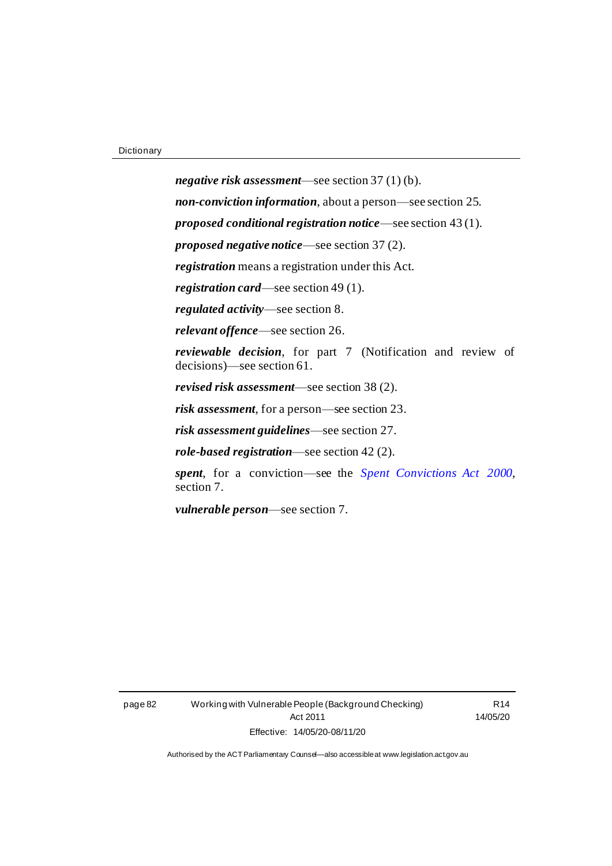*negative risk assessment*—see section 37 (1) (b). *non-conviction information*, about a person—see section 25. *proposed conditional registration notice*—see section 43 (1). *proposed negative notice*—see section 37 (2). *registration* means a registration under this Act. *registration card*—see section 49 (1). *regulated activity*—see section 8. *relevant offence*—see section 26. *reviewable decision*, for part 7 (Notification and review of decisions)—see section 61. *revised risk assessment*—see section 38 (2). *risk assessment*, for a person—see section 23. *risk assessment guidelines*—see section 27. *role-based registration*—see section 42 (2). *spent*, for a conviction—see the *[Spent Convictions Act 2000](http://www.legislation.act.gov.au/a/2000-48)*, section 7.

*vulnerable person*—see section 7.

page 82 Working with Vulnerable People (Background Checking) Act 2011 Effective: 14/05/20-08/11/20

R14 14/05/20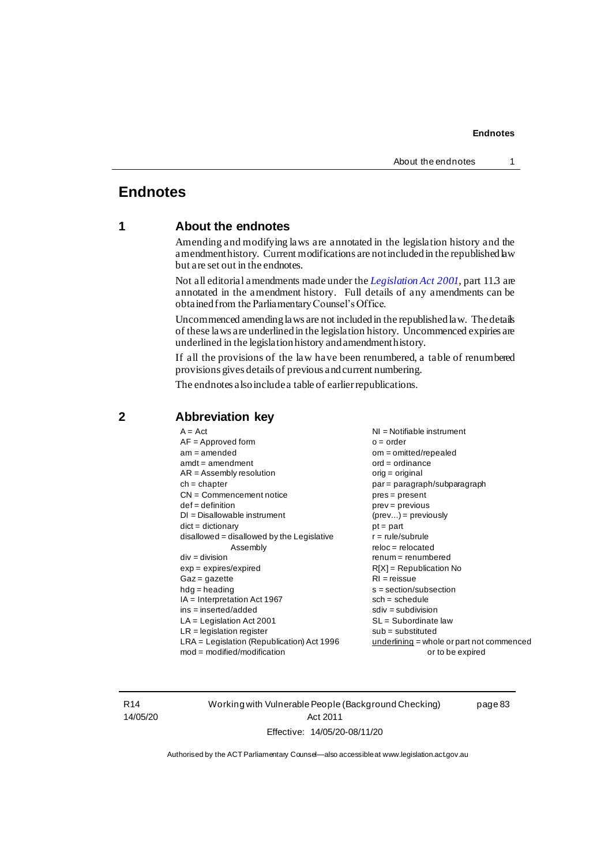# **Endnotes**

# **1 About the endnotes**

Amending and modifying laws are annotated in the legislation history and the amendment history. Current modifications are not included in the republished law but are set out in the endnotes.

Not all editorial amendments made under the *[Legislation Act 2001](http://www.legislation.act.gov.au/a/2001-14)*, part 11.3 are annotated in the amendment history. Full details of any amendments can be obtained from the Parliamentary Counsel's Office.

Uncommenced amending laws are not included in the republished law. The details of these laws are underlined in the legislation history. Uncommenced expiries are underlined in the legislation history and amendment history.

If all the provisions of the law have been renumbered, a table of renumbered provisions gives details of previous and current numbering.

The endnotes also include a table of earlier republications.

| $A = Act$                                    | $NI = Notifiable$ instrument                |
|----------------------------------------------|---------------------------------------------|
| $AF = Approved form$                         | $o = order$                                 |
| $am = amended$                               | $om = omitted/report$                       |
| $amdt = amendment$                           | $ord = ordinance$                           |
| $AR = Assembly resolution$                   | orig = original                             |
| $ch = chapter$                               | par = paragraph/subparagraph                |
| $CN =$ Commencement notice                   | $pres = present$                            |
| $def = definition$                           | $prev = previous$                           |
| $DI = Disallowable instrument$               | $(\text{prev}) = \text{previously}$         |
| $dict = dictionary$                          | $pt =$ part                                 |
| $disallowed = disallowed by the Legislative$ | $r = rule/subrule$                          |
| Assembly                                     | $reloc = relocated$                         |
| $div = division$                             | $remum = renumbered$                        |
| $exp = expires/expired$                      | $R[X]$ = Republication No                   |
| $Gaz = gazette$                              | $RI = reissue$                              |
| $hdg =$ heading                              | $s = section/subsection$                    |
| $IA = Interpretation Act 1967$               | $sch = schedule$                            |
| $ins = inserted/added$                       | $sdiv = subdivision$                        |
| $LA =$ Legislation Act 2001                  | $SL = Subordinate$ law                      |
| $LR =$ legislation register                  | $sub =$ substituted                         |
| $LRA =$ Legislation (Republication) Act 1996 | $underlining = whole or part not commenced$ |
| $mod = modified/modification$                | or to be expired                            |
|                                              |                                             |

# **2 Abbreviation key**

R14 14/05/20 Working with Vulnerable People (Background Checking) Act 2011 Effective: 14/05/20-08/11/20

page 83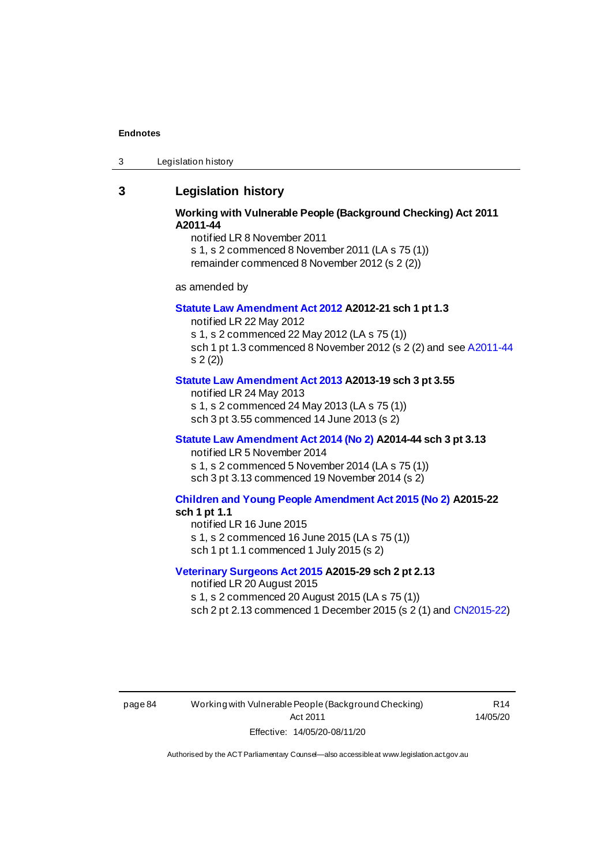3 Legislation history

# **3 Legislation history**

## **Working with Vulnerable People (Background Checking) Act 2011 A2011-44**

notified LR 8 November 2011

s 1, s 2 commenced 8 November 2011 (LA s 75 (1)) remainder commenced 8 November 2012 (s 2 (2))

as amended by

#### **[Statute Law Amendment Act 2012](http://www.legislation.act.gov.au/a/2012-21) A2012-21 sch 1 pt 1.3**

notified LR 22 May 2012 s 1, s 2 commenced 22 May 2012 (LA s 75 (1)) sch 1 pt 1.3 commenced 8 November 2012 (s 2 (2) and se[e A2011-44](http://www.legislation.act.gov.au/a/2011-44) s 2 (2))

#### **[Statute Law Amendment Act 2013](http://www.legislation.act.gov.au/a/2013-19) A2013-19 sch 3 pt 3.55**

notified LR 24 May 2013 s 1, s 2 commenced 24 May 2013 (LA s 75 (1)) sch 3 pt 3.55 commenced 14 June 2013 (s 2)

#### **[Statute Law Amendment Act 2014 \(No 2\)](http://www.legislation.act.gov.au/a/2014-44) A2014-44 sch 3 pt 3.13**

notified LR 5 November 2014 s 1, s 2 commenced 5 November 2014 (LA s 75 (1)) sch 3 pt 3.13 commenced 19 November 2014 (s 2)

## **[Children and Young People Amendment Act 2015 \(No 2\)](http://www.legislation.act.gov.au/a/2015-22/default.asp) A2015-22**

#### **sch 1 pt 1.1**

notified LR 16 June 2015 s 1, s 2 commenced 16 June 2015 (LA s 75 (1)) sch 1 pt 1.1 commenced 1 July 2015 (s 2)

#### **[Veterinary Surgeons Act 2015](http://www.legislation.act.gov.au/a/2015-29/default.asp) A2015-29 sch 2 pt 2.13**

notified LR 20 August 2015 s 1, s 2 commenced 20 August 2015 (LA s 75 (1)) sch 2 pt 2.13 commenced 1 December 2015 (s 2 (1) an[d CN2015-22](http://www.legislation.act.gov.au/cn/2015-22/default.asp))

page 84 Working with Vulnerable People (Background Checking) Act 2011 Effective: 14/05/20-08/11/20

R14 14/05/20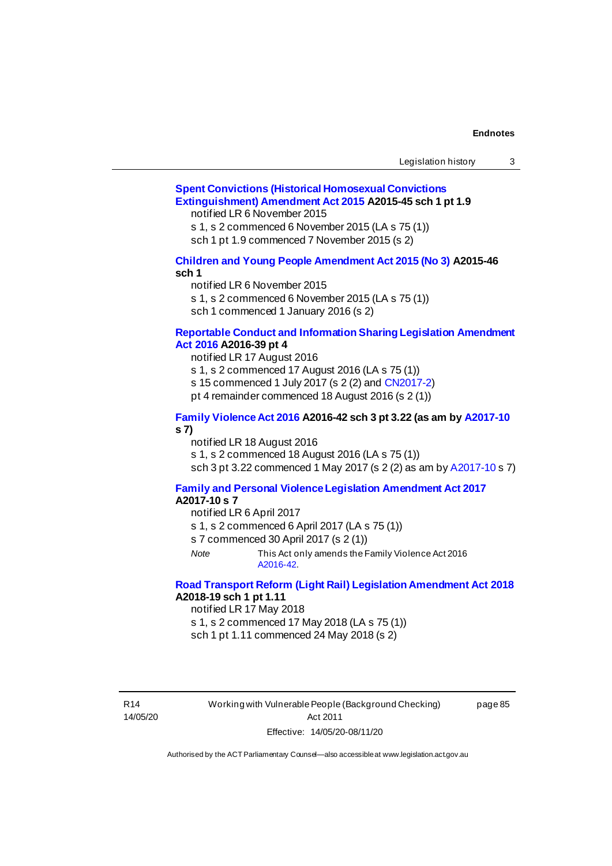| Legislation history |  |
|---------------------|--|
|---------------------|--|

# **[Spent Convictions \(Historical Homosexual Convictions](http://www.legislation.act.gov.au/a/2015-45)  [Extinguishment\) Amendment Act 2015](http://www.legislation.act.gov.au/a/2015-45) A2015-45 sch 1 pt 1.9**

notified LR 6 November 2015

s 1, s 2 commenced 6 November 2015 (LA s 75 (1))

sch 1 pt 1.9 commenced 7 November 2015 (s 2)

#### **[Children and Young People Amendment Act 2015 \(No 3\)](http://www.legislation.act.gov.au/a/2015-46/default.asp) A2015-46 sch 1**

notified LR 6 November 2015

s 1, s 2 commenced 6 November 2015 (LA s 75 (1))

sch 1 commenced 1 January 2016 (s 2)

#### **[Reportable Conduct and Information Sharing Legislation Amendment](http://www.legislation.act.gov.au/a/2016-39/default.asp)  [Act 2016](http://www.legislation.act.gov.au/a/2016-39/default.asp) A2016-39 pt 4**

notified LR 17 August 2016

s 1, s 2 commenced 17 August 2016 (LA s 75 (1))

s 15 commenced 1 July 2017 (s 2 (2) an[d CN2017-2\)](http://www.legislation.act.gov.au/cn/2017-2/default.asp)

pt 4 remainder commenced 18 August 2016 (s 2 (1))

#### **[Family Violence Act 2016](http://www.legislation.act.gov.au/a/2016-42/default.asp) A2016-42 sch 3 pt 3.22 (as am b[y A2017-10](http://www.legislation.act.gov.au/a/2017-10/default.asp) s 7)**

notified LR 18 August 2016 s 1, s 2 commenced 18 August 2016 (LA s 75 (1)) sch 3 pt 3.22 commenced 1 May 2017 (s 2 (2) as am b[y A2017-10](http://www.legislation.act.gov.au/a/2017-10/default.asp) s 7)

#### **[Family and Personal Violence Legislation Amendment Act 2017](http://www.legislation.act.gov.au/a/2017-10/default.asp) A2017-10 s 7**

notified LR 6 April 2017

s 1, s 2 commenced 6 April 2017 (LA s 75 (1))

s 7 commenced 30 April 2017 (s 2 (1))

*Note* This Act only amends the Family Violence Act 2016 [A2016-42.](http://www.legislation.act.gov.au/a/2016-42/default.asp)

# **[Road Transport Reform \(Light Rail\) Legislation Amendment Act](http://www.legislation.act.gov.au/a/2018-19/default.asp) 2018 A2018-19 sch 1 pt 1.11**

notified LR 17 May 2018

s 1, s 2 commenced 17 May 2018 (LA s 75 (1)) sch 1 pt 1.11 commenced 24 May 2018 (s 2)

R14 14/05/20 Working with Vulnerable People (Background Checking) Act 2011 Effective: 14/05/20-08/11/20

page 85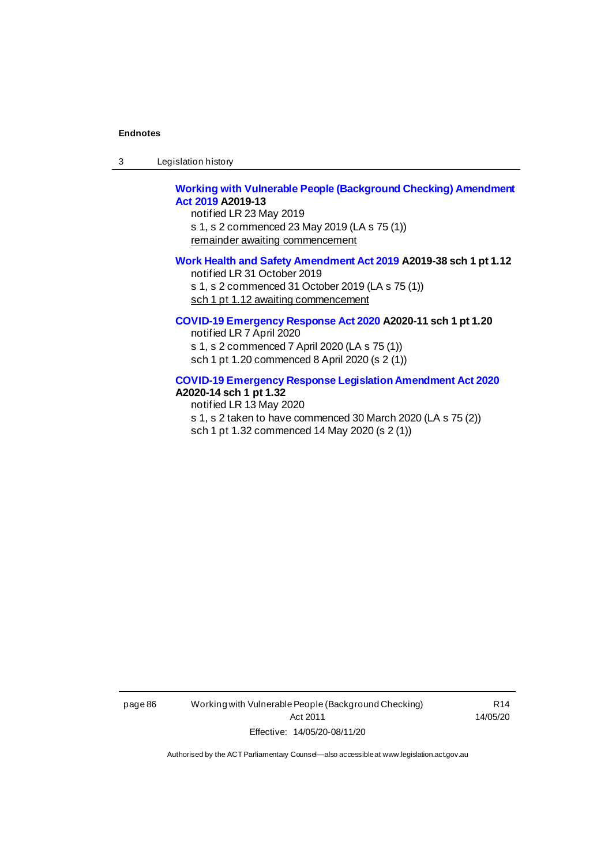3 Legislation history

# **[Working with Vulnerable People \(Background Checking\) Amendment](http://www.legislation.act.gov.au/a/2019-13/default.asp)  [Act 2019](http://www.legislation.act.gov.au/a/2019-13/default.asp) A2019-13**

notified LR 23 May 2019 s 1, s 2 commenced 23 May 2019 (LA s 75 (1)) remainder awaiting commencement

#### **[Work Health and Safety Amendment Act 2019](http://www.legislation.act.gov.au/a/2019-38) A2019-38 sch 1 pt 1.12**

notified LR 31 October 2019 s 1, s 2 commenced 31 October 2019 (LA s 75 (1)) sch 1 pt 1.12 awaiting commencement

#### **[COVID-19 Emergency Response Act 2020](http://www.legislation.act.gov.au/a/2020-11#history) A2020-11 sch 1 pt 1.20**

notified LR 7 April 2020 s 1, s 2 commenced 7 April 2020 (LA s 75 (1)) sch 1 pt 1.20 commenced 8 April 2020 (s 2 (1))

#### **[COVID-19 Emergency Response Legislation Amendment Act 2020](http://www.legislation.act.gov.au/a/2020-14/) A2020-14 sch 1 pt 1.32**

notified LR 13 May 2020 s 1, s 2 taken to have commenced 30 March 2020 (LA s 75 (2)) sch 1 pt 1.32 commenced 14 May 2020 (s 2 (1))

page 86 Working with Vulnerable People (Background Checking) Act 2011 Effective: 14/05/20-08/11/20

R14 14/05/20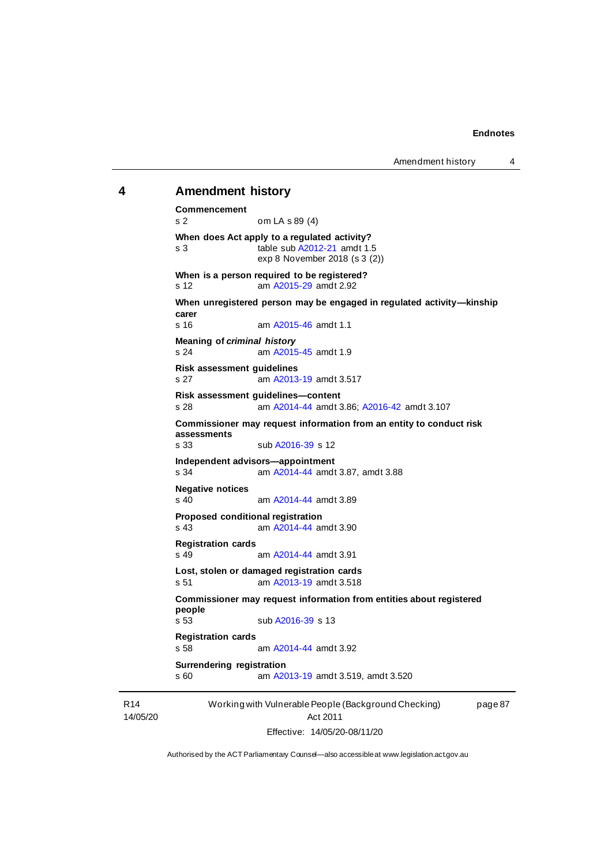Amendment history 4

#### **4 Amendment history**

```
Working with Vulnerable People (Background Checking) 
                                                        page 87
Commencement
s 2 om LA s 89 (4)
When does Act apply to a regulated activity?
b A2012-21 amdt 1.5
               exp 8 November 2018 (s 3 (2))
When is a person required to be registered?
s 12 am A2015-29 amdt 2.92
When unregistered person may be engaged in regulated activity—kinship 
carer
s 16 am A2015-46 amdt 1.1
Meaning of criminal history
s 24 am A2015-45 amdt 1.9
Risk assessment guidelines
s 27 am A2013-19 amdt 3.517
Risk assessment guidelines—content
s 28 am A2014-44 amdt 3.86; A2016-42 amdt 3.107
Commissioner may request information from an entity to conduct risk 
assessments
               b A2016-39 s 12
Independent advisors—appointment
s 34 am A2014-44 amdt 3.87, amdt 3.88
Negative notices
s 40 am A2014-44 amdt 3.89
Proposed conditional registration
s 43 am A2014-44 amdt 3.90
Registration cards
s 49 am A2014-44 amdt 3.91
Lost, stolen or damaged registration cards
s 51 am A2013-19 amdt 3.518
Commissioner may request information from entities about registered 
people
s 53 sub A2016-39 s 13
Registration cards
s 58 am A2014-44 amdt 3.92
Surrendering registration
s 60 am A2013-19 amdt 3.519, amdt 3.520
```
R14 14/05/20

Act 2011 Effective: 14/05/20-08/11/20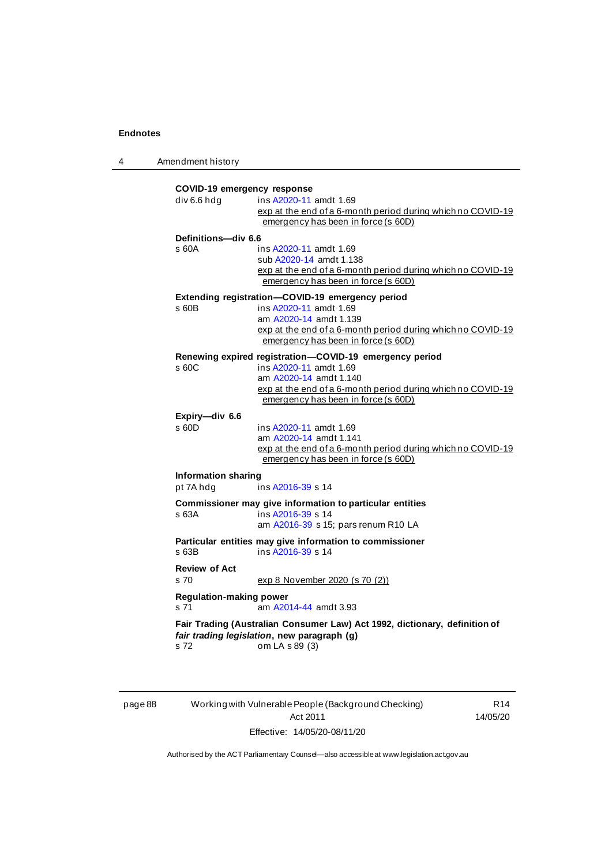4 Amendment history

|                                        | COVID-19 emergency response                                                            |
|----------------------------------------|----------------------------------------------------------------------------------------|
| div 6.6 hdg                            | ins A2020-11 amdt 1.69                                                                 |
|                                        | exp at the end of a 6-month period during which no COVID-19                            |
|                                        | emergency has been in force (s 60D)                                                    |
| Definitions-div 6.6                    |                                                                                        |
| s 60A                                  | ins A2020-11 amdt 1.69                                                                 |
|                                        | sub A2020-14 amdt 1.138<br>exp at the end of a 6-month period during which no COVID-19 |
|                                        | emergency has been in force (s 60D)                                                    |
|                                        | Extending registration-COVID-19 emergency period                                       |
| s 60B                                  | ins A2020-11 amdt 1.69                                                                 |
|                                        | am A2020-14 amdt 1.139                                                                 |
|                                        | exp at the end of a 6-month period during which no COVID-19                            |
|                                        | emergency has been in force (s 60D)                                                    |
|                                        | Renewing expired registration-COVID-19 emergency period                                |
| s 60C                                  | ins A2020-11 amdt 1.69                                                                 |
|                                        | am A2020-14 amdt 1.140                                                                 |
|                                        | exp at the end of a 6-month period during which no COVID-19                            |
|                                        | emergency has been in force (s 60D)                                                    |
| Expiry-div 6.6                         |                                                                                        |
| s 60D                                  | ins A2020-11 amdt 1.69                                                                 |
|                                        | am A2020-14 amdt 1.141<br>exp at the end of a 6-month period during which no COVID-19  |
|                                        | emergency has been in force (s 60D)                                                    |
| <b>Information sharing</b>             |                                                                                        |
| pt 7A hdg                              | ins A2016-39 s 14                                                                      |
|                                        | Commissioner may give information to particular entities                               |
| s 63A                                  | ins A2016-39 s 14                                                                      |
|                                        | am A2016-39 s 15; pars renum R10 LA                                                    |
|                                        | Particular entities may give information to commissioner                               |
| $s$ 63B                                | ins A2016-39 s 14                                                                      |
| <b>Review of Act</b>                   |                                                                                        |
| s <sub>70</sub>                        | exp 8 November 2020 (s 70 (2))                                                         |
|                                        |                                                                                        |
| <b>Regulation-making power</b><br>s 71 | am A2014-44 amdt 3.93                                                                  |
|                                        |                                                                                        |
|                                        | Fair Trading (Australian Consumer Law) Act 1992, dictionary, definition of             |
| s 72                                   | fair trading legislation, new paragraph (g)<br>om LA s 89 (3)                          |
|                                        |                                                                                        |

page 88 Working with Vulnerable People (Background Checking) Act 2011 Effective: 14/05/20-08/11/20

R14 14/05/20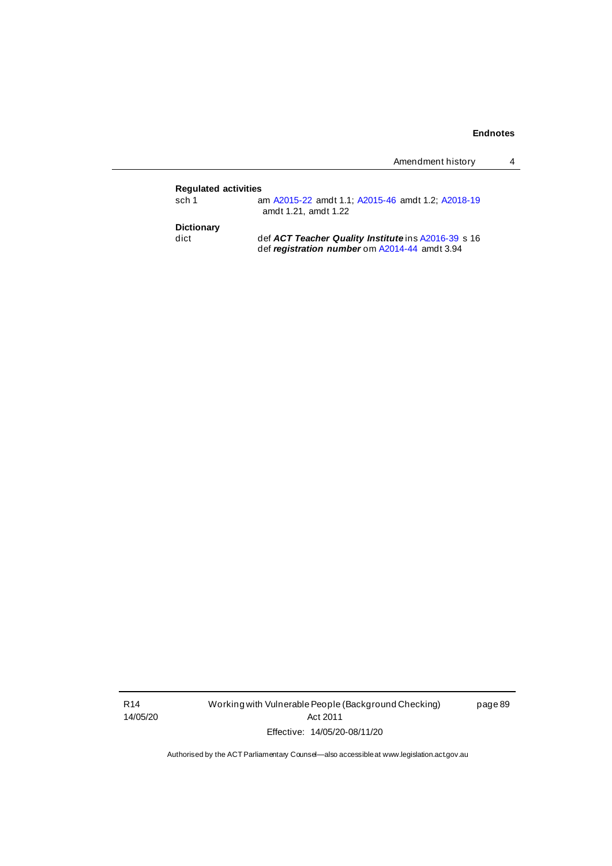|                             | Amendment history                                                         |
|-----------------------------|---------------------------------------------------------------------------|
| <b>Requlated activities</b> |                                                                           |
| sch 1                       | am A2015-22 amdt 1.1; A2015-46 amdt 1.2; A2018-19<br>amdt 1.21, amdt 1.22 |
| <b>Dictionary</b>           |                                                                           |
| dict                        | def ACT Teacher Quality Institute ins A2016-39 s 16                       |
|                             | def registration number om A2014-44 amdt 3.94                             |

R14 14/05/20 Working with Vulnerable People (Background Checking) Act 2011 Effective: 14/05/20-08/11/20

page 89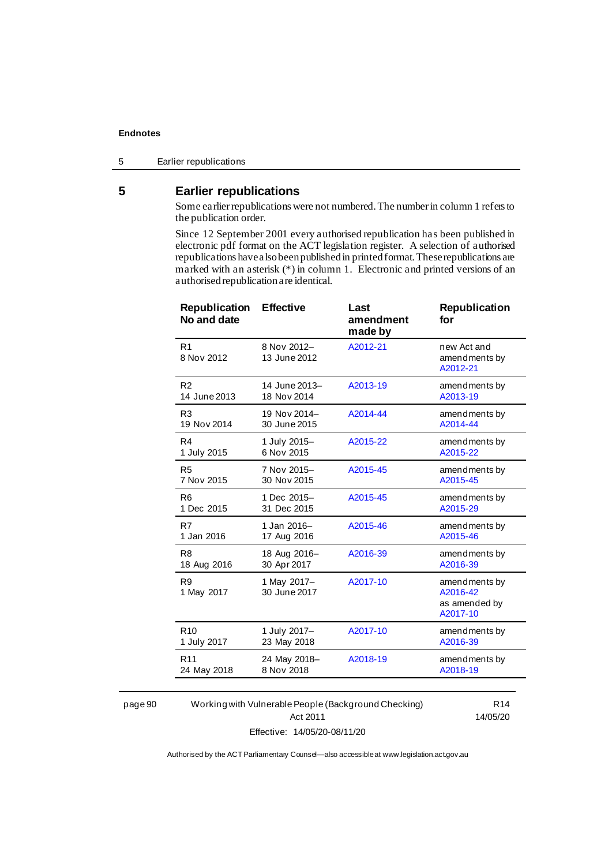# **5 Earlier republications**

Some earlier republications were not numbered. The number in column 1 refers to the publication order.

Since 12 September 2001 every authorised republication has been published in electronic pdf format on the ACT legislation register. A selection of authorised republications have also been published in printed format. These republications are marked with an asterisk (\*) in column 1. Electronic and printed versions of an authorised republication are identical.

| Republication<br>No and date | <b>Effective</b>            | Last<br>amendment<br>made by | <b>Republication</b><br>for                            |
|------------------------------|-----------------------------|------------------------------|--------------------------------------------------------|
| R <sub>1</sub><br>8 Nov 2012 | 8 Nov 2012-<br>13 June 2012 | A2012-21                     | new Act and<br>amendments by<br>A2012-21               |
| R <sub>2</sub>               | 14 June 2013-               | A2013-19                     | amendments by                                          |
| 14 June 2013                 | 18 Nov 2014                 |                              | A2013-19                                               |
| R <sub>3</sub>               | 19 Nov 2014-                | A2014-44                     | amendments by                                          |
| 19 Nov 2014                  | 30 June 2015                |                              | A2014-44                                               |
| R4                           | 1 July 2015-                | A2015-22                     | amendments by                                          |
| 1 July 2015                  | 6 Nov 2015                  |                              | A2015-22                                               |
| R <sub>5</sub>               | 7 Nov 2015-                 | A2015-45                     | amendments by                                          |
| 7 Nov 2015                   | 30 Nov 2015                 |                              | A2015-45                                               |
| R <sub>6</sub>               | 1 Dec 2015-                 | A2015-45                     | amendments by                                          |
| 1 Dec 2015                   | 31 Dec 2015                 |                              | A2015-29                                               |
| R7                           | 1 Jan 2016-                 | A2015-46                     | amendments by                                          |
| 1 Jan 2016                   | 17 Aug 2016                 |                              | A2015-46                                               |
| R <sub>8</sub>               | 18 Aug 2016-                | A2016-39                     | amendments by                                          |
| 18 Aug 2016                  | 30 Apr 2017                 |                              | A2016-39                                               |
| R <sub>9</sub><br>1 May 2017 | 1 May 2017-<br>30 June 2017 | A2017-10                     | amendments by<br>A2016-42<br>as amended by<br>A2017-10 |
| R <sub>10</sub>              | 1 July 2017-                | A2017-10                     | amendments by                                          |
| 1 July 2017                  | 23 May 2018                 |                              | A2016-39                                               |
| R <sub>11</sub>              | 24 May 2018-                | A2018-19                     | amendments by                                          |
| 24 May 2018                  | 8 Nov 2018                  |                              | A2018-19                                               |
|                              |                             |                              |                                                        |

page 90 Working with Vulnerable People (Background Checking) Act 2011 Effective: 14/05/20-08/11/20

R14 14/05/20